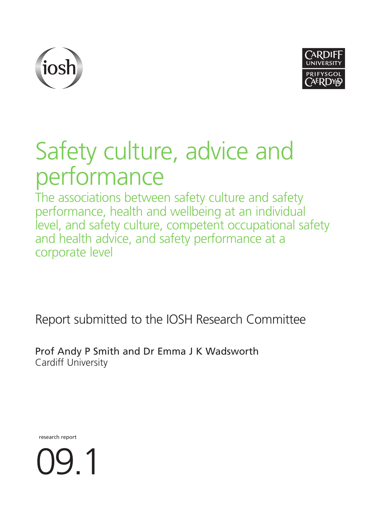



# Safety culture, advice and performance

The associations between safety culture and safety performance, health and wellbeing at an individual level, and safety culture, competent occupational safety and health advice, and safety performance at a corporate level

Report submitted to the IOSH Research Committee

Prof Andy P Smith and Dr Emma J K Wadsworth Cardiff University

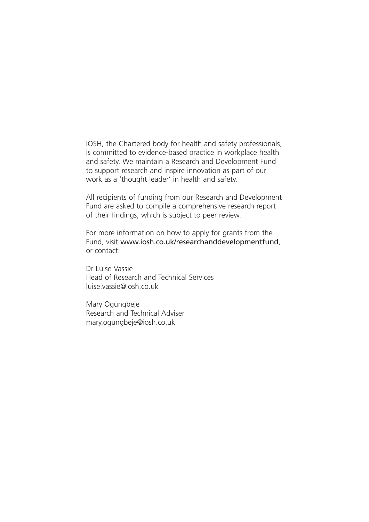IOSH, the Chartered body for health and safety professionals, is committed to evidence-based practice in workplace health and safety. We maintain a Research and Development Fund to support research and inspire innovation as part of our work as a 'thought leader' in health and safety.

All recipients of funding from our Research and Development Fund are asked to compile a comprehensive research report of their findings, which is subject to peer review.

For more information on how to apply for grants from the Fund, visit www.iosh.co.uk/researchanddevelopmentfund, or contact:

Dr Luise Vassie Head of Research and Technical Services luise.vassie@iosh.co.uk

Mary Ogungbeje Research and Technical Adviser mary.ogungbeje@iosh.co.uk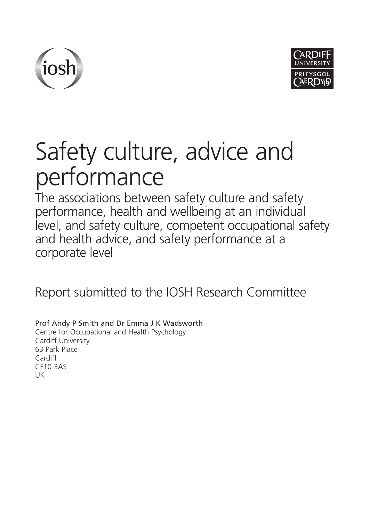



# Safety culture, advice and performance

The associations between safety culture and safety performance, health and wellbeing at an individual level, and safety culture, competent occupational safety and health advice, and safety performance at a corporate level

Report submitted to the IOSH Research Committee

Prof Andy P Smith and Dr Emma J K Wadsworth Centre for Occupational and Health Psychology Cardiff University 63 Park Place Cardiff CF10 3AS UK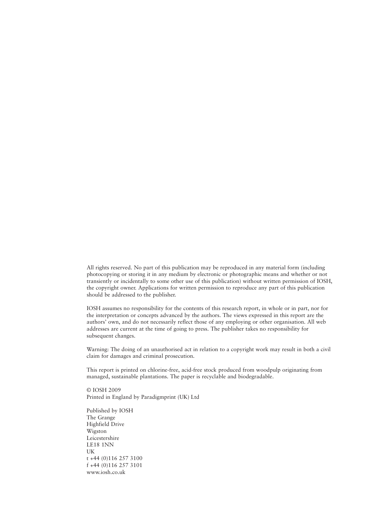All rights reserved. No part of this publication may be reproduced in any material form (including photocopying or storing it in any medium by electronic or photographic means and whether or not transiently or incidentally to some other use of this publication) without written permission of IOSH, the copyright owner. Applications for written permission to reproduce any part of this publication should be addressed to the publisher.

IOSH assumes no responsibility for the contents of this research report, in whole or in part, nor for the interpretation or concepts advanced by the authors. The views expressed in this report are the authors' own, and do not necessarily reflect those of any employing or other organisation. All web addresses are current at the time of going to press. The publisher takes no responsibility for subsequent changes.

Warning: The doing of an unauthorised act in relation to a copyright work may result in both a civil claim for damages and criminal prosecution.

This report is printed on chlorine-free, acid-free stock produced from woodpulp originating from managed, sustainable plantations. The paper is recyclable and biodegradable.

© IOSH 2009 Printed in England by Paradigmprint (UK) Ltd

Published by IOSH The Grange Highfield Drive Wigston Leicestershire LE18 1NN UK t +44 (0)116 257 3100 f +44 (0)116 257 3101 www.iosh.co.uk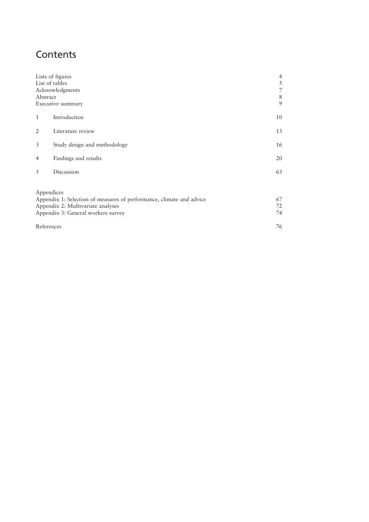## **Contents**

| Abstract       | Lists of figures<br>List of tables<br>Acknowledgments<br>Executive summary                                                                                    | $\overline{\mathcal{A}}$<br>5<br>7<br>8<br>9 |
|----------------|---------------------------------------------------------------------------------------------------------------------------------------------------------------|----------------------------------------------|
| $\mathbf{1}$   | Introduction                                                                                                                                                  | 10                                           |
| 2              | Literature review                                                                                                                                             | 13                                           |
| 3              | 16                                                                                                                                                            |                                              |
| $\overline{4}$ | Findings and results                                                                                                                                          | 20                                           |
| 5              | Discussion                                                                                                                                                    | 63                                           |
|                | Appendices<br>Appendix 1: Selection of measures of performance, climate and advice<br>Appendix 2: Multivariate analyses<br>Appendix 3: General workers survey | 67<br>72<br>74                               |
|                | References                                                                                                                                                    | 76                                           |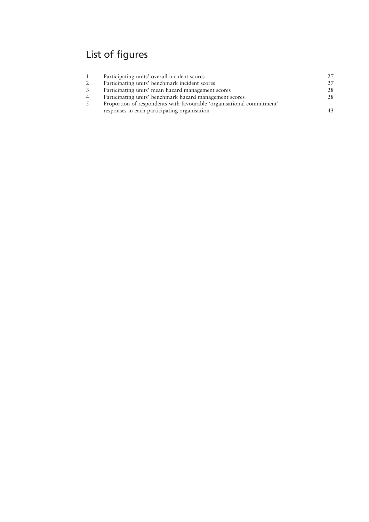# List of figures

|    | Participating units' overall incident scores                          | 27 |
|----|-----------------------------------------------------------------------|----|
| 2  | Participating units' benchmark incident scores                        | 27 |
| 3  | Participating units' mean hazard management scores                    | 28 |
| 4  | Participating units' benchmark hazard management scores               | 28 |
| .5 | Proportion of respondents with favourable 'organisational commitment' |    |
|    | responses in each participating organisation                          | 43 |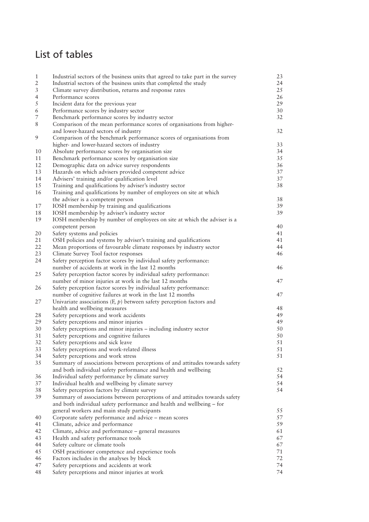## List of tables

| $\,1\,$                  | Industrial sectors of the business units that agreed to take part in the survey | 23     |
|--------------------------|---------------------------------------------------------------------------------|--------|
| $\overline{2}$           | Industrial sectors of the business units that completed the study               | 24     |
| $\sqrt{3}$               | Climate survey distribution, returns and response rates                         | 25     |
| $\overline{4}$           | Performance scores                                                              | 26     |
| $\sqrt{5}$               | Incident data for the previous year                                             | 29     |
| $\epsilon$               | Performance scores by industry sector                                           | $30\,$ |
| $\overline{\phantom{a}}$ | Benchmark performance scores by industry sector                                 | 32     |
| $\,$ 8 $\,$              | Comparison of the mean performance scores of organisations from higher-         |        |
|                          |                                                                                 |        |
|                          | and lower-hazard sectors of industry                                            | 32     |
| $\mathfrak{g}$           | Comparison of the benchmark performance scores of organisations from            |        |
|                          | higher- and lower-hazard sectors of industry                                    | 33     |
| 10                       | Absolute performance scores by organisation size                                | 34     |
| 11                       | Benchmark performance scores by organisation size                               | 35     |
| 12                       | Demographic data on advice survey respondents                                   | 36     |
| 13                       | Hazards on which advisers provided competent advice                             | 37     |
| 14                       | Advisers' training and/or qualification level                                   | 37     |
| 15                       | Training and qualifications by adviser's industry sector                        | 38     |
| 16                       | Training and qualifications by number of employees on site at which             |        |
|                          | the adviser is a competent person                                               | 38     |
| 17                       | IOSH membership by training and qualifications                                  | 39     |
| 18                       | IOSH membership by adviser's industry sector                                    | 39     |
| 19                       | IOSH membership by number of employees on site at which the adviser is a        |        |
|                          | competent person                                                                | 40     |
| 20                       | Safety systems and policies                                                     | 41     |
| 21                       | OSH policies and systems by adviser's training and qualifications               | 41     |
| 22                       | Mean proportions of favourable climate responses by industry sector             | 44     |
| 23                       | Climate Survey Tool factor responses                                            | 46     |
| 24                       | Safety perception factor scores by individual safety performance:               |        |
|                          | number of accidents at work in the last 12 months                               | 46     |
|                          |                                                                                 |        |
| 25                       | Safety perception factor scores by individual safety performance:               |        |
|                          | number of minor injuries at work in the last 12 months                          | 47     |
| 26                       | Safety perception factor scores by individual safety performance:               |        |
|                          | number of cognitive failures at work in the last 12 months                      | 47     |
| 27                       | Univariate associations $(F, p)$ between safety perception factors and          |        |
|                          | health and wellbeing measures                                                   | 48     |
| 28                       | Safety perceptions and work accidents                                           | 49     |
| 29                       | Safety perceptions and minor injuries                                           | 49     |
| 30                       | Safety perceptions and minor injuries - including industry sector               | 50     |
| 31                       | Safety perceptions and cognitive failures                                       | 50     |
| 32                       | Safety perceptions and sick leave                                               | 51     |
| 33                       | Safety perceptions and work-related illness                                     | 51     |
| 34                       | Safety perceptions and work stress                                              | 51     |
| 35                       | Summary of associations between perceptions of and attitudes towards safety     |        |
|                          | and both individual safety performance and health and wellbeing                 | 52     |
| 36                       | Individual safety performance by climate survey                                 | 54     |
| 37                       | Individual health and wellbeing by climate survey                               | 54     |
| 38                       | Safety perception factors by climate survey                                     | 54     |
| 39                       | Summary of associations between perceptions of and attitudes towards safety     |        |
|                          | and both individual safety performance and health and wellbeing - for           |        |
|                          |                                                                                 | 55     |
|                          | general workers and main study participants                                     |        |
| 40                       | Corporate safety performance and advice - mean scores                           | 57     |
| 41                       | Climate, advice and performance                                                 | 59     |
| 42                       | Climate, advice and performance - general measures                              | 61     |
| 43                       | Health and safety performance tools                                             | 67     |
| 44                       | Safety culture or climate tools                                                 | 67     |
| 45                       | OSH practitioner competence and experience tools                                | 71     |
| 46                       | Factors includes in the analyses by block                                       | 72     |
| 47                       | Safety perceptions and accidents at work                                        | 74     |
| 48                       | Safety perceptions and minor injuries at work                                   | 74     |
|                          |                                                                                 |        |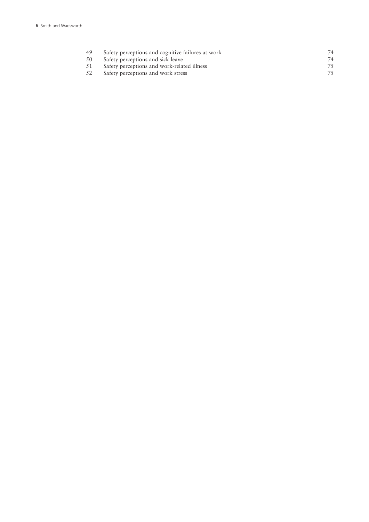| -49 | Safety perceptions and cognitive failures at work | 74 |
|-----|---------------------------------------------------|----|
| -50 | Safety perceptions and sick leave                 | 74 |
| -51 | Safety perceptions and work-related illness       | 75 |
| -52 | Safety perceptions and work stress                | 75 |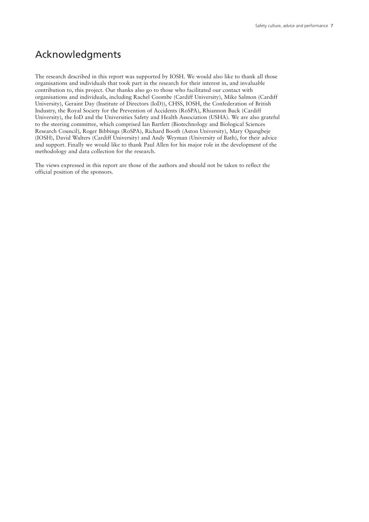## Acknowledgments

The research described in this report was supported by IOSH. We would also like to thank all those organisations and individuals that took part in the research for their interest in, and invaluable contribution to, this project. Our thanks also go to those who facilitated our contact with organisations and individuals, including Rachel Coombe (Cardiff University), Mike Salmon (Cardiff University), Geraint Day (Institute of Directors (IoD)), CHSS, IOSH, the Confederation of British Industry, the Royal Society for the Prevention of Accidents (RoSPA), Rhiannon Buck (Cardiff University), the IoD and the Universities Safety and Health Association (USHA). We are also grateful to the steering committee, which comprised Ian Bartlett (Biotechnology and Biological Sciences Research Council), Roger Bibbings (RoSPA), Richard Booth (Aston University), Mary Ogungbeje (IOSH), David Walters (Cardiff University) and Andy Weyman (University of Bath), for their advice and support. Finally we would like to thank Paul Allen for his major role in the development of the methodology and data collection for the research.

The views expressed in this report are those of the authors and should not be taken to reflect the official position of the sponsors.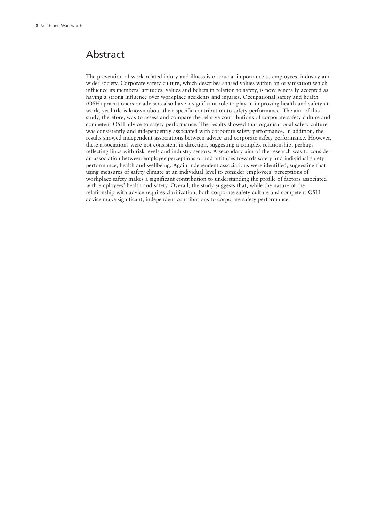### Abstract

The prevention of work-related injury and illness is of crucial importance to employees, industry and wider society. Corporate safety culture, which describes shared values within an organisation which influence its members' attitudes, values and beliefs in relation to safety, is now generally accepted as having a strong influence over workplace accidents and injuries. Occupational safety and health (OSH) practitioners or advisers also have a significant role to play in improving health and safety at work, yet little is known about their specific contribution to safety performance. The aim of this study, therefore, was to assess and compare the relative contributions of corporate safety culture and competent OSH advice to safety performance. The results showed that organisational safety culture was consistently and independently associated with corporate safety performance. In addition, the results showed independent associations between advice and corporate safety performance. However, these associations were not consistent in direction, suggesting a complex relationship, perhaps reflecting links with risk levels and industry sectors. A secondary aim of the research was to consider an association between employee perceptions of and attitudes towards safety and individual safety performance, health and wellbeing. Again independent associations were identified, suggesting that using measures of safety climate at an individual level to consider employees' perceptions of workplace safety makes a significant contribution to understanding the profile of factors associated with employees' health and safety. Overall, the study suggests that, while the nature of the relationship with advice requires clarification, both corporate safety culture and competent OSH advice make significant, independent contributions to corporate safety performance.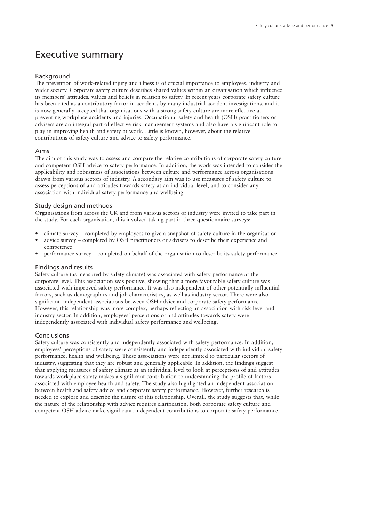## Executive summary

#### Background

The prevention of work-related injury and illness is of crucial importance to employees, industry and wider society. Corporate safety culture describes shared values within an organisation which influence its members' attitudes, values and beliefs in relation to safety. In recent years corporate safety culture has been cited as a contributory factor in accidents by many industrial accident investigations, and it is now generally accepted that organisations with a strong safety culture are more effective at preventing workplace accidents and injuries. Occupational safety and health (OSH) practitioners or advisers are an integral part of effective risk management systems and also have a significant role to play in improving health and safety at work. Little is known, however, about the relative contributions of safety culture and advice to safety performance.

#### Aims

The aim of this study was to assess and compare the relative contributions of corporate safety culture and competent OSH advice to safety performance. In addition, the work was intended to consider the applicability and robustness of associations between culture and performance across organisations drawn from various sectors of industry. A secondary aim was to use measures of safety culture to assess perceptions of and attitudes towards safety at an individual level, and to consider any association with individual safety performance and wellbeing.

#### Study design and methods

Organisations from across the UK and from various sectors of industry were invited to take part in the study. For each organisation, this involved taking part in three questionnaire surveys:

- climate survey completed by employees to give a snapshot of safety culture in the organisation
- advice survey completed by OSH practitioners or advisers to describe their experience and competence
- performance survey completed on behalf of the organisation to describe its safety performance.

#### Findings and results

Safety culture (as measured by safety climate) was associated with safety performance at the corporate level. This association was positive, showing that a more favourable safety culture was associated with improved safety performance. It was also independent of other potentially influential factors, such as demographics and job characteristics, as well as industry sector. There were also significant, independent associations between OSH advice and corporate safety performance. However, this relationship was more complex, perhaps reflecting an association with risk level and industry sector. In addition, employees' perceptions of and attitudes towards safety were independently associated with individual safety performance and wellbeing.

#### Conclusions

Safety culture was consistently and independently associated with safety performance. In addition, employees' perceptions of safety were consistently and independently associated with individual safety performance, health and wellbeing. These associations were not limited to particular sectors of industry, suggesting that they are robust and generally applicable. In addition, the findings suggest that applying measures of safety climate at an individual level to look at perceptions of and attitudes towards workplace safety makes a significant contribution to understanding the profile of factors associated with employee health and safety. The study also highlighted an independent association between health and safety advice and corporate safety performance. However, further research is needed to explore and describe the nature of this relationship. Overall, the study suggests that, while the nature of the relationship with advice requires clarification, both corporate safety culture and competent OSH advice make significant, independent contributions to corporate safety performance.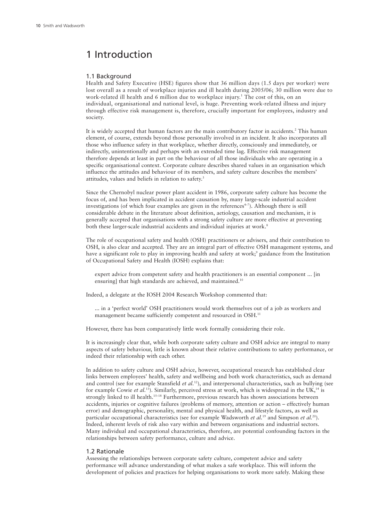## 1 Introduction

#### 1.1 Background

Health and Safety Executive (HSE) figures show that 36 million days (1.5 days per worker) were lost overall as a result of workplace injuries and ill health during 2005/06; 30 million were due to work-related ill health and 6 million due to workplace injury. <sup>1</sup> The cost of this, on an individual, organisational and national level, is huge. Preventing work-related illness and injury through effective risk management is, therefore, crucially important for employees, industry and society.

It is widely accepted that human factors are the main contributory factor in accidents. <sup>2</sup> This human element, of course, extends beyond those personally involved in an incident. It also incorporates all those who influence safety in that workplace, whether directly, consciously and immediately, or indirectly, unintentionally and perhaps with an extended time lag. Effective risk management therefore depends at least in part on the behaviour of all those individuals who are operating in a specific organisational context. Corporate culture describes shared values in an organisation which influence the attitudes and behaviour of its members, and safety culture describes the members' attitudes, values and beliefs in relation to safety. 3

Since the Chernobyl nuclear power plant accident in 1986, corporate safety culture has become the focus of, and has been implicated in accident causation by, many large-scale industrial accident investigations (of which four examples are given in the references<sup>4-7</sup>). Although there is still considerable debate in the literature about definition, aetiology, causation and mechanism, it is generally accepted that organisations with a strong safety culture are more effective at preventing both these larger-scale industrial accidents and individual injuries at work.<sup>8</sup>

The role of occupational safety and health (OSH) practitioners or advisers, and their contribution to OSH, is also clear and accepted. They are an integral part of effective OSH management systems, and have a significant role to play in improving health and safety at work; <sup>9</sup> guidance from the Institution of Occupational Safety and Health (IOSH) explains that:

expert advice from competent safety and health practitioners is an essential component ... [in ensuring] that high standards are achieved, and maintained.<sup>10</sup>

Indeed, a delegate at the IOSH 2004 Research Workshop commented that:

... in a 'perfect world' OSH practitioners would work themselves out of a job as workers and management became sufficiently competent and resourced in OSH.<sup>11</sup>

However, there has been comparatively little work formally considering their role.

It is increasingly clear that, while both corporate safety culture and OSH advice are integral to many aspects of safety behaviour, little is known about their relative contributions to safety performance, or indeed their relationship with each other.

In addition to safety culture and OSH advice, however, occupational research has established clear links between employees' health, safety and wellbeing and both work characteristics, such as demand and control (see for example Stansfield *et al.* 12 ), and interpersonal characteristics, such as bullying (see for example Cowie *et al.*<sup>13</sup>). Similarly, perceived stress at work, which is widespread in the UK,<sup>14</sup> is strongly linked to ill health. 15–18 Furthermore, previous research has shown associations between accidents, injuries or cognitive failures (problems of memory, attention or action – effectively human error) and demographic, personality, mental and physical health, and lifestyle factors, as well as particular occupational characteristics (see for example Wadsworth *et al.* <sup>19</sup> and Simpson *et al.* 20 ). Indeed, inherent levels of risk also vary within and between organisations and industrial sectors. Many individual and occupational characteristics, therefore, are potential confounding factors in the relationships between safety performance, culture and advice.

#### 1.2 Rationale

Assessing the relationships between corporate safety culture, competent advice and safety performance will advance understanding of what makes a safe workplace. This will inform the development of policies and practices for helping organisations to work more safely. Making these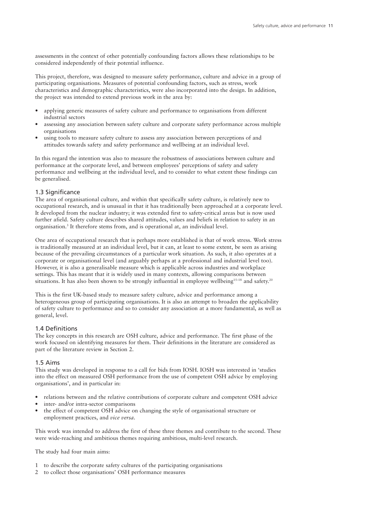assessments in the context of other potentially confounding factors allows these relationships to be considered independently of their potential influence.

This project, therefore, was designed to measure safety performance, culture and advice in a group of participating organisations. Measures of potential confounding factors, such as stress, work characteristics and demographic characteristics, were also incorporated into the design. In addition, the project was intended to extend previous work in the area by:

- applying generic measures of safety culture and performance to organisations from different industrial sectors
- assessing any association between safety culture and corporate safety performance across multiple organisations
- using tools to measure safety culture to assess any association between perceptions of and attitudes towards safety and safety performance and wellbeing at an individual level.

In this regard the intention was also to measure the robustness of associations between culture and performance at the corporate level, and between employees' perceptions of safety and safety performance and wellbeing at the individual level, and to consider to what extent these findings can be generalised.

#### 1.3 Significance

The area of organisational culture, and within that specifically safety culture, is relatively new to occupational research, and is unusual in that it has traditionally been approached at a corporate level. It developed from the nuclear industry; it was extended first to safety-critical areas but is now used further afield. Safety culture describes shared attitudes, values and beliefs in relation to safety in an organisation. <sup>3</sup> It therefore stems from, and is operational at, an individual level.

One area of occupational research that is perhaps more established is that of work stress. Work stress is traditionally measured at an individual level, but it can, at least to some extent, be seen as arising because of the prevailing circumstances of a particular work situation. As such, it also operates at a corporate or organisational level (and arguably perhaps at a professional and industrial level too). However, it is also a generalisable measure which is applicable across industries and workplace settings. This has meant that it is widely used in many contexts, allowing comparisons between situations. It has also been shown to be strongly influential in employee wellbeing<sup>15–18</sup> and safety.<sup>20</sup>

This is the first UK-based study to measure safety culture, advice and performance among a heterogeneous group of participating organisations. It is also an attempt to broaden the applicability of safety culture to performance and so to consider any association at a more fundamental, as well as general, level.

#### 1.4 Definitions

The key concepts in this research are OSH culture, advice and performance. The first phase of the work focused on identifying measures for them. Their definitions in the literature are considered as part of the literature review in Section 2.

#### 1.5 Aims

This study was developed in response to a call for bids from IOSH. IOSH was interested in 'studies into the effect on measured OSH performance from the use of competent OSH advice by employing organisations', and in particular in:

- relations between and the relative contributions of corporate culture and competent OSH advice
- inter- and/or intra-sector comparisons
- the effect of competent OSH advice on changing the style of organisational structure or employment practices, and *vice versa*.

This work was intended to address the first of these three themes and contribute to the second. These were wide-reaching and ambitious themes requiring ambitious, multi-level research.

The study had four main aims:

- 1 to describe the corporate safety cultures of the participating organisations
- 2 to collect those organisations' OSH performance measures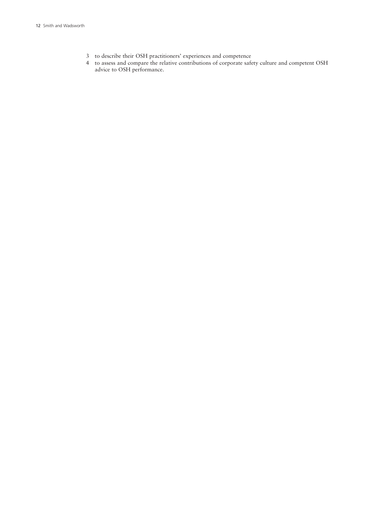- to describe their OSH practitioners' experiences and competence
- to assess and compare the relative contributions of corporate safety culture and competent OSH advice to OSH performance.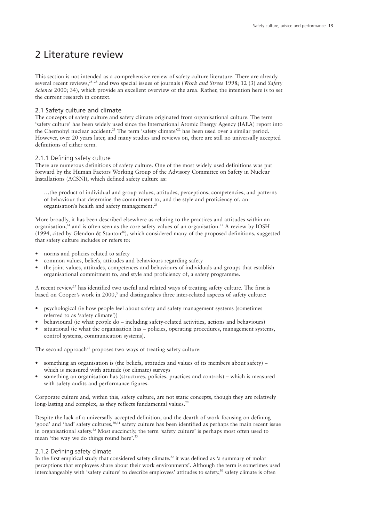## 2 Literature review

This section is not intended as a comprehensive review of safety culture literature. There are already several recent reviews, 25–28 and two special issues of journals (*Work and Stress* 1998; 12 (3) and *Safety Science* 2000; 34), which provide an excellent overview of the area. Rather, the intention here is to set the current research in context.

#### 2.1 Safety culture and climate

The concepts of safety culture and safety climate originated from organisational culture. The term 'safety culture' has been widely used since the International Atomic Energy Agency (IAEA) report into the Chernobyl nuclear accident. <sup>21</sup> The term 'safety climate' <sup>22</sup> has been used over a similar period. However, over 20 years later, and many studies and reviews on, there are still no universally accepted definitions of either term.

#### 2.1.1 Defining safety culture

There are numerous definitions of safety culture. One of the most widely used definitions was put forward by the Human Factors Working Group of the Advisory Committee on Safety in Nuclear Installations (ACSNI), which defined safety culture as:

…the product of individual and group values, attitudes, perceptions, competencies, and patterns of behaviour that determine the commitment to, and the style and proficiency of, an organisation's health and safety management. 23

More broadly, it has been described elsewhere as relating to the practices and attitudes within an organisation, <sup>24</sup> and is often seen as the core safety values of an organisation. <sup>25</sup> A review by IOSH (1994, cited by Glendon & Stanton<sup>26</sup>), which considered many of the proposed definitions, suggested that safety culture includes or refers to:

- norms and policies related to safety
- common values, beliefs, attitudes and behaviours regarding safety
- the joint values, attitudes, competences and behaviours of individuals and groups that establish organisational commitment to, and style and proficiency of, a safety programme.

A recent review<sup>27</sup> has identified two useful and related ways of treating safety culture. The first is based on Cooper's work in 2000, <sup>3</sup> and distinguishes three inter-related aspects of safety culture:

- psychological (ie how people feel about safety and safety management systems (sometimes referred to as 'safety climate'))
- behavioural (ie what people do including safety-related activities, actions and behaviours)
- situational (ie what the organisation has policies, operating procedures, management systems, control systems, communication systems).

The second approach<sup>28</sup> proposes two ways of treating safety culture:

- something an organisation is (the beliefs, attitudes and values of its members about safety) which is measured with attitude (or climate) surveys
- something an organisation has (structures, policies, practices and controls) which is measured with safety audits and performance figures.

Corporate culture and, within this, safety culture, are not static concepts, though they are relatively long-lasting and complex, as they reflects fundamental values.<sup>29</sup>

Despite the lack of a universally accepted definition, and the dearth of work focusing on defining 'good' and 'bad' safety cultures,<sup>30,31</sup> safety culture has been identified as perhaps the main recent issue in organisational safety. <sup>32</sup> Most succinctly, the term 'safety culture' is perhaps most often used to mean 'the way we do things round here'. 33

#### 2.1.2 Defining safety climate

In the first empirical study that considered safety climate, <sup>22</sup> it was defined as 'a summary of molar perceptions that employees share about their work environments'. Although the term is sometimes used interchangeably with 'safety culture' to describe employees' attitudes to safety,<sup>30</sup> safety climate is often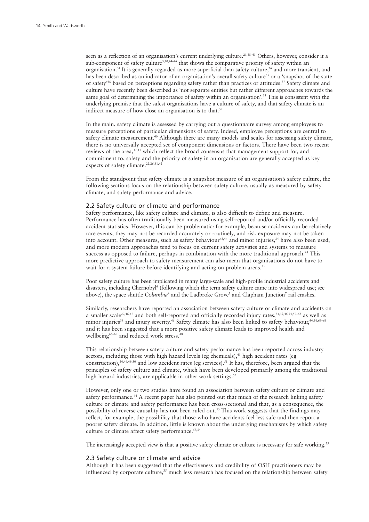seen as a reflection of an organisation's current underlying culture.<sup>21,38-43</sup> Others, however, consider it a sub-component of safety culture<sup>3,30,4446</sup> that shows the comparative priority of safety within an organisation. <sup>34</sup> It is generally regarded as more superficial than safety culture, <sup>26</sup> and more transient, and has been described as an indicator of an organisation's overall safety culture<sup>35</sup> or a 'snapshot of the state of safety<sup>36</sup> based on perceptions regarding safety rather than practices or attitudes.<sup>37</sup> Safety climate and culture have recently been described as 'not separate entities but rather different approaches towards the same goal of determining the importance of safety within an organisation'.<sup>38</sup> This is consistent with the underlying premise that the safest organisations have a culture of safety, and that safety climate is an indirect measure of how close an organisation is to that.<sup>39</sup>

In the main, safety climate is assessed by carrying out a questionnaire survey among employees to measure perceptions of particular dimensions of safety. Indeed, employee perceptions are central to safety climate measurement. <sup>40</sup> Although there are many models and scales for assessing safety climate, there is no universally accepted set of component dimensions or factors. There have been two recent reviews of the area, 37,41 which reflect the broad consensus that management support for, and commitment to, safety and the priority of safety in an organisation are generally accepted as key aspects of safety climate. 22,26,41,42

From the standpoint that safety climate is a snapshot measure of an organisation's safety culture, the following sections focus on the relationship between safety culture, usually as measured by safety climate, and safety performance and advice.

#### 2.2 Safety culture or climate and performance

Safety performance, like safety culture and climate, is also difficult to define and measure. Performance has often traditionally been measured using self-reported and/or officially recorded accident statistics. However, this can be problematic: for example, because accidents can be relatively rare events, they may not be recorded accurately or routinely, and risk exposure may not be taken into account. Other measures, such as safety behaviour<sup>43,44</sup> and minor injuries,<sup>34</sup> have also been used, and more modern approaches tend to focus on current safety activities and systems to measure success as opposed to failure, perhaps in combination with the more traditional approach.<sup>45</sup> This more predictive approach to safety measurement can also mean that organisations do not have to wait for a system failure before identifying and acting on problem areas.<sup>41</sup>

Poor safety culture has been implicated in many large-scale and high-profile industrial accidents and disasters, including Chernobyl <sup>6</sup> (following which the term safety culture came into widespread use; see above), the space shuttle *Columbia*<sup>4</sup> and the Ladbroke Grove<sup>5</sup> and Clapham Junction<sup>7</sup> rail crashes.

Similarly, researchers have reported an association between safety culture or climate and accidents on a smaller scale<sup>22,46,47</sup> and both self-reported and officially recorded injury rates,  $33,39,46,54,57-62$  as well as minor injuries<sup>34</sup> and injury severity.<sup>46</sup> Safety climate has also been linked to safety behaviour,<sup>44,56,63–65</sup> and it has been suggested that a more positive safety climate leads to improved health and wellbeing<sup>66–68</sup> and reduced work stress.<sup>48</sup>

This relationship between safety culture and safety performance has been reported across industry sectors, including those with high hazard levels (eg chemicals), <sup>43</sup> high accident rates (eg construction),  $34,46,49,50$  and low accident rates (eg services).  $51$  It has, therefore, been argued that the principles of safety culture and climate, which have been developed primarily among the traditional high hazard industries, are applicable in other work settings.<sup>52</sup>

However, only one or two studies have found an association between safety culture or climate and safety performance.<sup>44</sup> A recent paper has also pointed out that much of the research linking safety culture or climate and safety performance has been cross-sectional and that, as a consequence, the possibility of reverse causality has not been ruled out. <sup>53</sup> This work suggests that the findings may reflect, for example, the possibility that those who have accidents feel less safe and then report a poorer safety climate. In addition, little is known about the underlying mechanisms by which safety culture or climate affect safety performance. 53,54

The increasingly accepted view is that a positive safety climate or culture is necessary for safe working.<sup>55</sup>

#### 2.3 Safety culture or climate and advice

Although it has been suggested that the effectiveness and credibility of OSH practitioners may be influenced by corporate culture, <sup>35</sup> much less research has focused on the relationship between safety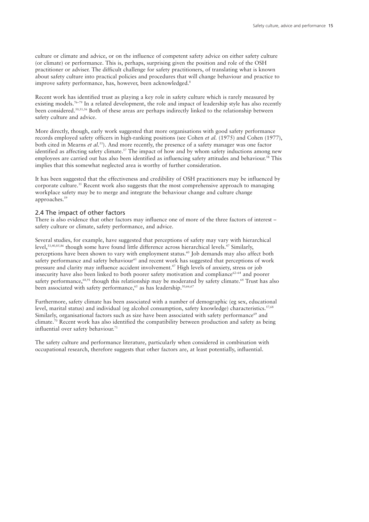culture or climate and advice, or on the influence of competent safety advice on either safety culture (or climate) or performance. This is, perhaps, surprising given the position and role of the OSH practitioner or adviser. The difficult challenge for safety practitioners, of translating what is known about safety culture into practical policies and procedures that will change behaviour and practice to improve safety performance, has, however, been acknowledged. 8

Recent work has identified trust as playing a key role in safety culture which is rarely measured by existing models.<sup>76-79</sup> In a related development, the role and impact of leadership style has also recently been considered.<sup>50,51,56</sup> Both of these areas are perhaps indirectly linked to the relationship between safety culture and advice.

More directly, though, early work suggested that more organisations with good safety performance records employed safety officers in high-ranking positions (see Cohen *et al.* (1975) and Cohen (1977), both cited in Mearns *et al.* 55 ). And more recently, the presence of a safety manager was one factor identified as affecting safety climate.<sup>57</sup> The impact of how and by whom safety inductions among new employees are carried out has also been identified as influencing safety attitudes and behaviour. <sup>58</sup> This implies that this somewhat neglected area is worthy of further consideration.

It has been suggested that the effectiveness and credibility of OSH practitioners may be influenced by corporate culture. <sup>35</sup> Recent work also suggests that the most comprehensive approach to managing workplace safety may be to merge and integrate the behaviour change and culture change approaches. 59

#### 2.4 The impact of other factors

There is also evidence that other factors may influence one of more of the three factors of interest – safety culture or climate, safety performance, and advice.

Several studies, for example, have suggested that perceptions of safety may vary with hierarchical level, 33,40,85,86 though some have found little difference across hierarchical levels. <sup>47</sup> Similarly, perceptions have been shown to vary with employment status. <sup>60</sup> Job demands may also affect both safety performance and safety behaviour<sup>61</sup> and recent work has suggested that perceptions of work pressure and clarity may influence accident involvement. <sup>47</sup> High levels of anxiety, stress or job insecurity have also been linked to both poorer safety motivation and compliance $62-64$  and poorer safety performance,<sup>68,91</sup> though this relationship may be moderated by safety climate.<sup>64</sup> Trust has also been associated with safety performance,<sup>65</sup> as has leadership.<sup>50,66,67</sup>

Furthermore, safety climate has been associated with a number of demographic (eg sex, educational level, marital status) and individual (eg alcohol consumption, safety knowledge) characteristics. 57,68 Similarly, organisational factors such as size have been associated with safety performance<sup>69</sup> and climate. <sup>70</sup> Recent work has also identified the compatibility between production and safety as being influential over safety behaviour. 71

The safety culture and performance literature, particularly when considered in combination with occupational research, therefore suggests that other factors are, at least potentially, influential.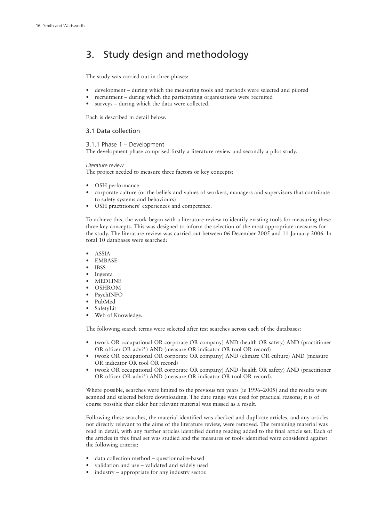## 3. Study design and methodology

The study was carried out in three phases:

- development during which the measuring tools and methods were selected and piloted
- recruitment during which the participating organisations were recruited
- surveys during which the data were collected.

Each is described in detail below.

#### 3.1 Data collection

3.1.1 Phase 1 – Development

The development phase comprised firstly a literature review and secondly a pilot study.

*Literature review*

The project needed to measure three factors or key concepts:

- OSH performance
- corporate culture (or the beliefs and values of workers, managers and supervisors that contribute to safety systems and behaviours)
- OSH practitioners' experiences and competence.

To achieve this, the work began with a literature review to identify existing tools for measuring these three key concepts. This was designed to inform the selection of the most appropriate measures for the study. The literature review was carried out between 06 December 2005 and 11 January 2006. In total 10 databases were searched:

- ASSIA
- EMBASE
- IBSS
- Ingenta
- MEDLINE
- OSHROM
- PsychINFO
- PubMed
- SafetyLit
- Web of Knowledge.

The following search terms were selected after test searches across each of the databases:

- (work OR occupational OR corporate OR company) AND (health OR safety) AND (practitioner OR officer OR advi\*) AND (measure OR indicator OR tool OR record)
- (work OR occupational OR corporate OR company) AND (climate OR culture) AND (measure OR indicator OR tool OR record)
- (work OR occupational OR corporate OR company) AND (health OR safety) AND (practitioner OR officer OR advi\*) AND (measure OR indicator OR tool OR record).

Where possible, searches were limited to the previous ten years (ie 1996–2005) and the results were scanned and selected before downloading. The date range was used for practical reasons; it is of course possible that older but relevant material was missed as a result.

Following these searches, the material identified was checked and duplicate articles, and any articles not directly relevant to the aims of the literature review, were removed. The remaining material was read in detail, with any further articles identified during reading added to the final article set. Each of the articles in this final set was studied and the measures or tools identified were considered against the following criteria:

- data collection method questionnaire-based
- validation and use validated and widely used
- industry appropriate for any industry sector.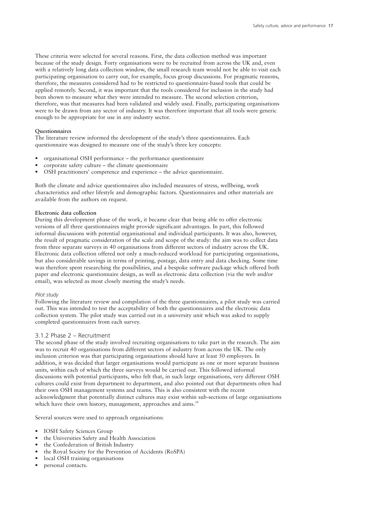These criteria were selected for several reasons. First, the data collection method was important because of the study design. Forty organisations were to be recruited from across the UK and, even with a relatively long data collection window, the small research team would not be able to visit each participating organisation to carry out, for example, focus group discussions. For pragmatic reasons, therefore, the measures considered had to be restricted to questionnaire-based tools that could be applied remotely. Second, it was important that the tools considered for inclusion in the study had been shown to measure what they were intended to measure. The second selection criterion, therefore, was that measures had been validated and widely used. Finally, participating organisations were to be drawn from any sector of industry. It was therefore important that all tools were generic enough to be appropriate for use in any industry sector.

#### **Questionnaires**

The literature review informed the development of the study's three questionnaires. Each questionnaire was designed to measure one of the study's three key concepts:

- organisational OSH performance the performance questionnaire
- $\omega$  corporate safety culture the climate questionnaire
- OSH practitioners' competence and experience the advice questionnaire.

Both the climate and advice questionnaires also included measures of stress, wellbeing, work characteristics and other lifestyle and demographic factors. Questionnaires and other materials are available from the authors on request.

#### **Electronic data collection**

During this development phase of the work, it became clear that being able to offer electronic versions of all three questionnaires might provide significant advantages. In part, this followed informal discussions with potential organisational and individual participants. It was also, however, the result of pragmatic consideration of the scale and scope of the study: the aim was to collect data from three separate surveys in 40 organisations from different sectors of industry across the UK. Electronic data collection offered not only a much-reduced workload for participating organisations, but also considerable savings in terms of printing, postage, data entry and data checking. Some time was therefore spent researching the possibilities, and a bespoke software package which offered both paper and electronic questionnaire design, as well as electronic data collection (via the web and/or email), was selected as most closely meeting the study's needs.

#### *Pilot study*

Following the literature review and compilation of the three questionnaires, a pilot study was carried out. This was intended to test the acceptability of both the questionnaires and the electronic data collection system. The pilot study was carried out in a university unit which was asked to supply completed questionnaires from each survey.

#### 3.1.2 Phase 2 – Recruitment

The second phase of the study involved recruiting organisations to take part in the research. The aim was to recruit 40 organisations from different sectors of industry from across the UK. The only inclusion criterion was that participating organisations should have at least 50 employees. In addition, it was decided that larger organisations would participate as one or more separate business units, within each of which the three surveys would be carried out. This followed informal discussions with potential participants, who felt that, in such large organisations, very different OSH cultures could exist from department to department, and also pointed out that departments often had their own OSH management systems and teams. This is also consistent with the recent acknowledgment that potentially distinct cultures may exist within sub-sections of large organisations which have their own history, management, approaches and aims.<sup>39</sup>

Several sources were used to approach organisations:

- IOSH Safety Sciences Group
- the Universities Safety and Health Association
- the Confederation of British Industry
- the Royal Society for the Prevention of Accidents (RoSPA)
- local OSH training organisations
- personal contacts.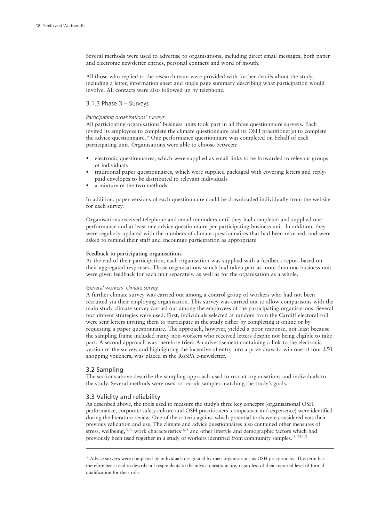Several methods were used to advertise to organisations, including direct email messages, both paper and electronic newsletter entries, personal contacts and word of mouth.

All those who replied to the research team were provided with further details about the study, including a letter, information sheet and single page summary describing what participation would involve. All contacts were also followed up by telephone.

#### 3.1.3 Phase 3 – Surveys

#### *Participating organisations' surveys*

All participating organisations' business units took part in all three questionnaire surveys. Each invited its employees to complete the climate questionnaire and its OSH practitioner(s) to complete the advice questionnaire.\* One performance questionnaire was completed on behalf of each participating unit. Organisations were able to choose between:

- electronic questionnaires, which were supplied as email links to be forwarded to relevant groups of individuals
- traditional paper questionnaires, which were supplied packaged with covering letters and replypaid envelopes to be distributed to relevant individuals
- a mixture of the two methods.

In addition, paper versions of each questionnaire could be downloaded individually from the website for each survey.

Organisations received telephone and email reminders until they had completed and supplied one performance and at least one advice questionnaire per participating business unit. In addition, they were regularly updated with the numbers of climate questionnaires that had been returned, and were asked to remind their staff and encourage participation as appropriate.

#### **Feedback to participating organisations**

At the end of their participation, each organisation was supplied with a feedback report based on their aggregated responses. Those organisations which had taken part as more than one business unit were given feedback for each unit separately, as well as for the organisation as a whole.

#### *General workers' climate survey*

A further climate survey was carried out among a control group of workers who had not been recruited via their employing organisation. This survey was carried out to allow comparisons with the main study climate survey carried out among the employees of the participating organisations. Several recruitment strategies were used. First, individuals selected at random from the Cardiff electoral roll were sent letters inviting them to participate in the study either by completing it online or by requesting a paper questionnaire. The approach, however, yielded a poor response, not least because the sampling frame included many non-workers who received letters despite not being eligible to take part. A second approach was therefore tried. An advertisement containing a link to the electronic version of the survey, and highlighting the incentive of entry into a prize draw to win one of four  $£50$ shopping vouchers, was placed in the RoSPA e-newsletter.

#### 3.2 Sampling

The sections above describe the sampling approach used to recruit organisations and individuals to the study. Several methods were used to recruit samples matching the study's goals.

#### 3.3 Validity and reliability

As described above, the tools used to measure the study's three key concepts (organisational OSH performance, corporate safety culture and OSH practitioners' competence and experience) were identified during the literature review. One of the criteria against which potential tools were considered was their previous validation and use. The climate and advice questionnaires also contained other measures of stress, wellbeing,<sup>72,73</sup> work characteristics<sup>74,75</sup> and other lifestyle and demographic factors which had previously been used together in a study of workers identified from community samples.<sup>14,101,102</sup>

<sup>\*</sup> Advice surveys were completed by individuals designated by their organisations as OSH practitioners. This term has therefore been used to describe all respondents to the advice questionnaire, regardless of their reported level of formal qualification for their role.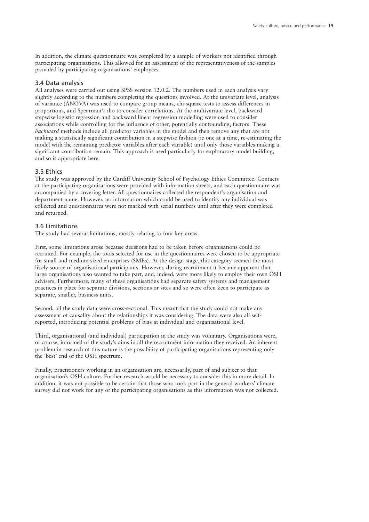In addition, the climate questionnaire was completed by a sample of workers not identified through participating organisations. This allowed for an assessment of the representativeness of the samples provided by participating organisations' employees.

#### 3.4 Data analysis

All analyses were carried out using SPSS version 12.0.2. The numbers used in each analysis vary slightly according to the numbers completing the questions involved. At the univariate level, analysis of variance (ANOVA) was used to compare group means, chi-square tests to assess differences in proportions, and Spearman's rho to consider correlations. At the multivariate level, backward stepwise logistic regression and backward linear regression modelling were used to consider associations while controlling for the influence of other, potentially confounding, factors. These *backward* methods include all predictor variables in the model and then remove any that are not making a statistically significant contribution in a stepwise fashion (ie one at a time, re-estimating the model with the remaining predictor variables after each variable) until only those variables making a significant contribution remain. This approach is used particularly for exploratory model building, and so is appropriate here.

#### 3.5 Ethics

The study was approved by the Cardiff University School of Psychology Ethics Committee. Contacts at the participating organisations were provided with information sheets, and each questionnaire was accompanied by a covering letter. All questionnaires collected the respondent's organisation and department name. However, no information which could be used to identify any individual was collected and questionnaires were not marked with serial numbers until after they were completed and returned.

#### 3.6 Limitations

The study had several limitations, mostly relating to four key areas.

First, some limitations arose because decisions had to be taken before organisations could be recruited. For example, the tools selected for use in the questionnaires were chosen to be appropriate for small and medium sized enterprises (SMEs). At the design stage, this category seemed the most likely source of organisational participants. However, during recruitment it became apparent that large organisations also wanted to take part, and, indeed, were more likely to employ their own OSH advisers. Furthermore, many of these organisations had separate safety systems and management practices in place for separate divisions, sections or sites and so were often keen to participate as separate, smaller, business units.

Second, all the study data were cross-sectional. This meant that the study could not make any assessment of causality about the relationships it was considering. The data were also all selfreported, introducing potential problems of bias at individual and organisational level.

Third, organisational (and individual) participation in the study was voluntary. Organisations were, of course, informed of the study's aims in all the recruitment information they received. An inherent problem in research of this nature is the possibility of participating organisations representing only the 'best' end of the OSH spectrum.

Finally, practitioners working in an organisation are, necessarily, part of and subject to that organisation's OSH culture. Further research would be necessary to consider this in more detail. In addition, it was not possible to be certain that those who took part in the general workers' climate survey did not work for any of the participating organisations as this information was not collected.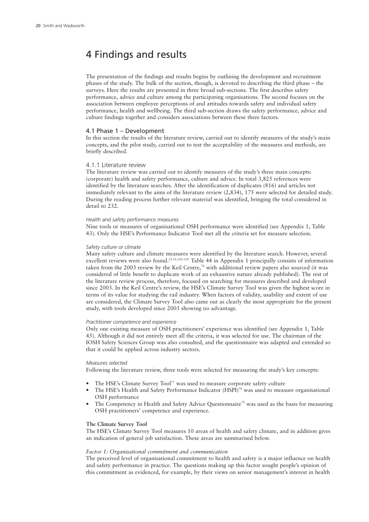## 4 Findings and results

The presentation of the findings and results begins by outlining the development and recruitment phases of the study. The bulk of the section, though, is devoted to describing the third phase – the surveys. Here the results are presented in three broad sub-sections. The first describes safety performance, advice and culture among the participating organisations. The second focuses on the association between employee perceptions of and attitudes towards safety and individual safety performance, health and wellbeing. The third sub-section draws the safety performance, advice and culture findings together and considers associations between these three factors.

#### 4.1 Phase 1 – Development

In this section the results of the literature review, carried out to identify measures of the study's main concepts, and the pilot study, carried out to test the acceptability of the measures and methods, are briefly described.

#### 4.1.1 Literature review

The literature review was carried out to identify measures of the study's three main concepts: (corporate) health and safety performance, culture and advice. In total 3,825 references were identified by the literature searches. After the identification of duplicates (816) and articles not immediately relevant to the aims of the literature review (2,834), 175 were selected for detailed study. During the reading process further relevant material was identified, bringing the total considered in detail to 232.

#### *Health and safety performance measures*

Nine tools or measures of organisational OSH performance were identified (see Appendix 1, Table 43). Only the HSE's Performance Indicator Tool met all the criteria set for measure selection.

#### *Safety culture or climate*

Many safety culture and climate measures were identified by the literature search. However, several excellent reviews were also found.<sup>23,31,102–105</sup> Table 44 in Appendix 1 principally consists of information taken from the 2003 review by the Keil Centre, <sup>76</sup> with additional review papers also sourced (it was considered of little benefit to duplicate work of an exhaustive nature already published). The rest of the literature review process, therefore, focused on searching for measures described and developed since 2003. In the Keil Centre's review, the HSE's Climate Survey Tool was given the highest score in terms of its value for studying the rail industry. When factors of validity, usability and extent of use are considered, the Climate Survey Tool also came out as clearly the most appropriate for the present study, with tools developed since 2003 showing no advantage.

#### *Practitioner competence and experience*

Only one existing measure of OSH practitioners' experience was identified (see Appendix 1, Table 45). Although it did not entirely meet all the criteria, it was selected for use. The chairman of the IOSH Safety Sciences Group was also consulted, and the questionnaire was adapted and extended so that it could be applied across industry sectors.

#### *Measures selected*

Following the literature review, three tools were selected for measuring the study's key concepts:

- The HSE's Climate Survey Tool<sup>77</sup> was used to measure corporate safety culture
- The HSE's Health and Safety Performance Indicator (HSPI)<sup>78</sup> was used to measure organisational OSH performance
- The Competency in Health and Safety Advice Questionnaire<sup>79</sup> was used as the basis for measuring OSH practitioners' competence and experience.

#### **The Climate Survey Tool**

The HSE's Climate Survey Tool measures 10 areas of health and safety climate, and in addition gives an indication of general job satisfaction. These areas are summarised below.

#### *Factor 1: Organisational commitment and communication*

The perceived level of organisational commitment to health and safety is a major influence on health and safety performance in practice. The questions making up this factor sought people's opinion of this commitment as evidenced, for example, by their views on senior management's interest in health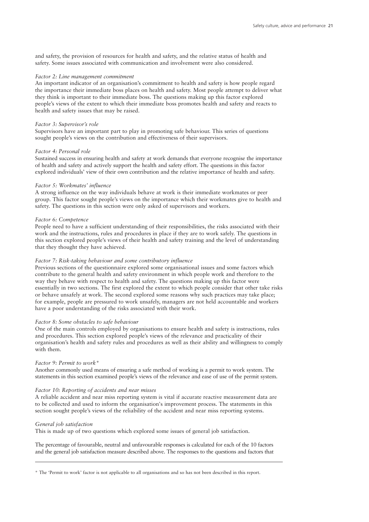and safety, the provision of resources for health and safety, and the relative status of health and safety. Some issues associated with communication and involvement were also considered.

#### *Factor 2: Line management commitment*

An important indicator of an organisation's commitment to health and safety is how people regard the importance their immediate boss places on health and safety. Most people attempt to deliver what they think is important to their immediate boss. The questions making up this factor explored people's views of the extent to which their immediate boss promotes health and safety and reacts to health and safety issues that may be raised.

#### *Factor 3: Supervisor's role*

Supervisors have an important part to play in promoting safe behaviour. This series of questions sought people's views on the contribution and effectiveness of their supervisors.

#### *Factor 4: Personal role*

Sustained success in ensuring health and safety at work demands that everyone recognise the importance of health and safety and actively support the health and safety effort. The questions in this factor explored individuals' view of their own contribution and the relative importance of health and safety.

#### *Factor 5: Workmates' influence*

A strong influence on the way individuals behave at work is their immediate workmates or peer group. This factor sought people's views on the importance which their workmates give to health and safety. The questions in this section were only asked of supervisors and workers.

#### *Factor 6: Competence*

People need to have a sufficient understanding of their responsibilities, the risks associated with their work and the instructions, rules and procedures in place if they are to work safely. The questions in this section explored people's views of their health and safety training and the level of understanding that they thought they have achieved.

#### *Factor 7: Risk-taking behaviour and some contributory influence*

Previous sections of the questionnaire explored some organisational issues and some factors which contribute to the general health and safety environment in which people work and therefore to the way they behave with respect to health and safety. The questions making up this factor were essentially in two sections. The first explored the extent to which people consider that other take risks or behave unsafely at work. The second explored some reasons why such practices may take place; for example, people are pressured to work unsafely, managers are not held accountable and workers have a poor understanding of the risks associated with their work.

#### *Factor 8: Some obstacles to safe behaviour*

One of the main controls employed by organisations to ensure health and safety is instructions, rules and procedures. This section explored people's views of the relevance and practicality of their organisation's health and safety rules and procedures as well as their ability and willingness to comply with them.

#### *Factor 9: Permit to work\**

Another commonly used means of ensuring a safe method of working is a permit to work system. The statements in this section examined people's views of the relevance and ease of use of the permit system.

#### *Factor 10: Reporting of accidents and near misses*

A reliable accident and near miss reporting system is vital if accurate reactive measurement data are to be collected and used to inform the organisation's improvement process. The statements in this section sought people's views of the reliability of the accident and near miss reporting systems.

#### *General job satisfaction*

This is made up of two questions which explored some issues of general job satisfaction.

The percentage of favourable, neutral and unfavourable responses is calculated for each of the 10 factors and the general job satisfaction measure described above. The responses to the questions and factors that

\* The 'Permit to work' factor is not applicable to all organisations and so has not been described in this report.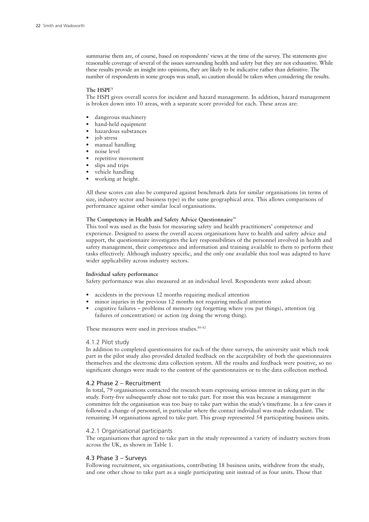summarise them are, of course, based on respondents' views at the time of the survey. The statements give reasonable coverage of several of the issues surrounding health and safety but they are not exhaustive. While these results provide an insight into opinions, they are likely to be indicative rather than definitive. The number of respondents in some groups was small, so caution should be taken when considering the results.

#### **The HSPI** 78

The HSPI gives overall scores for incident and hazard management. In addition, hazard management is broken down into 10 areas, with a separate score provided for each. These areas are:

- dangerous machinery
- hand-held equipment
- hazardous substances
- iob stress
- manual handling
- noise level
- repetitive movement
- slips and trips
- vehicle handling
- working at height.

All these scores can also be compared against benchmark data for similar organisations (in terms of size, industry sector and business type) in the same geographical area. This allows comparisons of performance against other similar local organisations.

#### **The Competency in Health and Safety Advice Questionnaire79**

This tool was used as the basis for measuring safety and health practitioners' competence and experience. Designed to assess the overall access organisations have to health and safety advice and support, the questionnaire investigates the key responsibilities of the personnel involved in health and safety management, their competence and information and training available to them to perform their tasks effectively. Although industry specific, and the only one available this tool was adapted to have wider applicability across industry sectors.

#### **Individual safety performance**

Safety performance was also measured at an individual level. Respondents were asked about:

- accidents in the previous 12 months requiring medical attention
- minor injuries in the previous 12 months not requiring medical attention
- cognitive failures problems of memory (eg forgetting where you put things), attention (eg failures of concentration) or action (eg doing the wrong thing).

These measures were used in previous studies. 80–82

#### 4.1.2 Pilot study

In addition to completed questionnaires for each of the three surveys, the university unit which took part in the pilot study also provided detailed feedback on the acceptability of both the questionnaires themselves and the electronic data collection system. All the results and feedback were positive, so no significant changes were made to the content of the questionnaires or to the data collection method.

#### 4.2 Phase 2 – Recruitment

In total, 79 organisations contacted the research team expressing serious interest in taking part in the study. Forty-five subsequently chose not to take part. For most this was because a management committee felt the organisation was too busy to take part within the study's timeframe. In a few cases it followed a change of personnel, in particular where the contact individual was made redundant. The remaining 34 organisations agreed to take part. This group represented 54 participating business units.

#### 4.2.1 Organisational participants

The organisations that agreed to take part in the study represented a variety of industry sectors from across the UK, as shown in Table 1.

#### 4.3 Phase 3 – Surveys

Following recruitment, six organisations, contributing 18 business units, withdrew from the study, and one other chose to take part as a single participating unit instead of as four units. Those that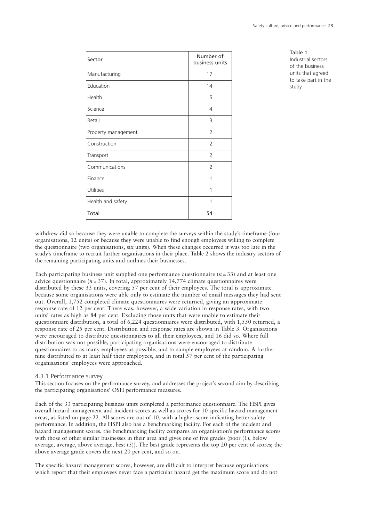| Sector              | Number of<br>business units |
|---------------------|-----------------------------|
| Manufacturing       | 17                          |
| Education           | 14                          |
| Health              | 5                           |
| Science             | $\overline{4}$              |
| Retail              | 3                           |
| Property management | $\overline{2}$              |
| Construction        | 2                           |
| Transport           | $\overline{2}$              |
| Communications      | 2                           |
| Finance             | 1                           |
| Utilities           | 1                           |
| Health and safety   | 1                           |
| Total               | 54                          |

Table 1 Industrial sectors of the business units that agreed to take part in the study

withdrew did so because they were unable to complete the surveys within the study's timeframe (four organisations, 12 units) or because they were unable to find enough employees willing to complete the questionnaire (two organisations, six units). When these changes occurred it was too late in the study's timeframe to recruit further organisations in their place. Table 2 shows the industry sectors of the remaining participating units and outlines their businesses.

Each participating business unit supplied one performance questionnaire  $(n = 33)$  and at least one advice questionnaire  $(n = 37)$ . In total, approximately 14,774 climate questionnaires were distributed by these 33 units, covering 57 per cent of their employees. The total is approximate because some organisations were able only to estimate the number of email messages they had sent out. Overall, 1,752 completed climate questionnaires were returned, giving an approximate response rate of 12 per cent. There was, however, a wide variation in response rates, with two units' rates as high as 84 per cent. Excluding those units that were unable to estimate their questionnaire distribution, a total of 6,224 questionnaires were distributed, with 1,550 returned, a response rate of 25 per cent. Distribution and response rates are shown in Table 3. Organisations were encouraged to distribute questionnaires to all their employees, and 16 did so. Where full distribution was not possible, participating organisations were encouraged to distribute questionnaires to as many employees as possible, and to sample employees at random. A further nine distributed to at least half their employees, and in total 57 per cent of the participating organisations' employees were approached.

#### 4.3.1 Performance survey

This section focuses on the performance survey, and addresses the project's second aim by describing the participating organisations' OSH performance measures.

Each of the 33 participating business units completed a performance questionnaire. The HSPI gives overall hazard management and incident scores as well as scores for 10 specific hazard management areas, as listed on page 22. All scores are out of 10, with a higher score indicating better safety performance. In addition, the HSPI also has a benchmarking facility. For each of the incident and hazard management scores, the benchmarking facility compares an organisation's performance scores with those of other similar businesses in their area and gives one of five grades (poor (1), below average, average, above average, best  $(5)$ ). The best grade represents the top 20 per cent of scores; the above average grade covers the next 20 per cent, and so on.

The specific hazard management scores, however, are difficult to interpret because organisations which report that their employees never face a particular hazard get the maximum score and do not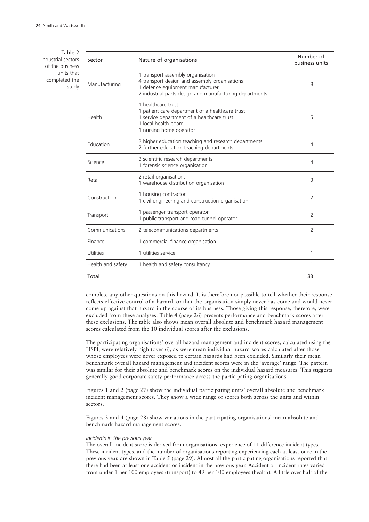Table 2 Industrial sectors of the business units that completed the study

| Sector            | Nature of organisations                                                                                                                                                           | Number of<br>business units |
|-------------------|-----------------------------------------------------------------------------------------------------------------------------------------------------------------------------------|-----------------------------|
| Manufacturing     | 1 transport assembly organisation<br>4 transport design and assembly organisations<br>1 defence equipment manufacturer<br>2 industrial parts design and manufacturing departments | 8                           |
| Health            | 1 healthcare trust<br>1 patient care department of a healthcare trust<br>1 service department of a healthcare trust<br>1 local health board<br>1 nursing home operator            | 5                           |
| <b>Education</b>  | 2 higher education teaching and research departments<br>2 further education teaching departments                                                                                  | $\overline{4}$              |
| Science           | 3 scientific research departments<br>1 forensic science organisation                                                                                                              | 4                           |
| Retail            | 2 retail organisations<br>1 warehouse distribution organisation                                                                                                                   | 3                           |
| Construction      | 1 housing contractor<br>1 civil engineering and construction organisation                                                                                                         | $\overline{2}$              |
| Transport         | 1 passenger transport operator<br>1 public transport and road tunnel operator                                                                                                     | $\overline{2}$              |
| Communications    | 2 telecommunications departments                                                                                                                                                  | $\overline{\phantom{a}}$    |
| Finance           | 1 commercial finance organisation                                                                                                                                                 | 1                           |
| Utilities         | 1 utilities service                                                                                                                                                               | 1                           |
| Health and safety | 1 health and safety consultancy                                                                                                                                                   | 1                           |
| Total             |                                                                                                                                                                                   | 33                          |

complete any other questions on this hazard. It is therefore not possible to tell whether their response reflects effective control of a hazard, or that the organisation simply never has come and would never come up against that hazard in the course of its business. Those giving this response, therefore, were excluded from these analyses. Table 4 (page 26) presents performance and benchmark scores after these exclusions. The table also shows mean overall absolute and benchmark hazard management scores calculated from the 10 individual scores after the exclusions.

The participating organisations' overall hazard management and incident scores, calculated using the HSPI, were relatively high (over 6), as were mean individual hazard scores calculated after those whose employees were never exposed to certain hazards had been excluded. Similarly their mean benchmark overall hazard management and incident scores were in the 'average' range. The pattern was similar for their absolute and benchmark scores on the individual hazard measures. This suggests generally good corporate safety performance across the participating organisations.

Figures 1 and 2 (page 27) show the individual participating units' overall absolute and benchmark incident management scores. They show a wide range of scores both across the units and within sectors.

Figures 3 and 4 (page 28) show variations in the participating organisations' mean absolute and benchmark hazard management scores.

#### *Incidents in the previous year*

The overall incident score is derived from organisations' experience of 11 difference incident types. These incident types, and the number of organisations reporting experiencing each at least once in the previous year, are shown in Table 5 (page 29). Almost all the participating organisations reported that there had been at least one accident or incident in the previous year. Accident or incident rates varied from under 1 per 100 employees (transport) to 49 per 100 employees (health). A little over half of the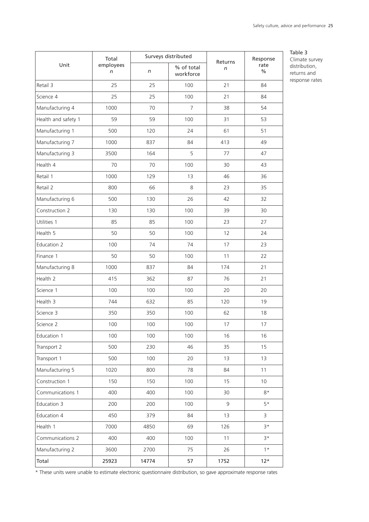|                     | Total          |       | Surveys distributed     | Returns           | Response              |  |
|---------------------|----------------|-------|-------------------------|-------------------|-----------------------|--|
| Unit                | employees<br>n | n     | % of total<br>workforce | $\sqrt{n}$        | rate<br>$\frac{0}{0}$ |  |
| Retail 3            | 25             | 25    | 100                     | 21                | 84                    |  |
| Science 4           | 25             | 25    | 100                     | 21                | 84                    |  |
| Manufacturing 4     | 1000           | 70    | 7                       | 38                | 54                    |  |
| Health and safety 1 | 59             | 59    | 100                     | 31                | 53                    |  |
| Manufacturing 1     | 500            | 120   | 24                      | 61                | 51                    |  |
| Manufacturing 7     | 1000           | 837   | 84                      | 413               | 49                    |  |
| Manufacturing 3     | 3500           | 164   | 5                       | 77                | 47                    |  |
| Health 4            | 70             | 70    | 100                     | 30                | 43                    |  |
| Retail 1            | 1000           | 129   | 13                      | 46                | 36                    |  |
| Retail 2            | 800            | 66    | 8                       | 23                | 35                    |  |
| Manufacturing 6     | 500            | 130   | 26                      | 42                | 32                    |  |
| Construction 2      | 130            | 130   | 100                     | 39                | 30                    |  |
| Utilities 1         | 85             | 85    | 100                     | 23                | 27                    |  |
| Health 5            | 50             | 50    | 100                     | $12 \overline{ }$ | 24                    |  |
| Education 2         | 100            | 74    | 74                      | 17                | 23                    |  |
| Finance 1           | 50             | 50    | 100                     | 11                | 22                    |  |
| Manufacturing 8     | 1000           | 837   | 84                      | 174               | 21                    |  |
| Health 2            | 415            | 362   | 87                      | 76                | 21                    |  |
| Science 1           | 100            | 100   | 100                     | 20                | 20                    |  |
| Health 3            | 744            | 632   | 85                      | 120               | 19                    |  |
| Science 3           | 350            | 350   | 100                     | 62                | 18                    |  |
| Science 2           | 100            | 100   | 100                     | 17                | 17                    |  |
| Education 1         | 100            | 100   | 100                     | 16                | 16                    |  |
| Transport 2         | 500            | 230   | 46                      | 35                | 15                    |  |
| Transport 1         | 500            | 100   | 20                      | 13                | 13                    |  |
| Manufacturing 5     | 1020           | 800   | 78                      | 84                | 11                    |  |
| Construction 1      | 150            | 150   | 100                     | 15                | 10                    |  |
| Communications 1    | 400            | 400   | 100                     | 30                | $8*$                  |  |
| Education 3         | 200            | 200   | 100                     | $\overline{9}$    | $5*$                  |  |
| Education 4         | 450            | 379   | 84                      | 13                | $\overline{3}$        |  |
| Health 1            | 7000           | 4850  | 69                      | 126               | $3*$                  |  |
| Communications 2    | 400            | 400   | 100                     | 11                | $3*$                  |  |
| Manufacturing 2     | 3600           | 2700  | 75                      | 26                | $1*$                  |  |
| Total               | 25923          | 14774 | 57                      | 1752              | $12*$                 |  |

Table 3 Climate survey distribution, returns and response rates

\* These units were unable to estimate electronic questionnaire distribution, so gave approximate response rates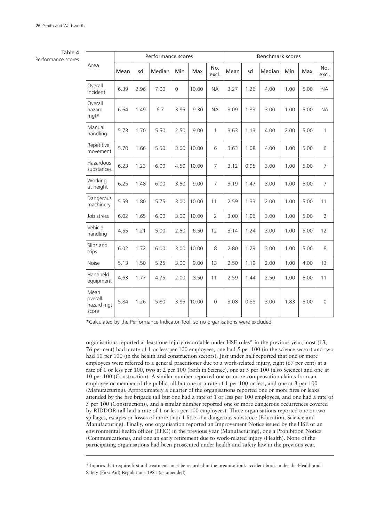#### Table 4

Performance scores

|                                        |      |      | Performance scores |                |       |                | <b>Benchmark scores</b> |      |        |      |      |                |  |
|----------------------------------------|------|------|--------------------|----------------|-------|----------------|-------------------------|------|--------|------|------|----------------|--|
| Area                                   | Mean | sd   | Median             | Min            | Max   | No.<br>excl.   | Mean                    | sd   | Median | Min  | Max  | No.<br>excl.   |  |
| Overall<br>incident                    | 6.39 | 2.96 | 7.00               | $\overline{0}$ | 10.00 | <b>NA</b>      | 3.27                    | 1.26 | 4.00   | 1.00 | 5.00 | <b>NA</b>      |  |
| Overall<br>hazard<br>mgt*              | 6.64 | 1.49 | 6.7                | 3.85           | 9.30  | <b>NA</b>      | 3.09                    | 1.33 | 3.00   | 1.00 | 5.00 | <b>NA</b>      |  |
| Manual<br>handling                     | 5.73 | 1.70 | 5.50               | 2.50           | 9.00  | $\mathbf{1}$   | 3.63                    | 1.13 | 4.00   | 2.00 | 5.00 | 1              |  |
| Repetitive<br>movement                 | 5.70 | 1.66 | 5.50               | 3.00           | 10.00 | 6              | 3.63                    | 1.08 | 4.00   | 1.00 | 5.00 | 6              |  |
| Hazardous<br>substances                | 6.23 | 1.23 | 6.00               | 4.50           | 10.00 | $\overline{7}$ | 3.12                    | 0.95 | 3.00   | 1.00 | 5.00 | $\overline{7}$ |  |
| Working<br>at height                   | 6.25 | 1.48 | 6.00               | 3.50           | 9.00  | $\overline{7}$ | 3.19                    | 1.47 | 3.00   | 1.00 | 5.00 | $\overline{7}$ |  |
| Dangerous<br>machinery                 | 5.59 | 1.80 | 5.75               | 3.00           | 10.00 | 11             | 2.59                    | 1.33 | 2.00   | 1.00 | 5.00 | 11             |  |
| Job stress                             | 6.02 | 1.65 | 6.00               | 3.00           | 10.00 | $\overline{2}$ | 3.00                    | 1.06 | 3.00   | 1.00 | 5.00 | $\overline{2}$ |  |
| Vehicle<br>handling                    | 4.55 | 1.21 | 5.00               | 2.50           | 6.50  | 12             | 3.14                    | 1.24 | 3.00   | 1.00 | 5.00 | 12             |  |
| Slips and<br>trips                     | 6.02 | 1.72 | 6.00               | 3.00           | 10.00 | 8              | 2.80                    | 1.29 | 3.00   | 1.00 | 5.00 | 8              |  |
| Noise                                  | 5.13 | 1.50 | 5.25               | 3.00           | 9.00  | 13             | 2.50                    | 1.19 | 2.00   | 1.00 | 4.00 | 13             |  |
| Handheld<br>equipment                  | 4.63 | 1.77 | 4.75               | 2.00           | 8.50  | 11             | 2.59                    | 1.44 | 2.50   | 1.00 | 5.00 | 11             |  |
| Mean<br>overall<br>hazard mgt<br>score | 5.84 | 1.26 | 5.80               | 3.85           | 10.00 | 0              | 3.08                    | 0.88 | 3.00   | 1.83 | 5.00 | $\overline{0}$ |  |

\*Calculated by the Performance Indicator Tool, so no organisations were excluded

organisations reported at least one injury recordable under HSE rules\* in the previous year; most (13, 76 per cent) had a rate of 1 or less per 100 employees, one had 5 per 100 (in the science sector) and two had 10 per 100 (in the health and construction sectors). Just under half reported that one or more employees were referred to a general practitioner due to a work-related injury, eight (67 per cent) at a rate of 1 or less per 100, two at 2 per 100 (both in Science), one at 5 per 100 (also Science) and one at 10 per 100 (Construction). A similar number reported one or more compensation claims from an employee or member of the public, all but one at a rate of 1 per 100 or less, and one at 3 per 100 (Manufacturing). Approximately a quarter of the organisations reported one or more fires or leaks attended by the fire brigade (all but one had a rate of 1 or less per 100 employees, and one had a rate of 5 per 100 (Construction)), and a similar number reported one or more dangerous occurrences covered by RIDDOR (all had a rate of 1 or less per 100 employees). Three organisations reported one or two spillages, escapes or losses of more than 1 litre of a dangerous substance (Education, Science and Manufacturing). Finally, one organisation reported an Improvement Notice issued by the HSE or an environmental health officer (EHO) in the previous year (Manufacturing), one a Prohibition Notice (Communications), and one an early retirement due to work-related injury (Health). None of the participating organisations had been prosecuted under health and safety law in the previous year.

<sup>\*</sup> Injuries that require first aid treatment must be recorded in the organisation's accident book under the Health and Safety (First Aid) Regulations 1981 (as amended).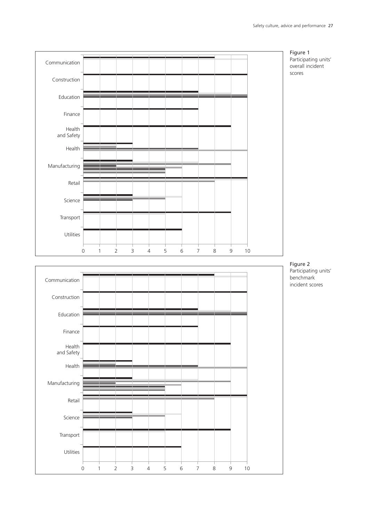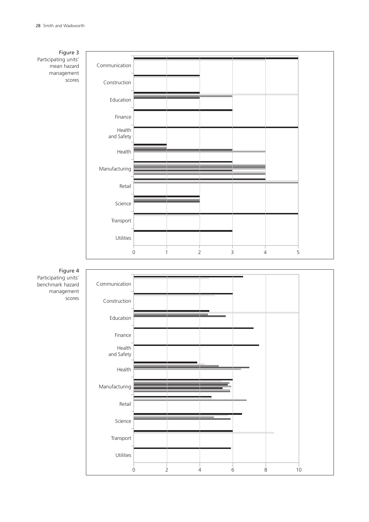#### Figure 3 Participating units' mean hazard management scores



Figure 4 Participating units' benchmark hazard management scores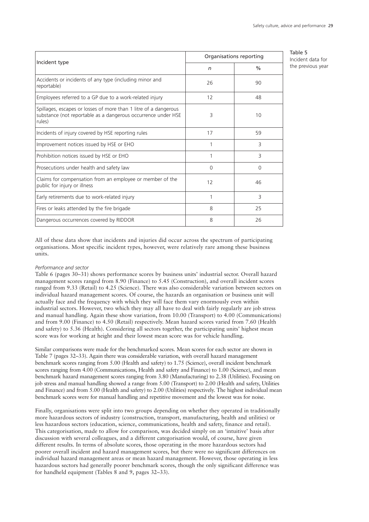Table 5 Incident data for the previous year

|                                                                                                                                             | Organisations reporting |               |
|---------------------------------------------------------------------------------------------------------------------------------------------|-------------------------|---------------|
| Incident type                                                                                                                               | n                       | $\frac{0}{0}$ |
| Accidents or incidents of any type (including minor and<br>reportable)                                                                      | 26                      | 90            |
| Employees referred to a GP due to a work-related injury                                                                                     | 12                      | 48            |
| Spillages, escapes or losses of more than 1 litre of a dangerous<br>substance (not reportable as a dangerous occurrence under HSE<br>rules) | 3                       | 10            |
| Incidents of injury covered by HSE reporting rules                                                                                          | 17                      | 59            |
| Improvement notices issued by HSE or EHO                                                                                                    | 1                       | 3             |
| Prohibition notices issued by HSE or EHO                                                                                                    | 1                       | 3             |
| Prosecutions under health and safety law                                                                                                    | $\Omega$                | $\Omega$      |
| Claims for compensation from an employee or member of the<br>public for injury or illness                                                   | 12                      | 46            |
| Early retirements due to work-related injury                                                                                                | 1                       | 3             |
| Fires or leaks attended by the fire brigade                                                                                                 | 8                       | 25            |
| Dangerous occurrences covered by RIDDOR                                                                                                     | 8                       | 26            |

All of these data show that incidents and injuries did occur across the spectrum of participating organisations. Most specific incident types, however, were relatively rare among these business units.

#### *Performance and sector*

Table 6 (pages 30–31) shows performance scores by business units' industrial sector. Overall hazard management scores ranged from 8.90 (Finance) to 5.45 (Construction), and overall incident scores ranged from 9.33 (Retail) to 4.25 (Science). There was also considerable variation between sectors on individual hazard management scores. Of course, the hazards an organisation or business unit will actually face and the frequency with which they will face them vary enormously even within industrial sectors. However, two which they may all have to deal with fairly regularly are job stress and manual handling. Again these show variation, from 10.00 (Transport) to 4.00 (Communications) and from 9.00 (Finance) to 4.50 (Retail) respectively. Mean hazard scores varied from 7.60 (Health and safety) to 5.36 (Health). Considering all sectors together, the participating units' highest mean score was for working at height and their lowest mean score was for vehicle handling.

Similar comparisons were made for the benchmarked scores. Mean scores for each sector are shown in Table 7 (pages 32–33). Again there was considerable variation, with overall hazard management benchmark scores ranging from 5.00 (Health and safety) to 1.75 (Science), overall incident benchmark scores ranging from 4.00 (Communications, Health and safety and Finance) to 1.00 (Science), and mean benchmark hazard management scores ranging from 3.80 (Manufacturing) to 2.38 (Utilities). Focusing on job stress and manual handling showed a range from 5.00 (Transport) to 2.00 (Health and safety, Utilities and Finance) and from 5.00 (Health and safety) to 2.00 (Utilities) respectively. The highest individual mean benchmark scores were for manual handling and repetitive movement and the lowest was for noise.

Finally, organisations were split into two groups depending on whether they operated in traditionally more hazardous sectors of industry (construction, transport, manufacturing, health and utilities) or less hazardous sectors (education, science, communications, health and safety, finance and retail). This categorisation, made to allow for comparison, was decided simply on an 'intuitive' basis after discussion with several colleagues, and a different categorisation would, of course, have given different results. In terms of absolute scores, those operating in the more hazardous sectors had poorer overall incident and hazard management scores, but there were no significant differences on individual hazard management areas or mean hazard management. However, those operating in less hazardous sectors had generally poorer benchmark scores, though the only significant difference was for handheld equipment (Tables 8 and 9, pages 32–33).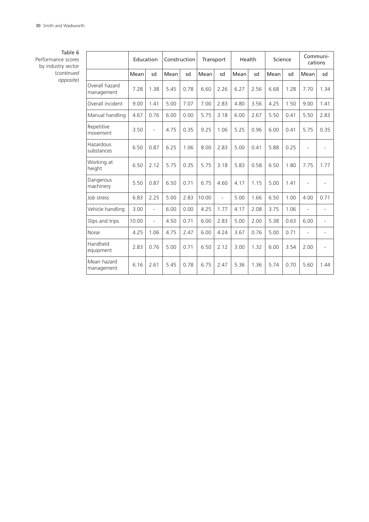#### Table 6

Performance scores by industry sector (*continued opposite*)

|                              | Education |           | Construction |      |       | Transport | Health |      |      | Science | cations | Communi-                 |
|------------------------------|-----------|-----------|--------------|------|-------|-----------|--------|------|------|---------|---------|--------------------------|
|                              | Mean      | sd        | Mean         | sd   | Mean  | sd        | Mean   | sd   | Mean | sd      | Mean    | sd                       |
| Overall hazard<br>management | 7.28      | 1.38      | 5.45         | 0.78 | 6.60  | 2.26      | 6.27   | 2.56 | 6.68 | 1.28    | 7.70    | 1.34                     |
| Overall incident             | 9.00      | 1.41      | 5.00         | 7.07 | 7.00  | 2.83      | 4.80   | 3.56 | 4.25 | 1.50    | 9.00    | 1.41                     |
| Manual handling              | 4.67      | 0.76      | 6.00         | 0.00 | 5.75  | 3.18      | 6.00   | 2.67 | 5.50 | 0.41    | 5.50    | 2.83                     |
| Repetitive<br>movement       | 3.50      | $\bar{a}$ | 4.75         | 0.35 | 9.25  | 1.06      | 5.25   | 0.96 | 6.00 | 0.41    | 5.75    | 0.35                     |
| Hazardous<br>substances      | 6.50      | 0.87      | 6.25         | 1.06 | 8.00  | 2.83      | 5.00   | 0.41 | 5.88 | 0.25    |         |                          |
| Working at<br>height         | 6.50      | 2.12      | 5.75         | 0.35 | 5.75  | 3.18      | 5.83   | 0.58 | 6.50 | 1.80    | 7.75    | 1.77                     |
| Dangerous<br>machinery       | 5.50      | 0.87      | 6.50         | 0.71 | 6.75  | 4.60      | 4.17   | 1.15 | 5.00 | 1.41    |         |                          |
| Job stress                   | 6.83      | 2.25      | 5.00         | 2.83 | 10.00 | ÷,        | 5.00   | 1.66 | 6.50 | 1.00    | 4.00    | 0.71                     |
| Vehicle handling             | 3.00      | ÷,        | 6.00         | 0.00 | 4.25  | 1.77      | 4.17   | 2.08 | 3.75 | 1.06    |         | ÷,                       |
| Slips and trips              | 10.00     | $\bar{a}$ | 4.50         | 0.71 | 6.00  | 2.83      | 5.00   | 2.00 | 5.38 | 0.63    | 6.00    | $\overline{\phantom{a}}$ |
| <b>Noise</b>                 | 4.25      | 1.06      | 4.75         | 2.47 | 6.00  | 4.24      | 3.67   | 0.76 | 5.00 | 0.71    |         | $\overline{\phantom{0}}$ |
| Handheld<br>equipment        | 2.83      | 0.76      | 5.00         | 0.71 | 6.50  | 2.12      | 3.00   | 1.32 | 6.00 | 3.54    | 2.00    | ÷,                       |
| Mean hazard<br>management    | 6.16      | 2.61      | 5.45         | 0.78 | 6.75  | 2.47      | 5.36   | 1.36 | 5.74 | 0.70    | 5.60    | 1.44                     |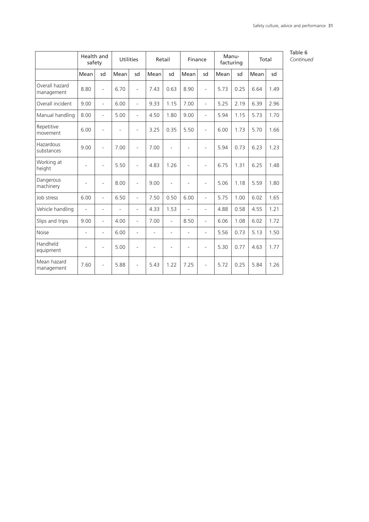|                              | Health and<br>safety     |                          | <b>Utilities</b> |                          | Retail |                          | Finance                  |                          | Manu-<br>facturing |      | Total |      |
|------------------------------|--------------------------|--------------------------|------------------|--------------------------|--------|--------------------------|--------------------------|--------------------------|--------------------|------|-------|------|
|                              | Mean                     | sd                       | Mean             | sd                       | Mean   | sd                       | Mean                     | sd                       | Mean               | sd   | Mean  | sd   |
| Overall hazard<br>management | 8.80                     | L.                       | 6.70             | ÷,                       | 7.43   | 0.63                     | 8.90                     | $\blacksquare$           | 5.73               | 0.25 | 6.64  | 1.49 |
| Overall incident             | 9.00                     | ÷,                       | 6.00             | ä,                       | 9.33   | 1.15                     | 7.00                     | $\overline{\phantom{a}}$ | 5.25               | 2.19 | 6.39  | 2.96 |
| Manual handling              | 8.00                     | ÷,                       | 5.00             | $\overline{a}$           | 4.50   | 1.80                     | 9.00                     | $\blacksquare$           | 5.94               | 1.15 | 5.73  | 1.70 |
| Repetitive<br>movement       | 6.00                     |                          |                  | L                        | 3.25   | 0.35                     | 5.50                     | ÷,                       | 6.00               | 1.73 | 5.70  | 1.66 |
| Hazardous<br>substances      | 9.00                     | ÷.                       | 7.00             | ÷,                       | 7.00   | í.                       | L.                       | ÷,                       | 5.94               | 0.73 | 6.23  | 1.23 |
| Working at<br>height         |                          | ÷.                       | 5.50             | ÷,                       | 4.83   | 1.26                     | ÷,                       | $\overline{\phantom{a}}$ | 6.75               | 1.31 | 6.25  | 1.48 |
| Dangerous<br>machinery       |                          | ÷,                       | 8.00             | $\overline{a}$           | 9.00   | $\overline{a}$           | ä,                       | ÷,                       | 5.06               | 1.18 | 5.59  | 1.80 |
| Job stress                   | 6.00                     | L.                       | 6.50             | $\overline{a}$           | 7.50   | 0.50                     | 6.00                     | $\overline{\phantom{a}}$ | 5.75               | 1.00 | 6.02  | 1.65 |
| Vehicle handling             | ٠                        | ÷.                       |                  | ÷.                       | 4.33   | 1.53                     | ÷,                       | $\overline{\phantom{a}}$ | 4.88               | 0.58 | 4.55  | 1.21 |
| Slips and trips              | 9.00                     | L.                       | 4.00             | L.                       | 7.00   | ÷,                       | 8.50                     | $\overline{\phantom{a}}$ | 6.06               | 1.08 | 6.02  | 1.72 |
| <b>Noise</b>                 | $\overline{\phantom{a}}$ | $\overline{\phantom{a}}$ | 6.00             | ÷,                       | ÷,     | $\overline{\phantom{m}}$ | $\overline{\phantom{a}}$ | $\overline{\phantom{a}}$ | 5.56               | 0.73 | 5.13  | 1.50 |
| Handheld<br>equipment        | $\overline{a}$           | ä,                       | 5.00             | ÷,                       | L,     |                          | ٠                        | $\overline{\phantom{a}}$ | 5.30               | 0.77 | 4.63  | 1.77 |
| Mean hazard<br>management    | 7.60                     | $\overline{\phantom{0}}$ | 5.88             | $\overline{\phantom{0}}$ | 5.43   | 1.22                     | 7.25                     | $\overline{\phantom{a}}$ | 5.72               | 0.25 | 5.84  | 1.26 |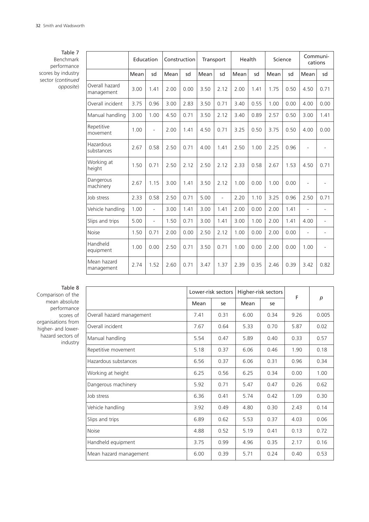Table 7 Benchmark performance scores by industry sector (*continued opposite*)

|                              | Education |      | Construction |      | Transport |      | Health |      | Science |      | Communi-<br>cations |                          |
|------------------------------|-----------|------|--------------|------|-----------|------|--------|------|---------|------|---------------------|--------------------------|
|                              | Mean      | sd   | Mean         | sd   | Mean      | sd   | Mean   | sd   | Mean    | sd   | Mean                | sd                       |
| Overall hazard<br>management | 3.00      | 1.41 | 2.00         | 0.00 | 3.50      | 2.12 | 2.00   | 1.41 | 1.75    | 0.50 | 4.50                | 0.71                     |
| Overall incident             | 3.75      | 0.96 | 3.00         | 2.83 | 3.50      | 0.71 | 3.40   | 0.55 | 1.00    | 0.00 | 4.00                | 0.00                     |
| Manual handling              | 3.00      | 1.00 | 4.50         | 0.71 | 3.50      | 2.12 | 3.40   | 0.89 | 2.57    | 0.50 | 3.00                | 1.41                     |
| Repetitive<br>movement       | 1.00      | ÷,   | 2.00         | 1.41 | 4.50      | 0.71 | 3.25   | 0.50 | 3.75    | 0.50 | 4.00                | 0.00                     |
| Hazardous<br>substances      | 2.67      | 0.58 | 2.50         | 0.71 | 4.00      | 1.41 | 2.50   | 1.00 | 2.25    | 0.96 |                     |                          |
| Working at<br>height         | 1.50      | 0.71 | 2.50         | 2.12 | 2.50      | 2.12 | 2.33   | 0.58 | 2.67    | 1.53 | 4.50                | 0.71                     |
| Dangerous<br>machinery       | 2.67      | 1.15 | 3.00         | 1.41 | 3.50      | 2.12 | 1.00   | 0.00 | 1.00    | 0.00 |                     | -                        |
| Job stress                   | 2.33      | 0.58 | 2.50         | 0.71 | 5.00      | L    | 2.20   | 1.10 | 3.25    | 0.96 | 2.50                | 0.71                     |
| Vehicle handling             | 1.00      | ÷,   | 3.00         | 1.41 | 3.00      | 1.41 | 2.00   | 0.00 | 2.00    | 1.41 |                     | $\overline{\phantom{0}}$ |
| Slips and trips              | 5.00      | ÷,   | 1.50         | 0.71 | 3.00      | 1.41 | 3.00   | 1.00 | 2.00    | 1.41 | 4.00                | ÷.                       |
| <b>Noise</b>                 | 1.50      | 0.71 | 2.00         | 0.00 | 2.50      | 2.12 | 1.00   | 0.00 | 2.00    | 0.00 | ÷.                  | $\overline{\phantom{0}}$ |
| Handheld<br>equipment        | 1.00      | 0.00 | 2.50         | 0.71 | 3.50      | 0.71 | 1.00   | 0.00 | 2.00    | 0.00 | 1.00                | $\overline{\phantom{0}}$ |
| Mean hazard<br>management    | 2.74      | 1.52 | 2.60         | 0.71 | 3.47      | 1.37 | 2.39   | 0.35 | 2.46    | 0.39 | 3.42                | 0.82                     |

Table 8 Comparison of the mean absolute performance scores of

organisations from higher- and lowerhazard sectors of industry

|                           |      | Lower-risk sectors |      | Higher-risk sectors | F    | p     |
|---------------------------|------|--------------------|------|---------------------|------|-------|
|                           | Mean | se                 | Mean | se                  |      |       |
| Overall hazard management | 7.41 | 0.31               | 6.00 | 0.34                | 9.26 | 0.005 |
| Overall incident          | 7.67 | 0.64               | 5.33 | 0.70                | 5.87 | 0.02  |
| Manual handling           | 5.54 | 0.47               | 5.89 | 0.40                | 0.33 | 0.57  |
| Repetitive movement       | 5.18 | 0.37               | 6.06 | 0.46                | 1.90 | 0.18  |
| Hazardous substances      | 6.56 | 0.37               | 6.06 | 0.31                | 0.96 | 0.34  |
| Working at height         | 6.25 | 0.56               | 6.25 | 0.34                | 0.00 | 1.00  |
| Dangerous machinery       | 5.92 | 0.71               | 5.47 | 0.47                | 0.26 | 0.62  |
| Job stress                | 6.36 | 0.41               | 5.74 | 0.42                | 1.09 | 0.30  |
| Vehicle handling          | 3.92 | 0.49               | 4.80 | 0.30                | 2.43 | 0.14  |
| Slips and trips           | 6.89 | 0.62               | 5.53 | 0.37                | 4.03 | 0.06  |
| <b>Noise</b>              | 4.88 | 0.52               | 5.19 | 0.41                | 0.13 | 0.72  |
| Handheld equipment        | 3.75 | 0.99               | 4.96 | 0.35                | 2.17 | 0.16  |
| Mean hazard management    | 6.00 | 0.39               | 5.71 | 0.24                | 0.40 | 0.53  |
|                           |      |                    |      |                     |      |       |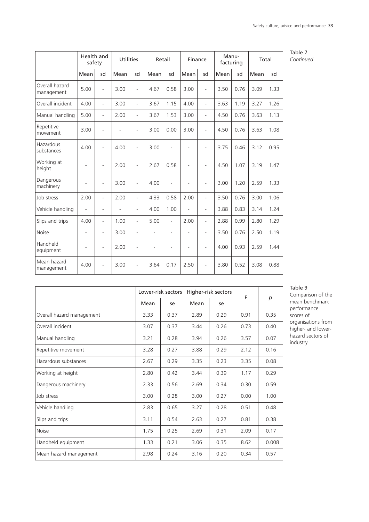|                              | Health and<br>safety     |                          | <b>Utilities</b> |    | Retail |                          | Finance                  |                          | Manu-<br>facturing |      | Total |      |
|------------------------------|--------------------------|--------------------------|------------------|----|--------|--------------------------|--------------------------|--------------------------|--------------------|------|-------|------|
|                              | Mean                     | sd                       | Mean             | sd | Mean   | sd                       | Mean                     | sd                       | Mean               | sd   | Mean  | sd   |
| Overall hazard<br>management | 5.00                     | $\overline{\phantom{a}}$ | 3.00             | ÷, | 4.67   | 0.58                     | 3.00                     | $\overline{\phantom{a}}$ | 3.50               | 0.76 | 3.09  | 1.33 |
| Overall incident             | 4.00                     | $\blacksquare$           | 3.00             | ä, | 3.67   | 1.15                     | 4.00                     | $\overline{\phantom{a}}$ | 3.63               | 1.19 | 3.27  | 1.26 |
| Manual handling              | 5.00                     | $\bar{a}$                | 2.00             | ÷, | 3.67   | 1.53                     | 3.00                     | $\overline{a}$           | 4.50               | 0.76 | 3.63  | 1.13 |
| Repetitive<br>movement       | 3.00                     | $\overline{\phantom{a}}$ | ÷                | ä, | 3.00   | 0.00                     | 3.00                     | $\overline{\phantom{a}}$ | 4.50               | 0.76 | 3.63  | 1.08 |
| Hazardous<br>substances      | 4.00                     | ÷,                       | 4.00             | L. | 3.00   | L,                       | L.                       | $\overline{\phantom{a}}$ | 3.75               | 0.46 | 3.12  | 0.95 |
| Working at<br>height         | ä,                       | $\overline{\phantom{a}}$ | 2.00             | ÷, | 2.67   | 0.58                     | Ĭ.                       | ÷,                       | 4.50               | 1.07 | 3.19  | 1.47 |
| Dangerous<br>machinery       | ٠                        | ä,                       | 3.00             | ÷, | 4.00   | L,                       |                          | ÷,                       | 3.00               | 1.20 | 2.59  | 1.33 |
| Job stress                   | 2.00                     | $\bar{a}$                | 2.00             | ÷, | 4.33   | 0.58                     | 2.00                     | $\bar{a}$                | 3.50               | 0.76 | 3.00  | 1.06 |
| Vehicle handling             | L.                       | $\blacksquare$           |                  | ÷, | 4.00   | 1.00                     | L.                       | $\overline{\phantom{a}}$ | 3.88               | 0.83 | 3.14  | 1.24 |
| Slips and trips              | 4.00                     | $\overline{\phantom{a}}$ | 1.00             | L. | 5.00   | $\frac{1}{2}$            | 2.00                     | $\overline{a}$           | 2.88               | 0.99 | 2.80  | 1.29 |
| Noise                        | $\overline{\phantom{a}}$ | $\overline{\phantom{a}}$ | 3.00             | ÷, | Ξ.     | $\overline{\phantom{0}}$ | $\overline{\phantom{a}}$ | $\overline{\phantom{a}}$ | 3.50               | 0.76 | 2.50  | 1.19 |
| Handheld<br>equipment        | ٠                        | $\overline{\phantom{a}}$ | 2.00             |    |        | L,                       |                          | $\overline{\phantom{a}}$ | 4.00               | 0.93 | 2.59  | 1.44 |
| Mean hazard<br>management    | 4.00                     | ÷,                       | 3.00             | L, | 3.64   | 0.17                     | 2.50                     | L,                       | 3.80               | 0.52 | 3.08  | 0.88 |

|                           |      | Lower-risk sectors |      | Higher-risk sectors | F    |       |
|---------------------------|------|--------------------|------|---------------------|------|-------|
|                           | Mean | se                 | Mean | se                  |      | p     |
| Overall hazard management | 3.33 | 0.37               | 2.89 | 0.29                | 0.91 | 0.35  |
| Overall incident          | 3.07 | 0.37               | 3.44 | 0.26                | 0.73 | 0.40  |
| Manual handling           | 3.21 | 0.28               | 3.94 | 0.26                | 3.57 | 0.07  |
| Repetitive movement       | 3.28 | 0.27               | 3.88 | 0.29                | 2.12 | 0.16  |
| Hazardous substances      | 2.67 | 0.29               | 3.35 | 0.23                | 3.35 | 0.08  |
| Working at height         | 2.80 | 0.42               | 3.44 | 0.39                | 1.17 | 0.29  |
| Dangerous machinery       | 2.33 | 0.56               | 2.69 | 0.34                | 0.30 | 0.59  |
| Job stress                | 3.00 | 0.28               | 3.00 | 0.27                | 0.00 | 1.00  |
| Vehicle handling          | 2.83 | 0.65               | 3.27 | 0.28                | 0.51 | 0.48  |
| Slips and trips           | 3.11 | 0.54               | 2.63 | 0.27                | 0.81 | 0.38  |
| Noise                     | 1.75 | 0.25               | 2.69 | 0.31                | 2.09 | 0.17  |
| Handheld equipment        | 1.33 | 0.21               | 3.06 | 0.35                | 8.62 | 0.008 |
| Mean hazard management    | 2.98 | 0.24               | 3.16 | 0.20                | 0.34 | 0.57  |

#### Table 9

Comparison of the mean benchmark performance scores of organisations from higher- and lowerhazard sectors of industry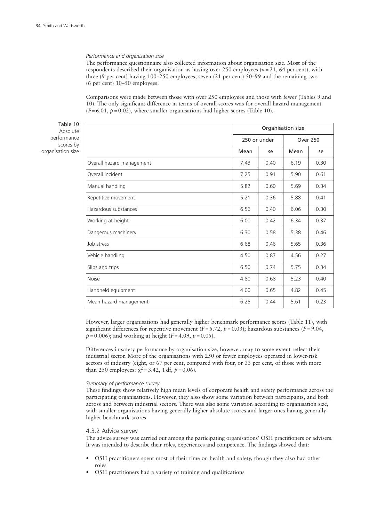#### *Performance and organisation size*

The performance questionnaire also collected information about organisation size. Most of the respondents described their organisation as having over 250 employees (*n* = 21, 64 per cent), with three (9 per cent) having 100–250 employees, seven (21 per cent) 50–99 and the remaining two (6 per cent) 10–50 employees.

Comparisons were made between those with over 250 employees and those with fewer (Tables 9 and 10). The only significant difference in terms of overall scores was for overall hazard management  $(F = 6.01, p = 0.02)$ , where smaller organisations had higher scores (Table 10).

Table 10 Absolute performance scores by organisation size

|                           | Organisation size |              |                 |      |  |  |  |
|---------------------------|-------------------|--------------|-----------------|------|--|--|--|
|                           |                   | 250 or under | <b>Over 250</b> |      |  |  |  |
|                           | Mean              | se           | Mean            | se   |  |  |  |
| Overall hazard management | 7.43              | 0.40         | 6.19            | 0.30 |  |  |  |
| Overall incident          | 7.25              | 0.91         | 5.90            | 0.61 |  |  |  |
| Manual handling           | 5.82              | 0.60         | 5.69            | 0.34 |  |  |  |
| Repetitive movement       | 5.21              | 0.36         | 5.88            | 0.41 |  |  |  |
| Hazardous substances      | 6.56              | 0.40         | 6.06            | 0.30 |  |  |  |
| Working at height         | 6.00              | 0.42         | 6.34            | 0.37 |  |  |  |
| Dangerous machinery       | 6.30              | 0.58         | 5.38            | 0.46 |  |  |  |
| Job stress                | 6.68              | 0.46         | 5.65            | 0.36 |  |  |  |
| Vehicle handling          | 4.50              | 0.87         | 4.56            | 0.27 |  |  |  |
| Slips and trips           | 6.50              | 0.74         | 5.75            | 0.34 |  |  |  |
| <b>Noise</b>              | 4.80              | 0.68         | 5.23            | 0.40 |  |  |  |
| Handheld equipment        | 4.00              | 0.65         | 4.82            | 0.45 |  |  |  |
| Mean hazard management    | 6.25              | 0.44         | 5.61            | 0.23 |  |  |  |

However, larger organisations had generally higher benchmark performance scores (Table 11), with significant differences for repetitive movement  $(F = 5.72, p = 0.03)$ ; hazardous substances  $(F = 9.04,$  $p = 0.006$ ; and working at height ( $F = 4.09$ ,  $p = 0.05$ ).

Differences in safety performance by organisation size, however, may to some extent reflect their industrial sector. More of the organisations with 250 or fewer employees operated in lower-risk sectors of industry (eight, or 67 per cent, compared with four, or 33 per cent, of those with more than 250 employees:  $\chi^2$  = 3.42, 1 df,  $p$  = 0.06).

#### *Summary of performance survey*

These findings show relatively high mean levels of corporate health and safety performance across the participating organisations. However, they also show some variation between participants, and both across and between industrial sectors. There was also some variation according to organisation size, with smaller organisations having generally higher absolute scores and larger ones having generally higher benchmark scores.

#### 4.3.2 Advice survey

The advice survey was carried out among the participating organisations' OSH practitioners or advisers. It was intended to describe their roles, experiences and competence. The findings showed that:

- OSH practitioners spent most of their time on health and safety, though they also had other roles
- OSH practitioners had a variety of training and qualifications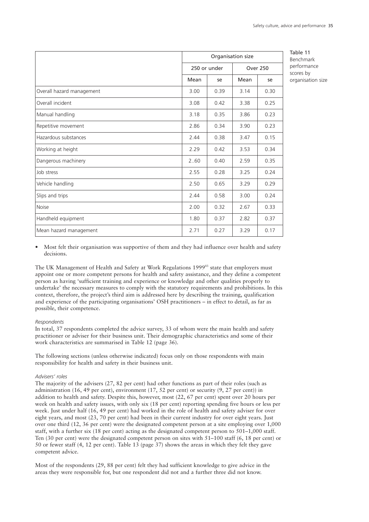|                           | Organisation size |              |                 |      |  |
|---------------------------|-------------------|--------------|-----------------|------|--|
|                           |                   | 250 or under | <b>Over 250</b> |      |  |
|                           | Mean              | se           | Mean            | se   |  |
| Overall hazard management | 3.00              | 0.39         | 3.14            | 0.30 |  |
| Overall incident          | 3.08              | 0.42         | 3.38            | 0.25 |  |
| Manual handling           | 3.18              | 0.35         | 3.86            | 0.23 |  |
| Repetitive movement       | 2.86              | 0.34         | 3.90            | 0.23 |  |
| Hazardous substances      | 2.44              | 0.38         | 3.47            | 0.15 |  |
| Working at height         | 2.29              | 0.42         | 3.53            | 0.34 |  |
| Dangerous machinery       | 2.60              | 0.40         | 2.59            | 0.35 |  |
| Job stress                | 2.55              | 0.28         | 3.25            | 0.24 |  |
| Vehicle handling          | 2.50              | 0.65         | 3.29            | 0.29 |  |
| Slips and trips           | 2.44              | 0.58         | 3.00            | 0.24 |  |
| <b>Noise</b>              | 2.00              | 0.32         | 2.67            | 0.33 |  |
| Handheld equipment        | 1.80              | 0.37         | 2.82            | 0.37 |  |
| Mean hazard management    | 2.71              | 0.27         | 3.29            | 0.17 |  |

Table 11 Benchmark performance scores by organisation size

• Most felt their organisation was supportive of them and they had influence over health and safety decisions.

The UK Management of Health and Safety at Work Regulations 1999<sup>83</sup> state that employers must appoint one or more competent persons for health and safety assistance, and they define a competent person as having 'sufficient training and experience or knowledge and other qualities properly to undertake' the necessary measures to comply with the statutory requirements and prohibitions. In this context, therefore, the project's third aim is addressed here by describing the training, qualification and experience of the participating organisations' OSH practitioners – in effect to detail, as far as possible, their competence.

#### *Respondents*

In total, 37 respondents completed the advice survey, 33 of whom were the main health and safety practitioner or adviser for their business unit. Their demographic characteristics and some of their work characteristics are summarised in Table 12 (page 36).

The following sections (unless otherwise indicated) focus only on those respondents with main responsibility for health and safety in their business unit.

## *Advisers' roles*

The majority of the advisers (27, 82 per cent) had other functions as part of their roles (such as administration (16, 49 per cent), environment (17, 52 per cent) or security (9, 27 per cent)) in addition to health and safety. Despite this, however, most (22, 67 per cent) spent over 20 hours per week on health and safety issues, with only six (18 per cent) reporting spending five hours or less per week. Just under half (16, 49 per cent) had worked in the role of health and safety adviser for over eight years, and most (23, 70 per cent) had been in their current industry for over eight years. Just over one third (12, 36 per cent) were the designated competent person at a site employing over 1,000 staff, with a further six (18 per cent) acting as the designated competent person to 501–1,000 staff. Ten (30 per cent) were the designated competent person on sites with 51–100 staff (6, 18 per cent) or 50 or fewer staff (4, 12 per cent). Table 13 (page 37) shows the areas in which they felt they gave competent advice.

Most of the respondents (29, 88 per cent) felt they had sufficient knowledge to give advice in the areas they were responsible for, but one respondent did not and a further three did not know.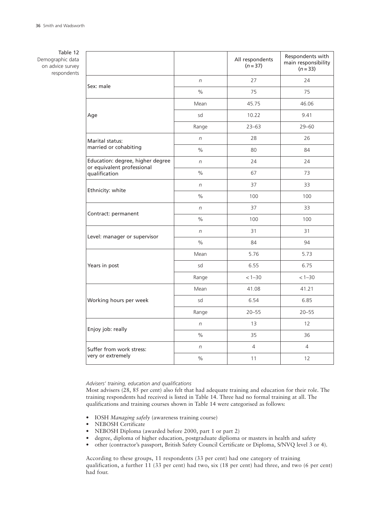Table 12 Demographic data on advice survey respondents

|                                                                |            | All respondents<br>$(n=37)$ | Respondents with<br>main responsibility<br>$(n=33)$ |
|----------------------------------------------------------------|------------|-----------------------------|-----------------------------------------------------|
| Sex: male                                                      | $\sqrt{n}$ | 27                          | 24                                                  |
|                                                                | $\%$       | 75                          | 75                                                  |
|                                                                | Mean       | 45.75                       | 46.06                                               |
| Age                                                            | sd         | 10.22                       | 9.41                                                |
|                                                                | Range      | $23 - 63$                   | $29 - 60$                                           |
| Marital status:                                                | $\sqrt{n}$ | 28                          | 26                                                  |
| married or cohabiting                                          | $\%$       | 80                          | 84                                                  |
| Education: degree, higher degree<br>or equivalent professional | $\sqrt{n}$ | 24                          | 24                                                  |
| qualification                                                  | $\%$       | 67                          | 73                                                  |
| Ethnicity: white                                               | $\sqrt{n}$ | 37                          | 33                                                  |
|                                                                | $\%$       | 100                         | 100                                                 |
| Contract: permanent                                            | $\sqrt{n}$ | 37                          | 33                                                  |
|                                                                | $\%$       | 100                         | 100                                                 |
| Level: manager or supervisor                                   | $\sqrt{n}$ | 31                          | 31                                                  |
|                                                                | $\%$       | 84                          | 94                                                  |
|                                                                | Mean       | 5.76                        | 5.73                                                |
| Years in post                                                  | sd         | 6.55                        | 6.75                                                |
|                                                                | Range      | $< 1 - 30$                  | $< 1 - 30$                                          |
|                                                                | Mean       | 41.08                       | 41.21                                               |
| Working hours per week                                         | sd         | 6.54                        | 6.85                                                |
|                                                                | Range      | $20 - 55$                   | $20 - 55$                                           |
| Enjoy job: really                                              | $\sqrt{n}$ | 13                          | 12                                                  |
|                                                                | $\%$       | 35                          | 36                                                  |
| Suffer from work stress:                                       | $\sqrt{n}$ | 4                           | $\overline{4}$                                      |
| very or extremely                                              | $\%$       | 11                          | 12                                                  |

# *Advisers' training, education and qualifications*

Most advisers (28, 85 per cent) also felt that had adequate training and education for their role. The training respondents had received is listed in Table 14. Three had no formal training at all. The qualifications and training courses shown in Table 14 were categorised as follows:

- IOSH *Managing safely* (awareness training course)
- NEBOSH Certificate
- NEBOSH Diploma (awarded before 2000, part 1 or part 2)
- degree, diploma of higher education, postgraduate diplioma or masters in health and safety
- other (contractor's passport, British Safety Council Certificate or Diploma, S/NVQ level 3 or 4).

According to these groups, 11 respondents (33 per cent) had one category of training qualification, a further 11 (33 per cent) had two, six (18 per cent) had three, and two (6 per cent) had four.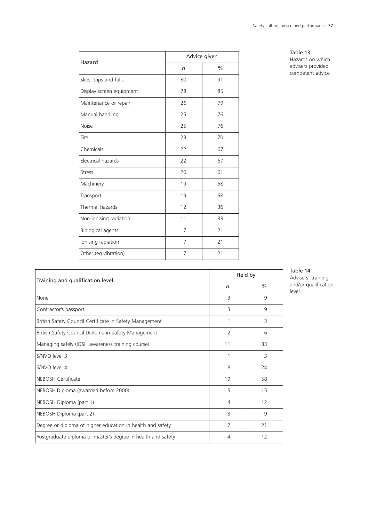| Hazard                   | Advice given |               |  |  |  |
|--------------------------|--------------|---------------|--|--|--|
|                          | n            | $\frac{0}{0}$ |  |  |  |
| Slips, trips and falls   | 30           | 91            |  |  |  |
| Display screen equipment | 28           | 85            |  |  |  |
| Maintenance or repair    | 26           | 79            |  |  |  |
| Manual handling          | 25           | 76            |  |  |  |
| <b>Noise</b>             | 25           | 76            |  |  |  |
| Fire                     | 23           | 70            |  |  |  |
| Chemicals                | 22           | 67            |  |  |  |
| Electrical hazards       | 22           | 67            |  |  |  |
| <b>Stress</b>            | 20           | 61            |  |  |  |
| Machinery                | 19           | 58            |  |  |  |
| Transport                | 19           | 58            |  |  |  |
| Thermal hazards          | 12           | 36            |  |  |  |
| Non-ionising radiation   | 11           | 33            |  |  |  |
| Biological agents        | 7            | 21            |  |  |  |
| Ionising radiation       | 7            | 21            |  |  |  |
| Other (eg vibration)     | 7            | 21            |  |  |  |

Table 13 Hazards on which advisers provided competent advice

| Training and qualification level                             |                | Held by       |
|--------------------------------------------------------------|----------------|---------------|
|                                                              | n              | $\frac{0}{0}$ |
| None                                                         | 3              | 9             |
| Contractor's passport                                        | 3              | 9             |
| British Safety Council Certificate in Safety Management      | 1              | 3             |
| British Safety Council Diploma in Safety Management          | $\overline{2}$ | 6             |
| Managing safely (IOSH awareness training course)             | 11             | 33            |
| S/NVQ level 3                                                | 1              | 3             |
| S/NVO level 4                                                | 8              | 24            |
| <b>NEBOSH Certificate</b>                                    | 19             | 58            |
| NEBOSH Diploma (awarded before 2000)                         | 5              | 15            |
| NEBOSH Diploma (part 1)                                      | $\overline{4}$ | 12            |
| NEBOSH Diploma (part 2)                                      | 3              | 9             |
| Degree or diploma of higher education in health and safety   | 7              | 21            |
| Postgraduate diploma or master's degree in health and safety | 4              | 12            |

Table 14 Advisers' training and/or qualification level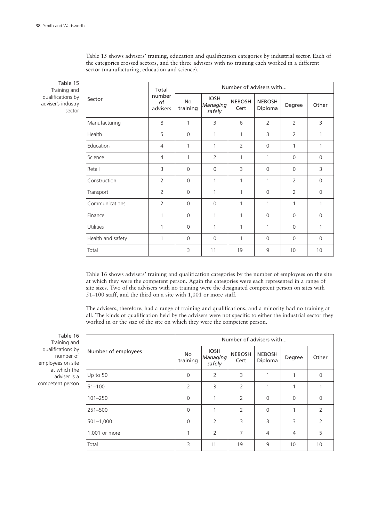Table 15 Training and qualifications by adviser's industry

sector

Sector Total number of advisers Number of advisers with... No training IOSH *Managing safely* NEBOSH Cert NEBOSH Diploma Degree Other Manufacturing 8 | 1 | 3 | 6 | 2 | 2 | 3 Health 5 0 1 1 3 2 1 Education 4 1 1 2 0 1 1 Science 1 4 1 1 2 1 1 1 0 0 0 Retail | 3 | 0 | 3 | 0 | 0 | 3 Construction  $\begin{vmatrix} 2 & 0 & 1 & 1 & 1 & 1 & 2 & 0 \ 2 & 0 & 0 & 1 & 1 & 1 & 2 & 0 \end{vmatrix}$ Transport | 2 | 0 | 1 | 0 | 2 | 0 Communications 2 0 0 1 1 1 1 Finance | 1 | 0 | 1 | 0 | 0 | 0 | 0 Utilities 1 0 1 1 1 0 1 Health and safety 1 0 0 1 0 0 0 Total | | 3 | 11 | 19 | 9 | 10 | 10

Table 15 shows advisers' training, education and qualification categories by industrial sector. Each of the categories crossed sectors, and the three advisers with no training each worked in a different

Table 16 shows advisers' training and qualification categories by the number of employees on the site at which they were the competent person. Again the categories were each represented in a range of site sizes. Two of the advisers with no training were the designated competent person on sites with 51–100 staff, and the third on a site with 1,001 or more staff.

The advisers, therefore, had a range of training and qualifications, and a minority had no training at all. The kinds of qualification held by the advisers were not specific to either the industrial sector they worked in or the size of the site on which they were the competent person.

Table 16 Training and qualifications by number of employees on site at which the adviser is a competent person

|                     | Number of advisers with |                                   |                       |                          |                |                |  |  |
|---------------------|-------------------------|-----------------------------------|-----------------------|--------------------------|----------------|----------------|--|--|
| Number of employees | <b>No</b><br>training   | <b>IOSH</b><br>Managing<br>safely | <b>NEBOSH</b><br>Cert | <b>NEBOSH</b><br>Diploma | Degree         | Other          |  |  |
| Up to 50            | $\Omega$                | $\overline{2}$                    | 3                     |                          |                | $\Omega$       |  |  |
| $51 - 100$          | $\overline{2}$          | 3                                 | $\overline{2}$        |                          |                |                |  |  |
| $101 - 250$         | $\Omega$                | 1                                 | 2                     | $\Omega$                 | $\Omega$       | $\Omega$       |  |  |
| 251-500             | $\Omega$                | 1                                 | 2                     | $\Omega$                 | 1              | $\overline{2}$ |  |  |
| $501 - 1,000$       | $\Omega$                | 2                                 | 3                     | 3                        | 3              | $\overline{2}$ |  |  |
| 1,001 or more       | 1                       | $\overline{2}$                    | $\overline{7}$        | $\overline{4}$           | $\overline{4}$ | 5              |  |  |
| Total               | 3                       | 11                                | 19                    | 9                        | 10             | 10             |  |  |

sector (manufacturing, education and science).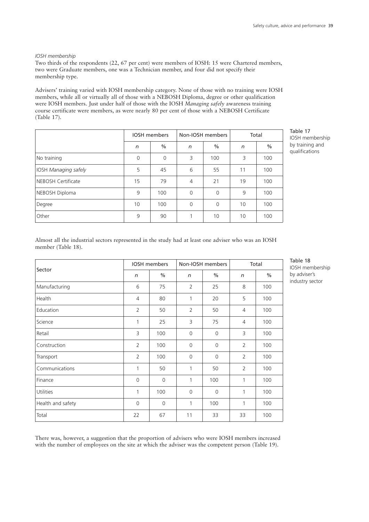# *IOSH membership*

Two thirds of the respondents (22, 67 per cent) were members of IOSH: 15 were Chartered members, two were Graduate members, one was a Technician member, and four did not specify their membership type.

Advisers' training varied with IOSH membership category. None of those with no training were IOSH members, while all or virtually all of those with a NEBOSH Diploma, degree or other qualification were IOSH members. Just under half of those with the IOSH *Managing safely* awareness training course certificate were members, as were nearly 80 per cent of those with a NEBOSH Certificate (Table 17).

|                             | <b>IOSH</b> members |               |                | Non-IOSH members | Total |      |
|-----------------------------|---------------------|---------------|----------------|------------------|-------|------|
|                             | n                   | $\frac{0}{0}$ | n              | $\%$             | n     | $\%$ |
| No training                 | $\mathbf 0$         | $\mathbf 0$   | 3              | 100              | 3     | 100  |
| <b>IOSH Managing safely</b> | 5                   | 45            | 6              | 55               | 11    | 100  |
| NEBOSH Certificate          | 15                  | 79            | $\overline{4}$ | 21               | 19    | 100  |
| NEBOSH Diploma              | 9                   | 100           | $\Omega$       | $\Omega$         | 9     | 100  |
| Degree                      | 10                  | 100           | $\Omega$       | 0                | 10    | 100  |
| Other                       | 9                   | 90            |                | 10               | 10    | 100  |

Table 17 IOSH membership by training and qualifications

Almost all the industrial sectors represented in the study had at least one adviser who was an IOSH member (Table 18).

|                   | <b>IOSH</b> members |                |                | Non-IOSH members | Total          |               |
|-------------------|---------------------|----------------|----------------|------------------|----------------|---------------|
| Sector            | $\sqrt{n}$          | $\frac{0}{0}$  | $\sqrt{n}$     | $\frac{0}{0}$    | $\sqrt{n}$     | $\frac{0}{0}$ |
| Manufacturing     | 6                   | 75             | 2              | 25               | 8              | 100           |
| Health            | $\overline{4}$      | 80             | $\mathbf{1}$   | 20               | 5              | 100           |
| Education         | $\overline{2}$      | 50             | 2              | 50               | $\overline{4}$ | 100           |
| Science           | 1                   | 25             | 3              | 75               | $\overline{4}$ | 100           |
| Retail            | 3                   | 100            | $\overline{0}$ | $\Omega$         | 3              | 100           |
| Construction      | 2                   | 100            | $\mathbf 0$    | $\mathbf 0$      | 2              | 100           |
| Transport         | $\overline{2}$      | 100            | $\overline{0}$ | $\Omega$         | $\overline{2}$ | 100           |
| Communications    | 1                   | 50             | 1              | 50               | $\overline{2}$ | 100           |
| Finance           | $\mathbf 0$         | $\mathbf{0}$   | 1              | 100              | 1              | 100           |
| <b>Utilities</b>  | 1                   | 100            | $\Omega$       | $\Omega$         | 1              | 100           |
| Health and safety | $\Omega$            | $\overline{0}$ | 1              | 100              | 1              | 100           |
| Total             | 22                  | 67             | 11             | 33               | 33             | 100           |

Table 18 IOSH membership by adviser's industry sector

There was, however, a suggestion that the proportion of advisers who were IOSH members increased with the number of employees on the site at which the adviser was the competent person (Table 19).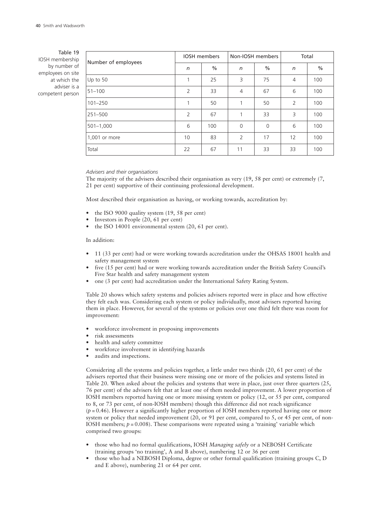Table 19 IOSH membership by number of employees on site at which the adviser is a competent person

| Number of employees | <b>IOSH</b> members |               |                | Non-IOSH members | Total          |      |
|---------------------|---------------------|---------------|----------------|------------------|----------------|------|
|                     | n                   | $\frac{0}{0}$ | n              | $\frac{0}{0}$    | n              | $\%$ |
| Up to 50            | 1                   | 25            | 3              | 75               | $\overline{4}$ | 100  |
| $51 - 100$          | $\overline{2}$      | 33            | $\overline{4}$ | 67               | 6              | 100  |
| $101 - 250$         | 1                   | 50            | 1              | 50               | 2              | 100  |
| $251 - 500$         | $\overline{2}$      | 67            | $\mathbf{1}$   | 33               | 3              | 100  |
| $501 - 1,000$       | 6                   | 100           | $\Omega$       | $\Omega$         | 6              | 100  |
| 1,001 or more       | 10                  | 83            | 2              | 17               | 12             | 100  |
| Total               | 22                  | 67            | 11             | 33               | 33             | 100  |

#### *Advisers and their organisations*

The majority of the advisers described their organisation as very (19, 58 per cent) or extremely (7, 21 per cent) supportive of their continuing professional development.

Most described their organisation as having, or working towards, accreditation by:

- the ISO 9000 quality system (19, 58 per cent)
- Investors in People (20, 61 per cent)
- the ISO 14001 environmental system (20, 61 per cent).

## In addition:

- 11 (33 per cent) had or were working towards accreditation under the OHSAS 18001 health and safety management system
- five (15 per cent) had or were working towards accreditation under the British Safety Council's Five Star health and safety management system
- one (3 per cent) had accreditation under the International Safety Rating System.

Table 20 shows which safety systems and policies advisers reported were in place and how effective they felt each was. Considering each system or policy individually, most advisers reported having them in place. However, for several of the systems or policies over one third felt there was room for improvement:

- workforce involvement in proposing improvements
- risk assessments
- health and safety committee
- workforce involvement in identifying hazards
- audits and inspections.

Considering all the systems and policies together, a little under two thirds (20, 61 per cent) of the advisers reported that their business were missing one or more of the policies and systems listed in Table 20. When asked about the policies and systems that were in place, just over three quarters (25, 76 per cent) of the advisers felt that at least one of them needed improvement. A lower proportion of IOSH members reported having one or more missing system or policy (12, or 55 per cent, compared to 8, or 73 per cent, of non-IOSH members) though this difference did not reach significance  $(p=0.46)$ . However a significantly higher proportion of IOSH members reported having one or more system or policy that needed improvement  $(20, \text{ or } 91)$  per cent, compared to 5, or 45 per cent, of non-IOSH members;  $p = 0.008$ ). These comparisons were repeated using a 'training' variable which comprised two groups:

- those who had no formal qualifications, IOSH *Managing safely* or a NEBOSH Certificate (training groups 'no training', A and B above), numbering 12 or 36 per cent
- those who had a NEBOSH Diploma, degree or other formal qualification (training groups C, D and E above), numbering 21 or 64 per cent.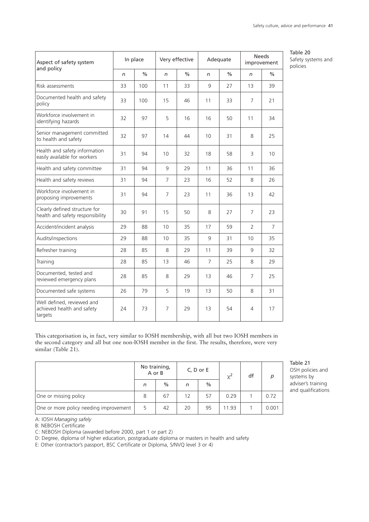| Aspect of safety system<br>and policy                               |    | In place      | Very effective |               | Adequate       |      |                | <b>Needs</b><br>improvement |
|---------------------------------------------------------------------|----|---------------|----------------|---------------|----------------|------|----------------|-----------------------------|
|                                                                     | n  | $\frac{0}{0}$ | n              | $\frac{0}{0}$ | n              | $\%$ | $\sqrt{n}$     | $\%$                        |
| Risk assessments                                                    | 33 | 100           | 11             | 33            | 9              | 27   | 13             | 39                          |
| Documented health and safety<br>policy                              | 33 | 100           | 15             | 46            | 11             | 33   | 7              | 21                          |
| Workforce involvement in<br>identifying hazards                     | 32 | 97            | 5              | 16            | 16             | 50   | 11             | 34                          |
| Senior management committed<br>to health and safety                 | 32 | 97            | 14             | 44            | 10             | 31   | 8              | 25                          |
| Health and safety information<br>easily available for workers       | 31 | 94            | 10             | 32            | 18             | 58   | 3              | 10                          |
| Health and safety committee                                         | 31 | 94            | 9              | 29            | 11             | 36   | 11             | 36                          |
| Health and safety reviews                                           | 31 | 94            | $\overline{7}$ | 23            | 16             | 52   | 8              | 26                          |
| Workforce involvement in<br>proposing improvements                  | 31 | 94            | $\overline{7}$ | 23            | 11             | 36   | 13             | 42                          |
| Clearly defined structure for<br>health and safety responsibility   | 30 | 91            | 15             | 50            | 8              | 27   | $\overline{7}$ | 23                          |
| Accident/incident analysis                                          | 29 | 88            | 10             | 35            | 17             | 59   | $\overline{2}$ | $\overline{7}$              |
| Audits/inspections                                                  | 29 | 88            | 10             | 35            | 9              | 31   | 10             | 35                          |
| Refresher training                                                  | 28 | 85            | 8              | 29            | 11             | 39   | 9              | 32                          |
| Training                                                            | 28 | 85            | 13             | 46            | $\overline{7}$ | 25   | 8              | 29                          |
| Documented, tested and<br>reviewed emergency plans                  | 28 | 85            | 8              | 29            | 13             | 46   | $\overline{7}$ | 25                          |
| Documented safe systems                                             | 26 | 79            | 5              | 19            | 13             | 50   | 8              | 31                          |
| Well defined, reviewed and<br>achieved health and safety<br>targets | 24 | 73            | $\overline{7}$ | 29            | 13             | 54   | 4              | 17                          |

Table 20 Safety systems and policies

This categorisation is, in fact, very similar to IOSH membership, with all but two IOSH members in the second category and all but one non-IOSH member in the first. The results, therefore, were very similar (Table 21).

|                                        |   | No training,<br>A or B |    | $C, D$ or $E$ | $\chi^2$ | df | D     |
|----------------------------------------|---|------------------------|----|---------------|----------|----|-------|
|                                        | n | $\%$                   | n  | $\%$          |          |    |       |
| One or missing policy                  | 8 | 67                     | 12 | 57            | 0.29     |    | 0.72  |
| One or more policy needing improvement | 5 | 42                     | 20 | 95            | 11.93    |    | 0.001 |

Table 21 OSH policies and systems by adviser's training and qualifications

A: IOSH *Managing safely*

B: NEBOSH Certificate

C: NEBOSH Diploma (awarded before 2000, part 1 or part 2)

D: Degree, diploma of higher education, postgraduate diploma or masters in health and safety

E: Other (contractor's passport, BSC Certificate or Diploma, S/NVQ level 3 or 4)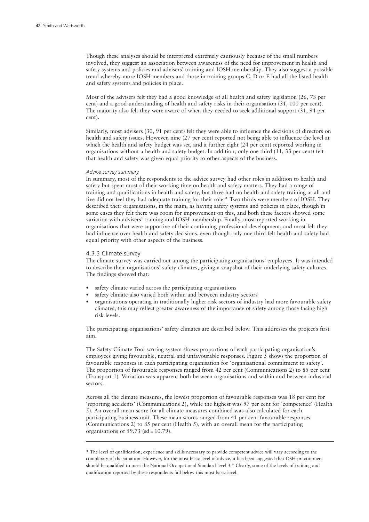Though these analyses should be interpreted extremely cautiously because of the small numbers involved, they suggest an association between awareness of the need for improvement in health and safety systems and policies and advisers' training and IOSH membership. They also suggest a possible trend whereby more IOSH members and those in training groups C, D or E had all the listed health and safety systems and policies in place.

Most of the advisers felt they had a good knowledge of all health and safety legislation (26, 73 per cent) and a good understanding of health and safety risks in their organisation (31, 100 per cent). The majority also felt they were aware of when they needed to seek additional support (31, 94 per cent).

Similarly, most advisers (30, 91 per cent) felt they were able to influence the decisions of directors on health and safety issues. However, nine (27 per cent) reported not being able to influence the level at which the health and safety budget was set, and a further eight (24 per cent) reported working in organisations without a health and safety budget. In addition, only one third (11, 33 per cent) felt that health and safety was given equal priority to other aspects of the business.

#### *Advice survey summary*

In summary, most of the respondents to the advice survey had other roles in addition to health and safety but spent most of their working time on health and safety matters. They had a range of training and qualifications in health and safety, but three had no health and safety training at all and five did not feel they had adequate training for their role.\* Two thirds were members of IOSH. They described their organisations, in the main, as having safety systems and policies in place, though in some cases they felt there was room for improvement on this, and both these factors showed some variation with advisers' training and IOSH membership. Finally, most reported working in organisations that were supportive of their continuing professional development, and most felt they had influence over health and safety decisions, even though only one third felt health and safety had equal priority with other aspects of the business.

#### 4.3.3 Climate survey

The climate survey was carried out among the participating organisations' employees. It was intended to describe their organisations' safety climates, giving a snapshot of their underlying safety cultures. The findings showed that:

- safety climate varied across the participating organisations
- safety climate also varied both within and between industry sectors
- organisations operating in traditionally higher risk sectors of industry had more favourable safety climates; this may reflect greater awareness of the importance of safety among those facing high risk levels.

The participating organisations' safety climates are described below. This addresses the project's first aim.

The Safety Climate Tool scoring system shows proportions of each participating organisation's employees giving favourable, neutral and unfavourable responses. Figure 5 shows the proportion of favourable responses in each participating organisation for 'organisational commitment to safety'. The proportion of favourable responses ranged from 42 per cent (Communications 2) to 85 per cent (Transport 1). Variation was apparent both between organisations and within and between industrial sectors.

Across all the climate measures, the lowest proportion of favourable responses was 18 per cent for 'reporting accidents' (Communications 2), while the highest was 97 per cent for 'competence' (Health 5). An overall mean score for all climate measures combined was also calculated for each participating business unit. These mean scores ranged from 41 per cent favourable responses (Communications 2) to 85 per cent (Health 5), with an overall mean for the participating organisations of  $59.73$  (sd = 10.79).

<sup>\*</sup> The level of qualification, experience and skills necessary to provide competent advice will vary according to the complexity of the situation. However, for the most basic level of advice, it has been suggested that OSH practitioners should be qualified to meet the National Occupational Standard level 3. <sup>84</sup> Clearly, some of the levels of training and qualification reported by these respondents fall below this most basic level.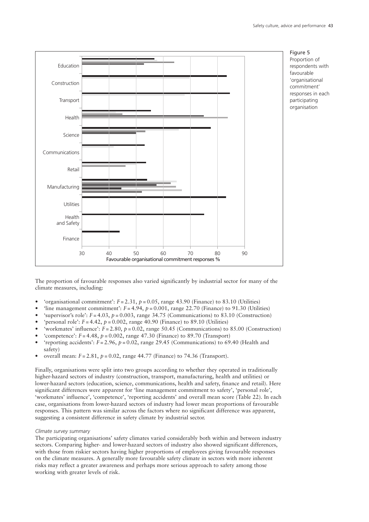

The proportion of favourable responses also varied significantly by industrial sector for many of the climate measures, including:

- 'organisational commitment':  $F = 2.31$ ,  $p = 0.05$ , range 43.90 (Finance) to 83.10 (Utilities)
- 'line management commitment':  $F = 4.94$ ,  $p = 0.001$ , range 22.70 (Finance) to 91.30 (Utilities)
- 'supervisor's role':  $F = 4.03$ ,  $p = 0.003$ , range 34.75 (Communications) to 83.10 (Construction)
- *'* personal role':  $F = 4.42$ ,  $p = 0.002$ , range 40.90 (Finance) to 89.10 (Utilities)
- 'workmates' influence':  $\bar{F} = 2.80$ ,  $p = 0.02$ , range 50.45 (Communications) to 85.00 (Construction)
- $^{\circ}$ competence':  $F = 4.48$ ,  $p = 0.002$ , range 47.30 (Finance) to 89.70 (Transport)
- 'reporting accidents': *F* = 2.96, *p* = 0.02, range 29.45 (Communications) to 69.40 (Health and safety)
- overall mean: *F* = 2.81, *p* = 0.02, range 44.77 (Finance) to 74.36 (Transport).

Finally, organisations were split into two groups according to whether they operated in traditionally higher-hazard sectors of industry (construction, transport, manufacturing, health and utilities) or lower-hazard sectors (education, science, communications, health and safety, finance and retail). Here significant differences were apparent for 'line management commitment to safety', 'personal role', 'workmates' influence', 'competence', 'reporting accidents' and overall mean score (Table 22). In each case, organisations from lower-hazard sectors of industry had lower mean proportions of favourable responses. This pattern was similar across the factors where no significant difference was apparent, suggesting a consistent difference in safety climate by industrial sector.

#### *Climate survey summary*

The participating organisations' safety climates varied considerably both within and between industry sectors. Comparing higher- and lower-hazard sectors of industry also showed significant differences, with those from riskier sectors having higher proportions of employees giving favourable responses on the climate measures. A generally more favourable safety climate in sectors with more inherent risks may reflect a greater awareness and perhaps more serious approach to safety among those working with greater levels of risk.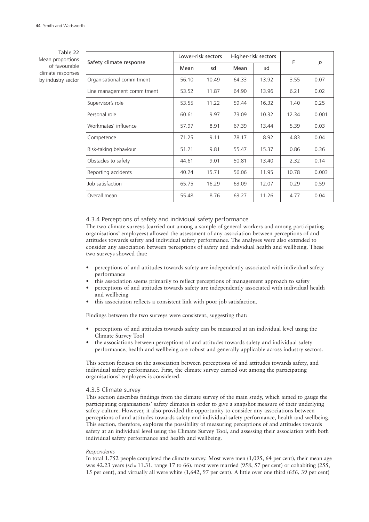Table 22 Mean proportions of favourable climate responses by industry sector

|                            | Lower-risk sectors |       |       | Higher-risk sectors | F     |       |
|----------------------------|--------------------|-------|-------|---------------------|-------|-------|
| Safety climate response    | Mean               | sd    | Mean  | sd                  |       | p     |
| Organisational commitment  | 56.10              | 10.49 | 64.33 | 13.92               | 3.55  | 0.07  |
| Line management commitment | 53.52              | 11.87 | 64.90 | 13.96               | 6.21  | 0.02  |
| Supervisor's role          | 53.55              | 11.22 | 59.44 | 16.32               | 1.40  | 0.25  |
| Personal role              | 60.61              | 9.97  | 73.09 | 10.32               | 12.34 | 0.001 |
| Workmates' influence       | 57.97              | 8.91  | 67.39 | 13.44               | 5.39  | 0.03  |
| Competence                 | 71.25              | 9.11  | 78.17 | 8.92                | 4.83  | 0.04  |
| Risk-taking behaviour      | 51.21              | 9.81  | 55.47 | 15.37               | 0.86  | 0.36  |
| Obstacles to safety        | 44.61              | 9.01  | 50.81 | 13.40               | 2.32  | 0.14  |
| Reporting accidents        | 40.24              | 15.71 | 56.06 | 11.95               | 10.78 | 0.003 |
| Job satisfaction           | 65.75              | 16.29 | 63.09 | 12.07               | 0.29  | 0.59  |
| Overall mean               | 55.48              | 8.76  | 63.27 | 11.26               | 4.77  | 0.04  |

4.3.4 Perceptions of safety and individual safety performance

The two climate surveys (carried out among a sample of general workers and among participating organisations' employees) allowed the assessment of any association between perceptions of and attitudes towards safety and individual safety performance. The analyses were also extended to consider any association between perceptions of safety and individual health and wellbeing. These two surveys showed that:

- perceptions of and attitudes towards safety are independently associated with individual safety performance
- this association seems primarily to reflect perceptions of management approach to safety
- perceptions of and attitudes towards safety are independently associated with individual health and wellbeing
- this association reflects a consistent link with poor job satisfaction.

Findings between the two surveys were consistent, suggesting that:

- perceptions of and attitudes towards safety can be measured at an individual level using the Climate Survey Tool
- the associations between perceptions of and attitudes towards safety and individual safety performance, health and wellbeing are robust and generally applicable across industry sectors.

This section focuses on the association between perceptions of and attitudes towards safety, and individual safety performance. First, the climate survey carried out among the participating organisations' employees is considered.

#### 4.3.5 Climate survey

This section describes findings from the climate survey of the main study, which aimed to gauge the participating organisations' safety climates in order to give a snapshot measure of their underlying safety culture. However, it also provided the opportunity to consider any associations between perceptions of and attitudes towards safety and individual safety performance, health and wellbeing. This section, therefore, explores the possibility of measuring perceptions of and attitudes towards safety at an individual level using the Climate Survey Tool, and assessing their association with both individual safety performance and health and wellbeing.

#### *Respondents*

In total 1,752 people completed the climate survey. Most were men (1,095, 64 per cent), their mean age was 42.23 years (sd = 11.31, range 17 to 66), most were married (958, 57 per cent) or cohabiting  $(255, 125)$ 15 per cent), and virtually all were white (1,642, 97 per cent). A little over one third (656, 39 per cent)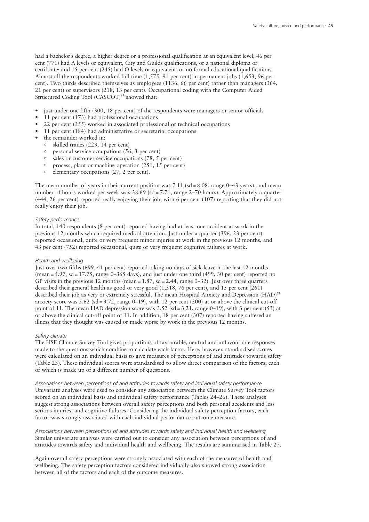had a bachelor's degree, a higher degree or a professional qualification at an equivalent level; 46 per cent (771) had A levels or equivalent, City and Guilds qualifications, or a national diploma or certificate; and 15 per cent (245) had O levels or equivalent, or no formal educational qualifications. Almost all the respondents worked full time (1,575, 91 per cent) in permanent jobs (1,653, 96 per cent). Two thirds described themselves as employees (1136, 66 per cent) rather than managers (364, 21 per cent) or supervisors (218, 13 per cent). Occupational coding with the Computer Aided Structured Coding Tool (CASCOT) <sup>85</sup> showed that:

- just under one fifth (300, 18 per cent) of the respondents were managers or senior officials
- 11 per cent (173) had professional occupations
- 22 per cent (355) worked in associated professional or technical occupations
- 11 per cent (184) had administrative or secretarial occupations
- the remainder worked in:
	- skilled trades (223, 14 per cent)
	- $\circ$  personal service occupations (56, 3 per cent)
	- $\circ$  sales or customer service occupations (78, 5 per cent)
	- process, plant or machine operation (251, 15 per cent)
	- $\circ$  elementary occupations (27, 2 per cent).

The mean number of years in their current position was  $7.11$  (sd = 8.08, range 0–43 years), and mean number of hours worked per week was 38.69 (sd = 7.71, range 2–70 hours). Approximately a quarter (444, 26 per cent) reported really enjoying their job, with 6 per cent (107) reporting that they did not really enjoy their job.

#### *Safety performance*

In total, 140 respondents (8 per cent) reported having had at least one accident at work in the previous 12 months which required medical attention. Just under a quarter (396, 23 per cent) reported occasional, quite or very frequent minor injuries at work in the previous 12 months, and 43 per cent (752) reported occasional, quite or very frequent cognitive failures at work.

#### *Health and wellbeing*

Just over two fifths (699, 41 per cent) reported taking no days of sick leave in the last 12 months (mean = 5.97, sd = 17.75, range 0–365 days), and just under one third (499, 30 per cent) reported no GP visits in the previous 12 months (mean = 1.87, sd = 2.44, range 0–32). Just over three quarters described their general health as good or very good (1,318, 76 per cent), and 15 per cent (261) described their job as very or extremely stressful. The mean Hospital Anxiety and Depression (HAD)<sup>72</sup> anxiety score was  $5.62$  (sd =  $3.72$ , range 0-19), with 12 per cent (200) at or above the clinical cut-off point of 11. The mean HAD depression score was  $3.52$  (sd =  $3.21$ , range 0–19), with 3 per cent (53) at or above the clinical cut-off point of 11. In addition, 18 per cent (307) reported having suffered an illness that they thought was caused or made worse by work in the previous 12 months.

#### *Safety climate*

The HSE Climate Survey Tool gives proportions of favourable, neutral and unfavourable responses made to the questions which combine to calculate each factor. Here, however, standardised scores were calculated on an individual basis to give measures of perceptions of and attitudes towards safety (Table 23). These individual scores were standardised to allow direct comparison of the factors, each of which is made up of a different number of questions.

*Associations between perceptions of and attitudes towards safety and individual safety performance* Univariate analyses were used to consider any association between the Climate Survey Tool factors scored on an individual basis and individual safety performance (Tables 24–26). These analyses suggest strong associations between overall safety perceptions and both personal accidents and less serious injuries, and cognitive failures. Considering the individual safety perception factors, each factor was strongly associated with each individual performance outcome measure.

*Associations between perceptions of and attitudes towards safety and individual health and wellbeing* Similar univariate analyses were carried out to consider any association between perceptions of and attitudes towards safety and individual health and wellbeing. The results are summarised in Table 27.

Again overall safety perceptions were strongly associated with each of the measures of health and wellbeing. The safety perception factors considered individually also showed strong association between all of the factors and each of the outcome measures.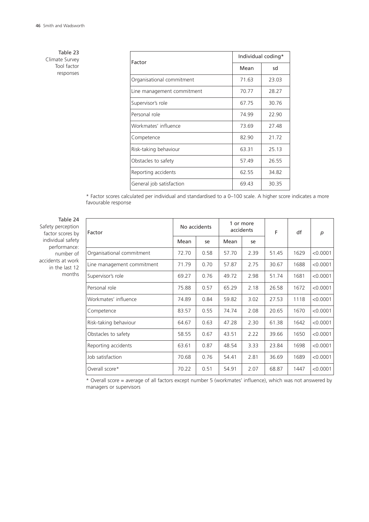Table 23 Climate Survey Tool factor responses

| Factor                     |       | Individual coding* |
|----------------------------|-------|--------------------|
|                            | Mean  | sd                 |
| Organisational commitment  | 71.63 | 23.03              |
| Line management commitment | 70.77 | 28.27              |
| Supervisor's role          | 67.75 | 30.76              |
| Personal role              | 74.99 | 22.90              |
| Workmates' influence       | 73.69 | 27.48              |
| Competence                 | 82.90 | 21.72              |
| Risk-taking behaviour      | 63.31 | 25.13              |
| Obstacles to safety        | 57.49 | 26.55              |
| Reporting accidents        | 62.55 | 34.82              |
| General job satisfaction   | 69.43 | 30.35              |

\* Factor scores calculated per individual and standardised to a 0–100 scale. A higher score indicates a more favourable response

Table 24 Safety perception factor scores by individual safety performance: number of accidents at work in the last 12 months

| Factor                     | No accidents |      | 1 or more<br>accidents |      | F     | df   | p        |
|----------------------------|--------------|------|------------------------|------|-------|------|----------|
|                            | Mean         | se   | Mean                   | se   |       |      |          |
| Organisational commitment  | 72.70        | 0.58 | 57.70                  | 2.39 | 51.45 | 1629 | < 0.0001 |
| Line management commitment | 71.79        | 0.70 | 57.87                  | 2.75 | 30.67 | 1688 | < 0.0001 |
| Supervisor's role          | 69.27        | 0.76 | 49.72                  | 2.98 | 51.74 | 1681 | < 0.0001 |
| Personal role              | 75.88        | 0.57 | 65.29                  | 2.18 | 26.58 | 1672 | < 0.0001 |
| Workmates' influence       | 74.89        | 0.84 | 59.82                  | 3.02 | 27.53 | 1118 | < 0.0001 |
| Competence                 | 83.57        | 0.55 | 74.74                  | 2.08 | 20.65 | 1670 | < 0.0001 |
| Risk-taking behaviour      | 64.67        | 0.63 | 47.28                  | 2.30 | 61.38 | 1642 | < 0.0001 |
| Obstacles to safety        | 58.55        | 0.67 | 43.51                  | 2.22 | 39.66 | 1650 | < 0.0001 |
| Reporting accidents        | 63.61        | 0.87 | 48.54                  | 3.33 | 23.84 | 1698 | < 0.0001 |
| Job satisfaction           | 70.68        | 0.76 | 54.41                  | 2.81 | 36.69 | 1689 | < 0.0001 |
| Overall score*             | 70.22        | 0.51 | 54.91                  | 2.07 | 68.87 | 1447 | < 0.0001 |

\* Overall score = average of all factors except number 5 (workmates' influence), which was not answered by managers or supervisors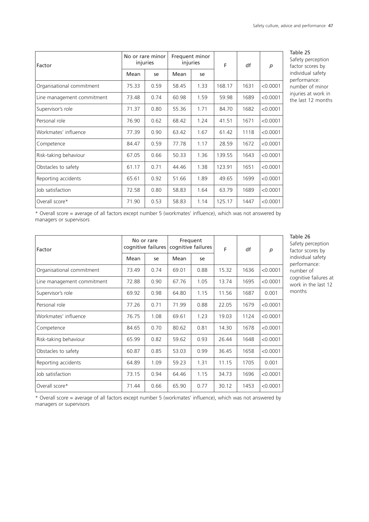| Factor                     |       | No or rare minor<br>injuries | Frequent minor<br>injuries |      | F      |      | p        |
|----------------------------|-------|------------------------------|----------------------------|------|--------|------|----------|
|                            | Mean  | se                           | Mean                       | se   |        |      |          |
| Organisational commitment  | 75.33 | 0.59                         | 58.45                      | 1.33 | 168.17 | 1631 | < 0.0001 |
| Line management commitment | 73.48 | 0.74                         | 60.98                      | 1.59 | 59.98  | 1689 | < 0.0001 |
| Supervisor's role          | 71.37 | 0.80                         | 55.36                      | 1.71 | 84.70  | 1682 | < 0.0001 |
| Personal role              | 76.90 | 0.62                         | 68.42                      | 1.24 | 41.51  | 1671 | < 0.0001 |
| Workmates' influence       | 77.39 | 0.90                         | 63.42                      | 1.67 | 61.42  | 1118 | < 0.0001 |
| Competence                 | 84.47 | 0.59                         | 77.78                      | 1.17 | 28.59  | 1672 | < 0.0001 |
| Risk-taking behaviour      | 67.05 | 0.66                         | 50.33                      | 1.36 | 139.55 | 1643 | < 0.0001 |
| Obstacles to safety        | 61.17 | 0.71                         | 44.46                      | 1.38 | 123.91 | 1651 | < 0.0001 |
| Reporting accidents        | 65.61 | 0.92                         | 51.66                      | 1.89 | 49.65  | 1699 | < 0.0001 |
| Job satisfaction           | 72.58 | 0.80                         | 58.83                      | 1.64 | 63.79  | 1689 | < 0.0001 |
| Overall score*             | 71.90 | 0.53                         | 58.83                      | 1.14 | 125.17 | 1447 | < 0.0001 |

Table 25 Safety perception factor scores by individual safety performance: number of minor injuries at work in the last 12 months

\* Overall score = average of all factors except number 5 (workmates' influence), which was not answered by managers or supervisors

| Factor                     | No or rare | cognitive failures | Frequent<br>cognitive failures<br>F |      | df    | $\boldsymbol{p}$ |          |
|----------------------------|------------|--------------------|-------------------------------------|------|-------|------------------|----------|
|                            | Mean       | se                 | Mean                                | se   |       |                  |          |
| Organisational commitment  | 73.49      | 0.74               | 69.01                               | 0.88 | 15.32 | 1636             | < 0.0001 |
| Line management commitment | 72.88      | 0.90               | 67.76                               | 1.05 | 13.74 | 1695             | < 0.0001 |
| Supervisor's role          | 69.92      | 0.98               | 64.80                               | 1.15 | 11.56 | 1687             | 0.001    |
| Personal role              | 77.26      | 0.71               | 71.99                               | 0.88 | 22.05 | 1679             | < 0.0001 |
| Workmates' influence       | 76.75      | 1.08               | 69.61                               | 1.23 | 19.03 | 1124             | < 0.0001 |
| Competence                 | 84.65      | 0.70               | 80.62                               | 0.81 | 14.30 | 1678             | < 0.0001 |
| Risk-taking behaviour      | 65.99      | 0.82               | 59.62                               | 0.93 | 26.44 | 1648             | < 0.0001 |
| Obstacles to safety        | 60.87      | 0.85               | 53.03                               | 0.99 | 36.45 | 1658             | < 0.0001 |
| Reporting accidents        | 64.89      | 1.09               | 59.23                               | 1.31 | 11.15 | 1705             | 0.001    |
| Job satisfaction           | 73.15      | 0.94               | 64.46                               | 1.15 | 34.73 | 1696             | < 0.0001 |
| Overall score*             | 71.44      | 0.66               | 65.90                               | 0.77 | 30.12 | 1453             | < 0.0001 |

Table 26 Safety perception factor scores by individual safety performance: number of cognitive failures at work in the last 12 months

\* Overall score = average of all factors except number 5 (workmates' influence), which was not answered by managers or supervisors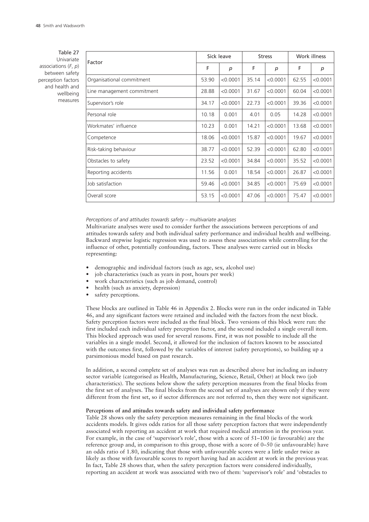Table 27 Univariate associations (*F*, *p*) between safety perception factors and health and wellbeing measures

| Factor                     |       | Sick leave | <b>Stress</b> |          | Work illness |          |
|----------------------------|-------|------------|---------------|----------|--------------|----------|
|                            | F     | р          | F             | p        | F            | p        |
| Organisational commitment  | 53.90 | < 0.0001   | 35.14         | < 0.0001 | 62.55        | < 0.0001 |
| Line management commitment | 28.88 | < 0.0001   | 31.67         | < 0.0001 | 60.04        | < 0.0001 |
| Supervisor's role          | 34.17 | < 0.0001   | 22.73         | < 0.0001 | 39.36        | < 0.0001 |
| Personal role              | 10.18 | 0.001      | 4.01          | 0.05     | 14.28        | < 0.0001 |
| Workmates' influence       | 10.23 | 0.001      | 14.21         | < 0.0001 | 13.68        | < 0.0001 |
| Competence                 | 18.06 | < 0.0001   | 15.87         | < 0.0001 | 19.67        | < 0.0001 |
| Risk-taking behaviour      | 38.77 | < 0.0001   | 52.39         | < 0.0001 | 62.80        | < 0.0001 |
| Obstacles to safety        | 23.52 | < 0.0001   | 34.84         | < 0.0001 | 35.52        | < 0.0001 |
| Reporting accidents        | 11.56 | 0.001      | 18.54         | < 0.0001 | 26.87        | < 0.0001 |
| Job satisfaction           | 59.46 | < 0.0001   | 34.85         | < 0.0001 | 75.69        | < 0.0001 |
| Overall score              | 53.15 | < 0.0001   | 47.06         | < 0.0001 | 75.47        | < 0.0001 |

*Perceptions of and attitudes towards safety – multivariate analyses*

Multivariate analyses were used to consider further the associations between perceptions of and attitudes towards safety and both individual safety performance and individual health and wellbeing. Backward stepwise logistic regression was used to assess these associations while controlling for the influence of other, potentially confounding, factors. These analyses were carried out in blocks representing:

- demographic and individual factors (such as age, sex, alcohol use)
- job characteristics (such as years in post, hours per week)
- work characteristics (such as job demand, control)
- health (such as anxiety, depression)
- safety perceptions.

These blocks are outlined in Table 46 in Appendix 2. Blocks were run in the order indicated in Table 46, and any significant factors were retained and included with the factors from the next block. Safety perception factors were included as the final block. Two versions of this block were run: the first included each individual safety perception factor, and the second included a single overall item. This blocked approach was used for several reasons. First, it was not possible to include all the variables in a single model. Second, it allowed for the inclusion of factors known to be associated with the outcomes first, followed by the variables of interest (safety perceptions), so building up a parsimonious model based on past research.

In addition, a second complete set of analyses was run as described above but including an industry sector variable (categorised as Health, Manufacturing, Science, Retail, Other) at block two (job characteristics). The sections below show the safety perception measures from the final blocks from the first set of analyses. The final blocks from the second set of analyses are shown only if they were different from the first set, so if sector differences are not referred to, then they were not significant.

#### **Perceptions of and attitudes towards safety and individual safety performance**

Table 28 shows only the safety perception measures remaining in the final blocks of the work accidents models. It gives odds ratios for all those safety perception factors that were independently associated with reporting an accident at work that required medical attention in the previous year. For example, in the case of 'supervisor's role', those with a score of 51–100 (ie favourable) are the reference group and, in comparison to this group, those with a score of 0–50 (ie unfavourable) have an odds ratio of 1.80, indicating that those with unfavourable scores were a little under twice as likely as those with favourable scores to report having had an accident at work in the previous year. In fact, Table 28 shows that, when the safety perception factors were considered individually, reporting an accident at work was associated with two of them: 'supervisor's role' and 'obstacles to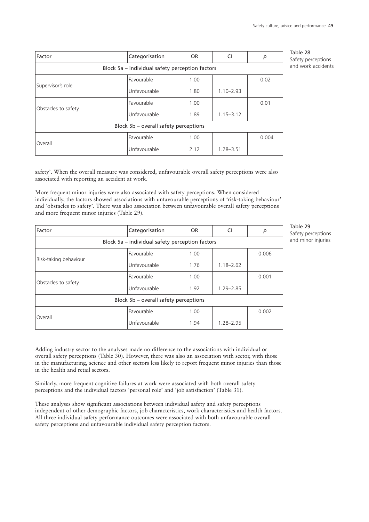| Factor                                          | Categorisation                        | <b>OR</b>             | CI            | р     |  |  |  |  |
|-------------------------------------------------|---------------------------------------|-----------------------|---------------|-------|--|--|--|--|
| Block 5a - individual safety perception factors |                                       |                       |               |       |  |  |  |  |
| Supervisor's role                               | Favourable                            | 1.00                  |               | 0.02  |  |  |  |  |
|                                                 | Unfavourable                          | 1.80                  | $1.10 - 2.93$ |       |  |  |  |  |
|                                                 | Favourable                            | 1.00                  |               | 0.01  |  |  |  |  |
| Obstacles to safety                             | Unfavourable                          | 1.89<br>$1.15 - 3.12$ |               |       |  |  |  |  |
|                                                 | Block 5b – overall safety perceptions |                       |               |       |  |  |  |  |
| Overall                                         | Favourable                            | 1.00                  |               | 0.004 |  |  |  |  |
|                                                 | Unfavourable                          | 2.12                  | $1.28 - 3.51$ |       |  |  |  |  |

Table 28 Safety perceptions and work accidents

safety'. When the overall measure was considered, unfavourable overall safety perceptions were also associated with reporting an accident at work.

More frequent minor injuries were also associated with safety perceptions. When considered individually, the factors showed associations with unfavourable perceptions of 'risk-taking behaviour' and 'obstacles to safety'. There was also association between unfavourable overall safety perceptions and more frequent minor injuries (Table 29).

| Factor                                          | Categorisation                        | <b>OR</b> | CI            | p     |  |  |  |  |
|-------------------------------------------------|---------------------------------------|-----------|---------------|-------|--|--|--|--|
| Block 5a - individual safety perception factors |                                       |           |               |       |  |  |  |  |
|                                                 | Favourable                            | 1.00      |               | 0.006 |  |  |  |  |
| Risk-taking behaviour                           | Unfavourable                          | 1.76      | $1.18 - 2.62$ |       |  |  |  |  |
|                                                 | Favourable                            | 1.00      |               | 0.001 |  |  |  |  |
| Obstacles to safety                             | Unfavourable                          | 1.92      | $1.29 - 2.85$ |       |  |  |  |  |
|                                                 | Block 5b – overall safety perceptions |           |               |       |  |  |  |  |
| Overall                                         | Favourable                            | 1.00      |               | 0.002 |  |  |  |  |
|                                                 | Unfavourable                          | 1.94      | $1.28 - 2.95$ |       |  |  |  |  |

Table 29 Safety perceptions and minor injuries

Adding industry sector to the analyses made no difference to the associations with individual or overall safety perceptions (Table 30). However, there was also an association with sector, with those in the manufacturing, science and other sectors less likely to report frequent minor injuries than those in the health and retail sectors.

Similarly, more frequent cognitive failures at work were associated with both overall safety perceptions and the individual factors 'personal role' and 'job satisfaction' (Table 31).

These analyses show significant associations between individual safety and safety perceptions independent of other demographic factors, job characteristics, work characteristics and health factors. All three individual safety performance outcomes were associated with both unfavourable overall safety perceptions and unfavourable individual safety perception factors.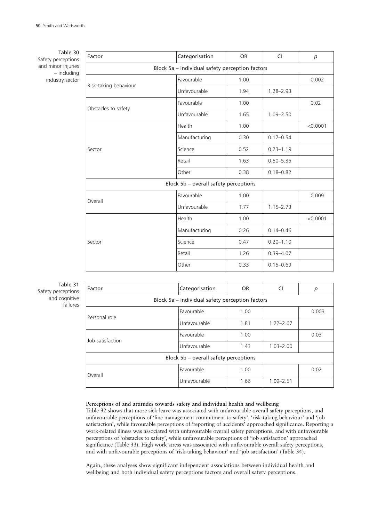Table 30 Safety perceptions and minor injuries – including industry sector

| Factor                                                                      | Categorisation                                  | <b>OR</b> | <b>CI</b>     | p        |
|-----------------------------------------------------------------------------|-------------------------------------------------|-----------|---------------|----------|
|                                                                             | Block 5a - individual safety perception factors |           |               |          |
|                                                                             | Favourable                                      | 1.00      |               | 0.002    |
| Risk-taking behaviour<br>Obstacles to safety<br>Sector<br>Overall<br>Sector | Unfavourable                                    | 1.94      | $1.28 - 2.93$ |          |
|                                                                             | Favourable                                      | 1.00      |               | 0.02     |
|                                                                             | Unfavourable                                    | 1.65      | $1.09 - 2.50$ |          |
|                                                                             | Health                                          | 1.00      |               | < 0.0001 |
|                                                                             | Manufacturing                                   | 0.30      | $0.17 - 0.54$ |          |
|                                                                             | Science                                         | 0.52      | $0.23 - 1.19$ |          |
|                                                                             | Retail                                          | 1.63      | $0.50 - 5.35$ |          |
|                                                                             | Other                                           | 0.38      | $0.18 - 0.82$ |          |
|                                                                             | Block 5b - overall safety perceptions           |           |               |          |
|                                                                             | Favourable                                      | 1.00      |               | 0.009    |
|                                                                             | Unfavourable                                    | 1.77      | $1.15 - 2.73$ |          |
|                                                                             | Health                                          | 1.00      |               | < 0.0001 |
|                                                                             | Manufacturing                                   | 0.26      | $0.14 - 0.46$ |          |
|                                                                             | Science                                         | 0.47      | $0.20 - 1.10$ |          |
|                                                                             | Retail                                          | 1.26      | $0.39 - 4.07$ |          |
|                                                                             | Other                                           | 0.33      | $0.15 - 0.69$ |          |

# Table 31 Safety perceptions and cognitive failures

| Factor                                          | Categorisation                                                                      | <b>OR</b> | CI            | р     |  |  |  |
|-------------------------------------------------|-------------------------------------------------------------------------------------|-----------|---------------|-------|--|--|--|
| Block 5a - individual safety perception factors |                                                                                     |           |               |       |  |  |  |
| Personal role                                   | Favourable                                                                          | 1.00      |               | 0.003 |  |  |  |
|                                                 | Unfavourable<br>Favourable<br>Unfavourable<br>Block 5b - overall safety perceptions | 1.81      | $1.22 - 2.67$ |       |  |  |  |
| Job satisfaction                                |                                                                                     | 1.00      |               | 0.03  |  |  |  |
|                                                 |                                                                                     | 1.43      | $1.03 - 2.00$ |       |  |  |  |
|                                                 |                                                                                     |           |               |       |  |  |  |
| Overall                                         | Favourable                                                                          | 1.00      |               | 0.02  |  |  |  |
|                                                 | Unfavourable                                                                        | 1.66      | $1.09 - 2.51$ |       |  |  |  |

## **Perceptions of and attitudes towards safety and individual health and wellbeing**

Table 32 shows that more sick leave was associated with unfavourable overall safety perceptions, and unfavourable perceptions of 'line management commitment to safety', 'risk-taking behaviour' and 'job satisfaction', while favourable perceptions of 'reporting of accidents' approached significance. Reporting a work-related illness was associated with unfavourable overall safety perceptions, and with unfavourable perceptions of 'obstacles to safety', while unfavourable perceptions of 'job satisfaction' approached significance (Table 33). High work stress was associated with unfavourable overall safety perceptions, and with unfavourable perceptions of 'risk-taking behaviour' and 'job satisfaction' (Table 34).

Again, these analyses show significant independent associations between individual health and wellbeing and both individual safety perceptions factors and overall safety perceptions.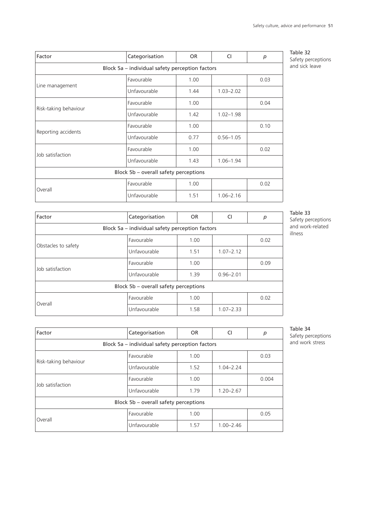| Factor                                          | Categorisation | OR.  | CI            | р    |  |  |  |  |  |
|-------------------------------------------------|----------------|------|---------------|------|--|--|--|--|--|
| Block 5a - individual safety perception factors |                |      |               |      |  |  |  |  |  |
|                                                 | Favourable     | 1.00 |               | 0.03 |  |  |  |  |  |
| Line management                                 | Unfavourable   | 1.44 | $1.03 - 2.02$ |      |  |  |  |  |  |
| Risk-taking behaviour                           | Favourable     | 1.00 |               | 0.04 |  |  |  |  |  |
|                                                 | Unfavourable   | 1.42 | $1.02 - 1.98$ |      |  |  |  |  |  |
|                                                 | Favourable     | 1.00 |               | 0.10 |  |  |  |  |  |
| Reporting accidents                             | Unfavourable   | 0.77 | $0.56 - 1.05$ |      |  |  |  |  |  |
|                                                 | Favourable     | 1.00 |               | 0.02 |  |  |  |  |  |
| Job satisfaction                                | Unfavourable   | 1.43 | $1.06 - 1.94$ |      |  |  |  |  |  |
| Block 5b - overall safety perceptions           |                |      |               |      |  |  |  |  |  |
| Overall                                         | Favourable     | 1.00 |               | 0.02 |  |  |  |  |  |
|                                                 | Unfavourable   | 1.51 | $1.06 - 2.16$ |      |  |  |  |  |  |

Table 32 Safety perceptions and sick leave

| Factor                                          | Categorisation<br><b>OR</b><br>CI     |      |               | р    |  |  |  |  |  |
|-------------------------------------------------|---------------------------------------|------|---------------|------|--|--|--|--|--|
| Block 5a - individual safety perception factors |                                       |      |               |      |  |  |  |  |  |
|                                                 | Favourable                            | 1.00 |               | 0.02 |  |  |  |  |  |
| Obstacles to safety                             | Unfavourable                          | 1.51 | $1.07 - 2.12$ |      |  |  |  |  |  |
|                                                 | Favourable                            | 1.00 |               | 0.09 |  |  |  |  |  |
| Job satisfaction                                | Unfavourable                          | 1.39 | $0.96 - 2.01$ |      |  |  |  |  |  |
|                                                 | Block 5b - overall safety perceptions |      |               |      |  |  |  |  |  |
|                                                 | Favourable                            | 1.00 |               | 0.02 |  |  |  |  |  |
| Overall                                         | Unfavourable                          | 1.58 | $1.07 - 2.33$ |      |  |  |  |  |  |

Table 33

Safety perceptions and work-related illness

| Factor                                          | Categorisation<br>OR.<br>CI                           |      | p             |       |  |  |  |  |
|-------------------------------------------------|-------------------------------------------------------|------|---------------|-------|--|--|--|--|
| Block 5a - individual safety perception factors |                                                       |      |               |       |  |  |  |  |
| Risk-taking behaviour                           | Favourable                                            | 1.00 |               | 0.03  |  |  |  |  |
|                                                 | Unfavourable                                          | 1.52 | $1.04 - 2.24$ |       |  |  |  |  |
| Job satisfaction                                | Favourable                                            | 1.00 |               | 0.004 |  |  |  |  |
|                                                 | Unfavourable                                          | 1.79 | $1.20 - 2.67$ |       |  |  |  |  |
|                                                 |                                                       |      |               |       |  |  |  |  |
| Overall                                         | Favourable                                            | 1.00 |               | 0.05  |  |  |  |  |
|                                                 | Block 5b - overall safety perceptions<br>Unfavourable | 1.57 | $1.00 - 2.46$ |       |  |  |  |  |

Table 34 Safety perceptions and work stress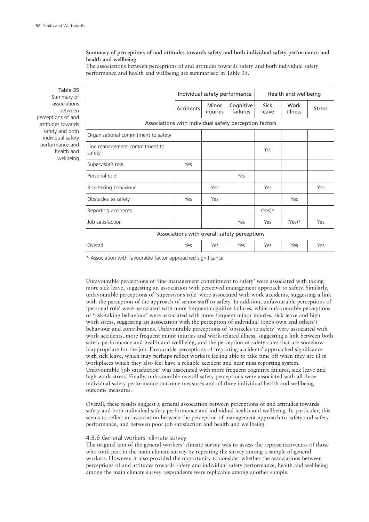# **Summary of perceptions of and attitudes towards safety and both individual safety performance and health and wellbeing**

The associations between perceptions of and attitudes towards safety and both individual safety performance and health and wellbeing are summarised in Table 35.

Table 35 Summary of associations between perceptions of and attitudes towards safety and both individual safety performance and health and wellbeing

|                                         |                                                        | Individual safety performance |                       |                      | Health and wellbeing |               |  |  |  |  |
|-----------------------------------------|--------------------------------------------------------|-------------------------------|-----------------------|----------------------|----------------------|---------------|--|--|--|--|
|                                         | Accidents                                              | <b>Minor</b><br>injuries      | Cognitive<br>failures | <b>Sick</b><br>leave | Work<br>illness      | <b>Stress</b> |  |  |  |  |
|                                         | Associations with individual safety perception factors |                               |                       |                      |                      |               |  |  |  |  |
| Organisational commitment to safety     |                                                        |                               |                       |                      |                      |               |  |  |  |  |
| Line management commitment to<br>safety |                                                        |                               |                       | Yes                  |                      |               |  |  |  |  |
| Supervisor's role                       | Yes                                                    |                               |                       |                      |                      |               |  |  |  |  |
| Personal role                           |                                                        |                               | Yes                   |                      |                      |               |  |  |  |  |
| Risk-taking behaviour                   |                                                        | Yes                           |                       | Yes                  |                      | Yes           |  |  |  |  |
| Obstacles to safety                     | Yes                                                    | Yes                           |                       |                      | Yes                  |               |  |  |  |  |
| Reporting accidents                     |                                                        |                               |                       | $(Yes)^*$            |                      |               |  |  |  |  |
| Job satisfaction                        |                                                        |                               | Yes                   | Yes                  | $(Yes)^*$            | Yes           |  |  |  |  |
|                                         | Associations with overall safety perceptions           |                               |                       |                      |                      |               |  |  |  |  |
| Overall                                 | Yes                                                    | Yes                           | Yes                   | Yes                  | Yes                  | Yes           |  |  |  |  |

\* Association with favourable factor approached significance

Unfavourable perceptions of 'line management commitment to safety' were associated with taking more sick leave, suggesting an association with perceived management approach to safety. Similarly, unfavourable perceptions of 'supervisor's role' were associated with work accidents, suggesting a link with the perception of the approach of senior staff to safety. In addition, unfavourable perceptions of 'personal role' were associated with more frequent cognitive failures, while unfavourable perceptions of 'risk-taking behaviour' were associated with more frequent minor injuries, sick leave and high work stress, suggesting an association with the perception of individual (one's own and others') behaviour and contributions. Unfavourable perceptions of 'obstacles to safety' were associated with work accidents, more frequent minor injuries and work-related illness, suggesting a link between both safety performance and health and wellbeing, and the perception of safety rules that are somehow inappropriate for the job. Favourable perceptions of 'reporting accidents' approached significance with sick leave, which may perhaps reflect workers feeling able to take time off when they are ill in workplaces which they also feel have a reliable accident and near miss reporting system. Unfavourable 'job satisfaction' was associated with more frequent cognitive failures, sick leave and high work stress. Finally, unfavourable overall safety perceptions were associated with all three individual safety performance outcome measures and all three individual health and wellbeing outcome measures.

Overall, these results suggest a general association between perceptions of and attitudes towards safety and both individual safety performance and individual health and wellbeing. In particular, this seems to reflect an association between the perception of management approach to safety and safety performance, and between poor job satisfaction and health and wellbeing.

# 4.3.6 General workers' climate survey

The original aim of the general workers' climate survey was to assess the representativeness of those who took part in the main climate survey by repeating the survey among a sample of general workers. However, it also provided the opportunity to consider whether the associations between perceptions of and attitudes towards safety and individual safety performance, health and wellbeing among the main climate survey respondents were replicable among another sample.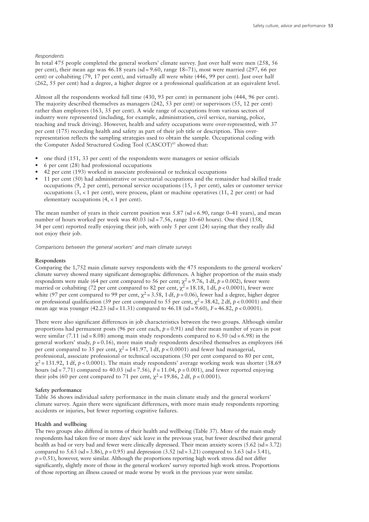#### *Respondents*

In total 475 people completed the general workers' climate survey. Just over half were men (258, 56 per cent), their mean age was 46.18 years (sd = 9.60, range 18–71), most were married (297, 66 per cent) or cohabiting (79, 17 per cent), and virtually all were white (446, 99 per cent). Just over half (262, 55 per cent) had a degree, a higher degree or a professional qualification at an equivalent level.

Almost all the respondents worked full time (430, 93 per cent) in permanent jobs (444, 96 per cent). The majority described themselves as managers (242, 53 per cent) or supervisors (55, 12 per cent) rather than employees (163, 35 per cent). A wide range of occupations from various sectors of industry were represented (including, for example, administration, civil service, nursing, police, teaching and truck driving). However, health and safety occupations were over-represented, with 37 per cent (175) recording health and safety as part of their job title or description. This overrepresentation reflects the sampling strategies used to obtain the sample. Occupational coding with the Computer Aided Structured Coding Tool (CASCOT) <sup>85</sup> showed that:

- one third (151, 33 per cent) of the respondents were managers or senior officials
- 6 per cent (28) had professional occupations
- 42 per cent (193) worked in associate professional or technical occupations
- 11 per cent (50) had administrative or secretarial occupations and the remainder had skilled trade occupations (9, 2 per cent), personal service occupations (15, 3 per cent), sales or customer service occupations (3, < 1 per cent), were process, plant or machine operatives (11, 2 per cent) or had elementary occupations (4, < 1 per cent).

The mean number of years in their current position was 5.87 (sd = 6.90, range 0-41 years), and mean number of hours worked per week was 40.03 (sd = 7.56, range 10–60 hours). One third (158, 34 per cent) reported really enjoying their job, with only 5 per cent (24) saying that they really did not enjoy their job.

*Comparisons between the general workers' and main climate surveys*

#### **Respondents**

Comparing the 1,752 main climate survey respondents with the 475 respondents to the general workers' climate survey showed many significant demographic differences. A higher proportion of the main study respondents were male (64 per cent compared to 56 per cent;  $\chi^2$ =9.76, 1 df, *p* = 0.002), fewer were married or cohabiting (72 per cent compared to 82 per cent,  $\chi^2$  = 18.18, 1 df, *p* < 0.0001), fewer were white (97 per cent compared to 99 per cent,  $\chi^2$  = 3.58, 1 df,  $p$  = 0.06), fewer had a degree, higher degree or professional qualification (39 per cent compared to 55 per cent,  $\chi^2$  = 38.42, 2 df,  $p$  < 0.0001) and their mean age was younger (42.23 (sd = 11.31) compared to 46.18 (sd = 9.60), *F* = 46.82, *p* < 0.0001).

There were also significant differences in job characteristics between the two groups. Although similar proportions had permanent posts (96 per cent each, *p* = 0.91) and their mean number of years in post were similar (7.11 (sd = 8.08) among main study respondents compared to 6.50 (sd = 6.98) in the general workers' study,  $p = 0.16$ ), more main study respondents described themselves as employees (66) per cent compared to 35 per cent,  $\chi^2$  = 141.97, 1 df, *p* < 0.0001) and fewer had managerial, professional, associate professional or technical occupations (50 per cent compared to 80 per cent,  $\chi^2$  = 131.92, 1 df,  $p$  < 0.0001). The main study respondents' average working week was shorter (38.69) hours (sd = 7.71) compared to 40.03 (sd = 7.56),  $F = 11.04$ ,  $p = 0.001$ ), and fewer reported enjoying their jobs (60 per cent compared to 71 per cent,  $\chi^2$  = 19.86, 2 df, *p* < 0.0001).

#### **Safety performance**

Table 36 shows individual safety performance in the main climate study and the general workers' climate survey. Again there were significant differences, with more main study respondents reporting accidents or injuries, but fewer reporting cognitive failures.

## **Health and wellbeing**

The two groups also differed in terms of their health and wellbeing (Table 37). More of the main study respondents had taken five or more days' sick leave in the previous year, but fewer described their general health as bad or very bad and fewer were clinically depressed. Their mean anxiety scores (5.62 (sd=3.72) compared to 5.63 (sd = 3.86),  $p = 0.95$ ) and depression (3.52 (sd = 3.21) compared to 3.63 (sd = 3.41),  $p=0.51$ ), however, were similar. Although the proportions reporting high work stress did not differ significantly, slightly more of those in the general workers' survey reported high work stress. Proportions of those reporting an illness caused or made worse by work in the previous year were similar.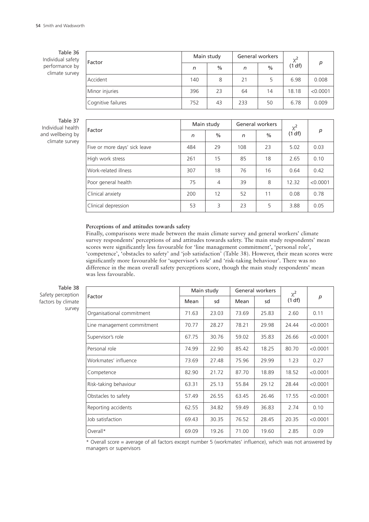Table 36 Individual safety performance by climate survey

| Factor             |     | Main study    |     | General workers | $\chi^2$ |          |
|--------------------|-----|---------------|-----|-----------------|----------|----------|
|                    | n   | $\frac{0}{0}$ | n   | $\%$            | (1 df)   | р        |
| Accident           | 140 | 8             | 21  | 5               | 6.98     | 0.008    |
| Minor injuries     | 396 | 23            | 64  | 14              | 18.18    | < 0.0001 |
| Cognitive failures | 752 | 43            | 233 | 50              | 6.78     | 0.009    |

Table 37 Individual health and wellbeing by climate survey

|                               |     | Main study |     | General workers | $\chi^2$ |          |
|-------------------------------|-----|------------|-----|-----------------|----------|----------|
| Factor                        | n   | $\%$       | n   | $\frac{0}{0}$   | (1 df)   | p        |
| Five or more days' sick leave | 484 | 29         | 108 | 23              | 5.02     | 0.03     |
| High work stress              | 261 | 15         | 85  | 18              | 2.65     | 0.10     |
| Work-related illness          | 307 | 18         | 76  | 16              | 0.64     | 0.42     |
| Poor general health           | 75  | 4          | 39  | 8               | 12.32    | < 0.0001 |
| Clinical anxiety              | 200 | 12         | 52  | 11              | 0.08     | 0.78     |
| Clinical depression           | 53  | 3          | 23  | 5               | 3.88     | 0.05     |

# **Perceptions of and attitudes towards safety**

Finally, comparisons were made between the main climate survey and general workers' climate survey respondents' perceptions of and attitudes towards safety. The main study respondents' mean scores were significantly less favourable for 'line management commitment', 'personal role', 'competence', 'obstacles to safety' and 'job satisfaction' (Table 38). However, their mean scores were significantly more favourable for 'supervisor's role' and 'risk-taking behaviour'. There was no difference in the mean overall safety perceptions score, though the main study respondents' mean was less favourable.

Table 38 Safety perception factors by climate survey

| p        |
|----------|
| 0.11     |
| < 0.0001 |
| < 0.0001 |
| < 0.0001 |
| 0.27     |
| < 0.0001 |
| < 0.0001 |
| < 0.0001 |
| 0.10     |
| < 0.0001 |
| 0.09     |
|          |

Overall score = average of all factors except number 5 (workmates' influence), which was not answered by managers or supervisors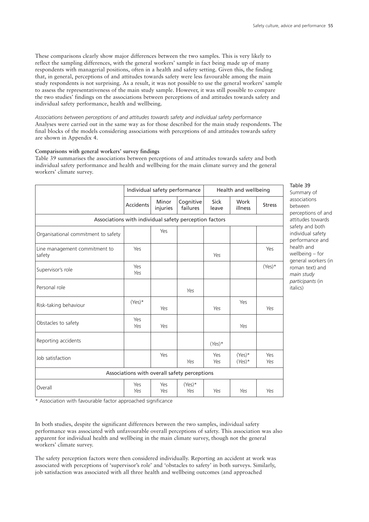These comparisons clearly show major differences between the two samples. This is very likely to reflect the sampling differences, with the general workers' sample in fact being made up of many respondents with managerial positions, often in a health and safety setting. Given this, the finding that, in general, perceptions of and attitudes towards safety were less favourable among the main study respondents is not surprising. As a result, it was not possible to use the general workers' sample to assess the representativeness of the main study sample. However, it was still possible to compare the two studies' findings on the associations between perceptions of and attitudes towards safety and individual safety performance, health and wellbeing.

*Associations between perceptions of and attitudes towards safety and individual safety performance* Analyses were carried out in the same way as for those described for the main study respondents. The final blocks of the models considering associations with perceptions of and attitudes towards safety are shown in Appendix 4.

#### **Comparisons with general workers' survey findings**

Table 39 summarises the associations between perceptions of and attitudes towards safety and both individual safety performance and health and wellbeing for the main climate survey and the general workers' climate survey.

|                                                        | Individual safety performance |                   |                                              |               | Health and wellbeing   |               |  |  |  |  |
|--------------------------------------------------------|-------------------------------|-------------------|----------------------------------------------|---------------|------------------------|---------------|--|--|--|--|
|                                                        | <b>Accidents</b>              | Minor<br>injuries | Cognitive<br>failures                        | Sick<br>leave | Work<br>illness        | <b>Stress</b> |  |  |  |  |
| Associations with individual safety perception factors |                               |                   |                                              |               |                        |               |  |  |  |  |
| Yes<br>Organisational commitment to safety             |                               |                   |                                              |               |                        |               |  |  |  |  |
| Line management commitment to<br>safety                | Yes                           |                   |                                              | Yes           |                        | Yes           |  |  |  |  |
| Supervisor's role                                      | Yes<br>Yes                    |                   |                                              |               |                        | $(Yes)^*$     |  |  |  |  |
| Personal role                                          |                               |                   | Yes                                          |               |                        |               |  |  |  |  |
| Risk-taking behaviour                                  | $(Yes)^*$                     | Yes               |                                              | Yes           | Yes                    | Yes           |  |  |  |  |
| Obstacles to safety                                    | Yes<br>Yes                    | Yes               |                                              |               | Yes                    |               |  |  |  |  |
| Reporting accidents                                    |                               |                   |                                              | $(Yes)^*$     |                        |               |  |  |  |  |
| Job satisfaction                                       |                               | Yes               | Yes                                          | Yes<br>Yes    | $(Yes)^*$<br>$(Yes)^*$ | Yes<br>Yes    |  |  |  |  |
|                                                        |                               |                   | Associations with overall safety perceptions |               |                        |               |  |  |  |  |
| Overall                                                | Yes<br>Yes                    | Yes<br>Yes        | $(Yes)^*$<br>Yes                             | Yes           | Yes                    | Yes           |  |  |  |  |

Table 39

Summary of associations between perceptions of and attitudes towards safety and both individual safety performance and health and wellbeing – for general workers (in roman text) and *main study participants* (in italics)

\* Association with favourable factor approached significance

In both studies, despite the significant differences between the two samples, individual safety performance was associated with unfavourable overall perceptions of safety. This association was also apparent for individual health and wellbeing in the main climate survey, though not the general workers' climate survey.

The safety perception factors were then considered individually. Reporting an accident at work was associated with perceptions of 'supervisor's role' and 'obstacles to safety' in both surveys. Similarly, job satisfaction was associated with all three health and wellbeing outcomes (and approached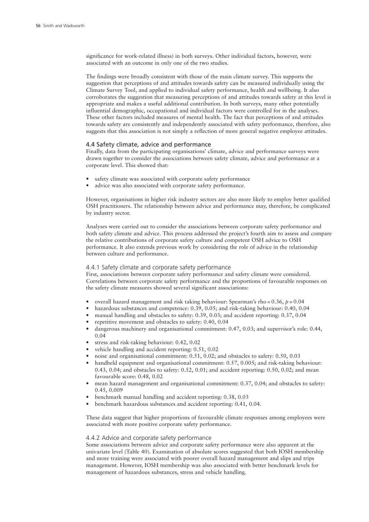significance for work-related illness) in both surveys. Other individual factors, however, were associated with an outcome in only one of the two studies.

The findings were broadly consistent with those of the main climate survey. This supports the suggestion that perceptions of and attitudes towards safety can be measured individually using the Climate Survey Tool, and applied to individual safety performance, health and wellbeing. It also corroborates the suggestion that measuring perceptions of and attitudes towards safety at this level is appropriate and makes a useful additional contribution. In both surveys, many other potentially influential demographic, occupational and individual factors were controlled for in the analyses. These other factors included measures of mental health. The fact that perceptions of and attitudes towards safety are consistently and independently associated with safety performance, therefore, also suggests that this association is not simply a reflection of more general negative employee attitudes.

#### 4.4 Safety climate, advice and performance

Finally, data from the participating organisations' climate, advice and performance surveys were drawn together to consider the associations between safety climate, advice and performance at a corporate level. This showed that:

- safety climate was associated with corporate safety performance
- advice was also associated with corporate safety performance.

However, organisations in higher risk industry sectors are also more likely to employ better qualified OSH practitioners. The relationship between advice and performance may, therefore, be complicated by industry sector.

Analyses were carried out to consider the associations between corporate safety performance and both safety climate and advice. This process addressed the project's fourth aim to assess and compare the relative contributions of corporate safety culture and competent OSH advice to OSH performance. It also extends previous work by considering the role of advice in the relationship between culture and performance.

# 4.4.1 Safety climate and corporate safety performance

First, associations between corporate safety performance and safety climate were considered. Correlations between corporate safety performance and the proportions of favourable responses on the safety climate measures showed several significant associations:

- overall hazard management and risk taking behaviour: Spearman's rho = 0.36, *p* = 0.04
- hazardous substances and competence: 0.39, 0.05; and risk-taking behaviour: 0.40, 0.04
- manual handling and obstacles to safety: 0.39, 0.03; and accident reporting: 0.37, 0.04
- repetitive movement and obstacles to safety: 0.40, 0.04
- dangerous machinery and organisational commitment: 0.47, 0.03; and supervisor's role: 0.44, 0.04
- stress and risk-taking behaviour: 0.42, 0.02
- vehicle handling and accident reporting: 0.51, 0.02
- noise and organisational commitment: 0.51, 0.02; and obstacles to safety: 0.50, 0.03
- handheld equipment and organisational commitment: 0.57, 0.005; and risk-taking behaviour: 0.43, 0.04; and obstacles to safety: 0.52, 0.01; and accident reporting: 0.50, 0.02; and mean favourable score: 0.48, 0.02
- mean hazard management and organisational commitment: 0.37, 0.04; and obstacles to safety: 0.45, 0.009
- benchmark manual handling and accident reporting: 0.38, 0.03
- benchmark hazardous substances and accident reporting: 0.41, 0.04.

These data suggest that higher proportions of favourable climate responses among employees were associated with more positive corporate safety performance.

#### 4.4.2 Advice and corporate safety performance

Some associations between advice and corporate safety performance were also apparent at the univariate level (Table 40). Examination of absolute scores suggested that both IOSH membership and more training were associated with poorer overall hazard management and slips and trips management. However, IOSH membership was also associated with better benchmark levels for management of hazardous substances, stress and vehicle handling.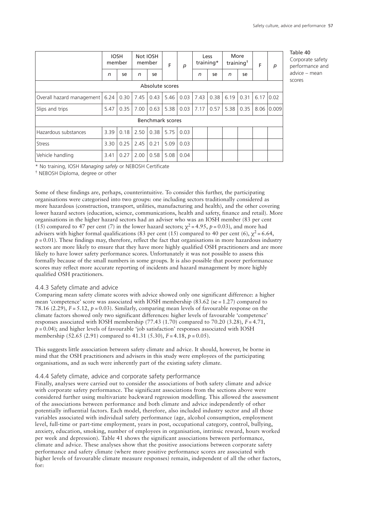|                           |      | <b>IOSH</b><br>member | Not IOSH<br>member |      | F                | p    |      | Less<br>training* | training <sup>†</sup> | More | F    | p     |
|---------------------------|------|-----------------------|--------------------|------|------------------|------|------|-------------------|-----------------------|------|------|-------|
|                           | n    | se                    | n                  | se   |                  |      | n    | se                | n                     | se   |      |       |
|                           |      |                       |                    |      | Absolute scores  |      |      |                   |                       |      |      |       |
| Overall hazard management | 6.24 | 0.30                  | 7.45               | 0.43 | 5.46             | 0.03 | 7.43 | 0.38              | 6.19                  | 0.31 | 6.17 | 0.02  |
| Slips and trips           | 5.47 | 0.35                  | 7.00               | 0.63 | 5.38             | 0.03 | 7.17 | 0.57              | 5.38                  | 0.35 | 8.06 | 0.009 |
|                           |      |                       |                    |      | Benchmark scores |      |      |                   |                       |      |      |       |
| Hazardous substances      | 3.39 | 0.18                  | 2.50               | 0.38 | 5.75             | 0.03 |      |                   |                       |      |      |       |
| <b>Stress</b>             | 3.30 | 0.25                  | 2.45               | 0.21 | 5.09             | 0.03 |      |                   |                       |      |      |       |
| Vehicle handling          | 3.41 | 0.27                  | 2.00               | 0.58 | 5.08             | 0.04 |      |                   |                       |      |      |       |

Table 40 Corporate safety performance and advice – mean scores

\* No training, IOSH *Managing safely* or NEBOSH Certificate

† NEBOSH Diploma, degree or other

Some of these findings are, perhaps, counterintuitive. To consider this further, the participating organisations were categorised into two groups: one including sectors traditionally considered as more hazardous (construction, transport, utilities, manufacturing and health), and the other covering lower hazard sectors (education, science, communications, health and safety, finance and retail). More organisations in the higher hazard sectors had an adviser who was an IOSH member (83 per cent (15) compared to 47 per cent (7) in the lower hazard sectors;  $\chi^2$  = 4.95,  $p$  = 0.03), and more had advisers with higher formal qualifications (83 per cent (15) compared to 40 per cent (6),  $\chi^2$  = 6.64,  $p = 0.01$ ). These findings may, therefore, reflect the fact that organisations in more hazardous industry sectors are more likely to ensure that they have more highly qualified OSH practitioners and are more likely to have lower safety performance scores. Unfortunately it was not possible to assess this formally because of the small numbers in some groups. It is also possible that poorer performance scores may reflect more accurate reporting of incidents and hazard management by more highly qualified OSH practitioners.

## 4.4.3 Safety climate and advice

Comparing mean safety climate scores with advice showed only one significant difference: a higher mean 'competence' score was associated with IOSH membership  $(83.62 \text{ (se } = 1.27)$  compared to 78.16 (2.29), *F* = 5.12, *p* = 0.03). Similarly, comparing mean levels of favourable response on the climate factors showed only two significant differences: higher levels of favourable 'competence' responses associated with IOSH membership  $(77.43 \ (1.70)$  compared to  $70.20 \ (3.28)$ ,  $F = 4.71$ ,  $p = 0.04$ ); and higher levels of favourable 'job satisfaction' responses associated with IOSH membership (52.65 (2.91) compared to 41.31 (5.30), *F* = 4.18, *p* = 0.05).

This suggests little association between safety climate and advice. It should, however, be borne in mind that the OSH practitioners and advisers in this study were employees of the participating organisations, and as such were inherently part of the existing safety climate.

# 4.4.4 Safety climate, advice and corporate safety performance

Finally, analyses were carried out to consider the associations of both safety climate and advice with corporate safety performance. The significant associations from the sections above were considered further using multivariate backward regression modelling. This allowed the assessment of the associations between performance and both climate and advice independently of other potentially influential factors. Each model, therefore, also included industry sector and all those variables associated with individual safety performance (age, alcohol consumption, employment level, full-time or part-time employment, years in post, occupational category, control, bullying, anxiety, education, smoking, number of employees in organisation, intrinsic reward, hours worked per week and depression). Table 41 shows the significant associations between performance, climate and advice. These analyses show that the positive associations between corporate safety performance and safety climate (where more positive performance scores are associated with higher levels of favourable climate measure responses) remain, independent of all the other factors, for: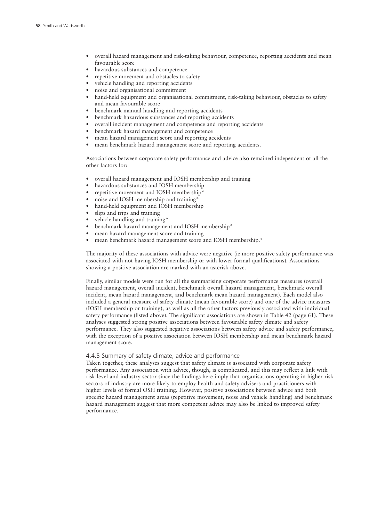- overall hazard management and risk-taking behaviour, competence, reporting accidents and mean favourable score
- hazardous substances and competence
- repetitive movement and obstacles to safety
- vehicle handling and reporting accidents
- noise and organisational commitment
- hand-held equipment and organisational commitment, risk-taking behaviour, obstacles to safety and mean favourable score
- benchmark manual handling and reporting accidents
- benchmark hazardous substances and reporting accidents
- overall incident management and competence and reporting accidents
- benchmark hazard management and competence
- mean hazard management score and reporting accidents
- mean benchmark hazard management score and reporting accidents.

Associations between corporate safety performance and advice also remained independent of all the other factors for:

- overall hazard management and IOSH membership and training
- hazardous substances and IOSH membership
- repetitive movement and IOSH membership\*
- noise and IOSH membership and training\*
- hand-held equipment and IOSH membership
- slips and trips and training
- vehicle handling and training\*
- benchmark hazard management and IOSH membership\*
- mean hazard management score and training
- mean benchmark hazard management score and IOSH membership.\*

The majority of these associations with advice were negative (ie more positive safety performance was associated with not having IOSH membership or with lower formal qualifications). Associations showing a positive association are marked with an asterisk above.

Finally, similar models were run for all the summarising corporate performance measures (overall hazard management, overall incident, benchmark overall hazard management, benchmark overall incident, mean hazard management, and benchmark mean hazard management). Each model also included a general measure of safety climate (mean favourable score) and one of the advice measures (IOSH membership or training), as well as all the other factors previously associated with individual safety performance (listed above). The significant associations are shown in Table 42 (page 61). These analyses suggested strong positive associations between favourable safety climate and safety performance. They also suggested negative associations between safety advice and safety performance, with the exception of a positive association between IOSH membership and mean benchmark hazard management score.

# 4.4.5 Summary of safety climate, advice and performance

Taken together, these analyses suggest that safety climate is associated with corporate safety performance. Any association with advice, though, is complicated, and this may reflect a link with risk level and industry sector since the findings here imply that organisations operating in higher risk sectors of industry are more likely to employ health and safety advisers and practitioners with higher levels of formal OSH training. However, positive associations between advice and both specific hazard management areas (repetitive movement, noise and vehicle handling) and benchmark hazard management suggest that more competent advice may also be linked to improved safety performance.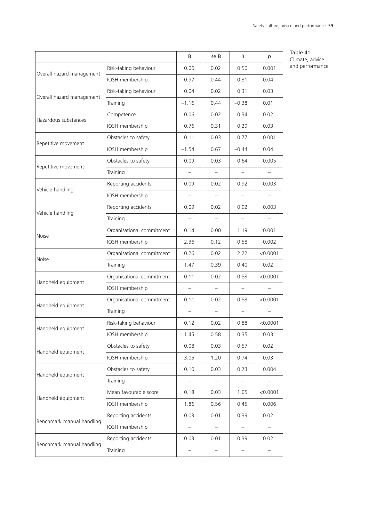|                           |                           | B                        | se B                     | β                 | р                        |
|---------------------------|---------------------------|--------------------------|--------------------------|-------------------|--------------------------|
|                           | Risk-taking behaviour     | 0.06                     | 0.02                     | 0.50              | 0.001                    |
| Overall hazard management | IOSH membership           | 0.97                     | 0.44                     | 0.31              | 0.04                     |
|                           | Risk-taking behaviour     | 0.04                     | 0.02                     | 0.31              | 0.03                     |
| Overall hazard management | Training                  | $-1.16$                  | 0.44                     | $-0.38$           | 0.01                     |
| Hazardous substances      | Competence                | 0.06                     | 0.02                     | 0.34              | 0.02                     |
|                           | IOSH membership           | 0.76                     | 0.31                     | 0.29              | 0.03                     |
|                           | Obstacles to safety       | 0.11                     | 0.03                     | 0.77              | 0.001                    |
| Repetitive movement       | IOSH membership           | $-1.54$                  | 0.67                     | $-0.44$           | 0.04                     |
|                           | Obstacles to safety       | 0.09                     | 0.03                     | 0.64              | 0.005                    |
| Repetitive movement       | Training                  |                          |                          |                   |                          |
| Vehicle handling          | Reporting accidents       | 0.09                     | 0.02                     | 0.92              | 0.003                    |
|                           | IOSH membership           |                          |                          |                   |                          |
|                           | Reporting accidents       | 0.09                     | 0.02                     | 0.92              | 0.003                    |
| Vehicle handling          | Training                  | $\overline{\phantom{m}}$ | $\overline{\phantom{0}}$ | $\qquad \qquad -$ | $\overline{\phantom{0}}$ |
| <b>Noise</b>              | Organisational commitment | 0.14                     | 0.00                     | 1.19              | 0.001                    |
|                           | IOSH membership           | 2.36                     | 0.12                     | 0.58              | 0.002                    |
| <b>Noise</b>              | Organisational commitment | 0.26                     | 0.02                     | 2.22              | < 0.0001                 |
|                           | Training                  | 1.47                     | 0.39                     | 0.40              | 0.02                     |
| Handheld equipment        | Organisational commitment | 0.11                     | 0.02                     | 0.83              | < 0.0001                 |
|                           | IOSH membership           | $\overline{\phantom{0}}$ |                          |                   |                          |
| Handheld equipment        | Organisational commitment | 0.11                     | 0.02                     | 0.83              | < 0.0001                 |
|                           | Training                  |                          |                          |                   |                          |
| Handheld equipment        | Risk-taking behaviour     | 0.12                     | 0.02                     | 0.88              | < 0.0001                 |
|                           | IOSH membership           | 1.45                     | 0.58                     | 0.35              | 0.03                     |
| Handheld equipment        | Obstacles to safety       | 0.08                     | 0.03                     | 0.57              | 0.02                     |
|                           | IOSH membership           | 3.05                     | 1.20                     | 0.74              | 0.03                     |
| Handheld equipment        | Obstacles to safety       | 0.10                     | 0.03                     | 0.73              | 0.004                    |
|                           | Training                  |                          | $\overline{\phantom{0}}$ |                   |                          |
| Handheld equipment        | Mean favourable score     | 0.18                     | 0.03                     | 1.05              | < 0.0001                 |
|                           | IOSH membership           | 1.86                     | 0.56                     | 0.45              | 0.006                    |
| Benchmark manual handling | Reporting accidents       | 0.03                     | 0.01                     | 0.39              | 0.02                     |
|                           | IOSH membership           |                          |                          |                   |                          |
| Benchmark manual handling | Reporting accidents       | 0.03                     | 0.01                     | 0.39              | 0.02                     |
|                           | Training                  |                          |                          |                   |                          |

Table 41 Climate, advice and performance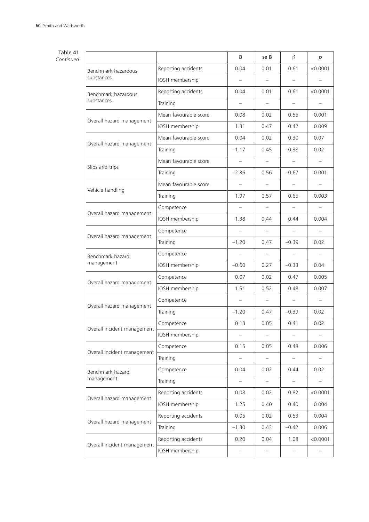# Table 41

*Continued*

|                             |                       | B                        | se B                     | $\beta$                  | р                        |
|-----------------------------|-----------------------|--------------------------|--------------------------|--------------------------|--------------------------|
| Benchmark hazardous         | Reporting accidents   | 0.04                     | 0.01                     | 0.61                     | < 0.0001                 |
| substances                  | IOSH membership       | $\overline{\phantom{0}}$ | $\qquad \qquad -$        |                          |                          |
| Benchmark hazardous         | Reporting accidents   | 0.04                     | 0.01                     | 0.61                     | < 0.0001                 |
| substances                  | Training              | $\overline{\phantom{0}}$ | -                        | $\overline{\phantom{a}}$ |                          |
| Overall hazard management   | Mean favourable score | 0.08                     | 0.02                     | 0.55                     | 0.001                    |
|                             | IOSH membership       | 1.31                     | 0.47                     | 0.42                     | 0.009                    |
| Overall hazard management   | Mean favourable score | 0.04                     | 0.02                     | 0.30                     | 0.07                     |
|                             | Training              | $-1.17$                  | 0.45                     | $-0.38$                  | 0.02                     |
| Slips and trips             | Mean favourable score | $\overline{\phantom{0}}$ | $-$                      | $\overline{\phantom{0}}$ | $\overline{\phantom{0}}$ |
|                             | Training              | $-2.36$                  | 0.56                     | $-0.67$                  | 0.001                    |
| Vehicle handling            | Mean favourable score |                          | $\overline{\phantom{0}}$ | $\overline{\phantom{0}}$ |                          |
|                             | Training              | 1.97                     | 0.57                     | 0.65                     | 0.003                    |
| Overall hazard management   | Competence            | $\overline{\phantom{0}}$ |                          |                          |                          |
|                             | IOSH membership       | 1.38                     | 0.44                     | 0.44                     | 0.004                    |
| Overall hazard management   | Competence            |                          |                          |                          |                          |
|                             | Training              | $-1.20$                  | 0.47                     | $-0.39$                  | 0.02                     |
| Benchmark hazard            | Competence            | $\qquad \qquad -$        | $\overline{\phantom{0}}$ |                          | $\overline{\phantom{0}}$ |
| management                  | IOSH membership       | $-0.60$                  | 0.27                     | $-0.33$                  | 0.04                     |
| Overall hazard management   | Competence            | 0.07                     | 0.02                     | 0.47                     | 0.005                    |
|                             | IOSH membership       | 1.51                     | 0.52                     | 0.48                     | 0.007                    |
| Overall hazard management   | Competence            | $\overline{\phantom{0}}$ | $-$                      | $\overline{\phantom{m}}$ | $\overline{\phantom{m}}$ |
|                             | Training              | $-1.20$                  | 0.47                     | $-0.39$                  | 0.02                     |
| Overall incident management | Competence            | 0.13                     | 0.05                     | 0.41                     | 0.02                     |
|                             | IOSH membership       |                          |                          |                          |                          |
| Overall incident management | Competence            | 0.15                     | 0.05                     | 0.48                     | 0.006                    |
|                             | Training              | $\qquad \qquad -$        | $\qquad \qquad -$        | $\qquad \qquad -$        |                          |
| Benchmark hazard            | Competence            | 0.04                     | 0.02                     | 0.44                     | 0.02                     |
| management                  | Training              | -                        | -                        | $\qquad \qquad -$        |                          |
| Overall hazard management   | Reporting accidents   | 0.08                     | 0.02                     | 0.82                     | < 0.0001                 |
|                             | IOSH membership       | 1.25                     | 0.40                     | 0.40                     | 0.004                    |
| Overall hazard management   | Reporting accidents   | 0.05                     | 0.02                     | 0.53                     | 0.004                    |
|                             | Training              | $-1.30$                  | 0.43                     | $-0.42$                  | 0.006                    |
|                             | Reporting accidents   | 0.20                     | 0.04                     | 1.08                     | < 0.0001                 |
| Overall incident management | IOSH membership       |                          | -                        |                          |                          |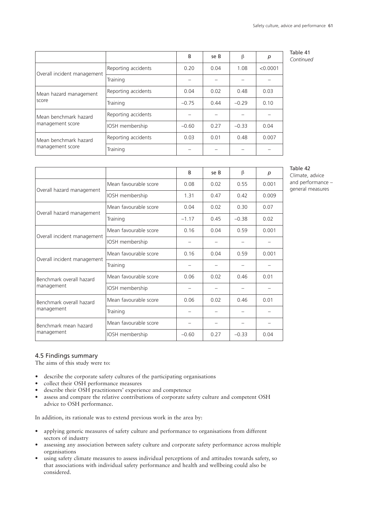|                             |                     | B       | se B | β       | p        | Table 41<br>Continued |
|-----------------------------|---------------------|---------|------|---------|----------|-----------------------|
|                             | Reporting accidents | 0.20    | 0.04 | 1.08    | < 0.0001 |                       |
| Overall incident management | Training            |         |      |         |          |                       |
| Mean hazard management      | Reporting accidents | 0.04    | 0.02 | 0.48    | 0.03     |                       |
| score                       | Training            | $-0.75$ | 0.44 | $-0.29$ | 0.10     |                       |
| Mean benchmark hazard       | Reporting accidents |         |      |         |          |                       |
| management score            | IOSH membership     | $-0.60$ | 0.27 | $-0.33$ | 0.04     |                       |
| Mean benchmark hazard       | Reporting accidents | 0.03    | 0.01 | 0.48    | 0.007    |                       |
| management score            | Training            |         |      |         |          |                       |

|                             |                       | B       | se B | $\beta$ | р     |
|-----------------------------|-----------------------|---------|------|---------|-------|
|                             | Mean favourable score | 0.08    | 0.02 | 0.55    | 0.001 |
| Overall hazard management   | IOSH membership       | 1.31    | 0.47 | 0.42    | 0.009 |
| Overall hazard management   | Mean favourable score | 0.04    | 0.02 | 0.30    | 0.07  |
|                             | Training              | $-1.17$ | 0.45 | $-0.38$ | 0.02  |
|                             | Mean favourable score | 0.16    | 0.04 | 0.59    | 0.001 |
| Overall incident management | IOSH membership       |         |      |         |       |
|                             | Mean favourable score | 0.16    | 0.04 | 0.59    | 0.001 |
| Overall incident management | Training              |         |      |         |       |
| Benchmark overall hazard    | Mean favourable score | 0.06    | 0.02 | 0.46    | 0.01  |
| management                  | IOSH membership       |         |      |         |       |
| Benchmark overall hazard    | Mean favourable score | 0.06    | 0.02 | 0.46    | 0.01  |
| management                  | Training              |         |      |         |       |
| Benchmark mean hazard       | Mean favourable score |         |      |         |       |
| management                  | IOSH membership       | $-0.60$ | 0.27 | $-0.33$ | 0.04  |

# Table 42

Climate, advice and performance – general measures

# 4.5 Findings summary

The aims of this study were to:

- describe the corporate safety cultures of the participating organisations
- collect their OSH performance measures
- describe their OSH practitioners' experience and competence
- assess and compare the relative contributions of corporate safety culture and competent OSH advice to OSH performance.

In addition, its rationale was to extend previous work in the area by:

- applying generic measures of safety culture and performance to organisations from different sectors of industry
- assessing any association between safety culture and corporate safety performance across multiple organisations
- using safety climate measures to assess individual perceptions of and attitudes towards safety, so that associations with individual safety performance and health and wellbeing could also be considered.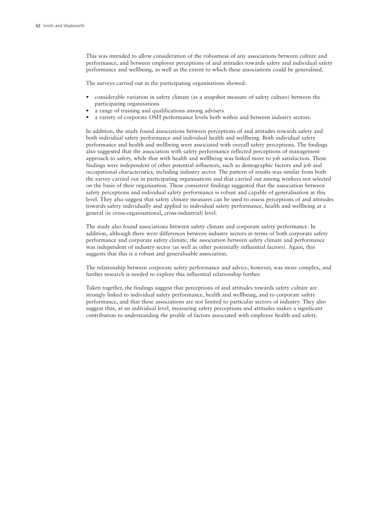This was intended to allow consideration of the robustness of any associations between culture and performance, and between employee perceptions of and attitudes towards safety and individual safety performance and wellbeing, as well as the extent to which these associations could be generalised.

The surveys carried out in the participating organisations showed:

- considerable variation in safety climate (as a snapshot measure of safety culture) between the participating organisations
- a range of training and qualifications among advisers
- a variety of corporate OSH performance levels both within and between industry sectors.

In addition, the study found associations between perceptions of and attitudes towards safety and both individual safety performance and individual health and wellbeing. Both individual safety performance and health and wellbeing were associated with overall safety perceptions. The findings also suggested that the association with safety performance reflected perceptions of management approach to safety, while that with health and wellbeing was linked more to job satisfaction. These findings were independent of other potential influences, such as demographic factors and job and occupational characteristics, including industry sector. The pattern of results was similar from both the survey carried out in participating organisations and that carried out among workers not selected on the basis of their organisation. These consistent findings suggested that the association between safety perceptions and individual safety performance is robust and capable of generalisation at this level. They also suggest that safety climate measures can be used to assess perceptions of and attitudes towards safety individually and applied to individual safety performance, health and wellbeing at a general (ie cross-organisational, cross-industrial) level.

The study also found associations between safety climate and corporate safety performance. In addition, although there were differences between industry sectors in terms of both corporate safety performance and corporate safety climate, the association between safety climate and performance was independent of industry sector (as well as other potentially influential factors). Again, this suggests that this is a robust and generalisable association.

The relationship between corporate safety performance and advice, however, was more complex, and further research is needed to explore this influential relationship further.

Taken together, the findings suggest that perceptions of and attitudes towards safety culture are strongly linked to individual safety performance, health and wellbeing, and to corporate safety performance, and that these associations are not limited to particular sectors of industry. They also suggest that, at an individual level, measuring safety perceptions and attitudes makes a significant contribution to understanding the profile of factors associated with employee health and safety.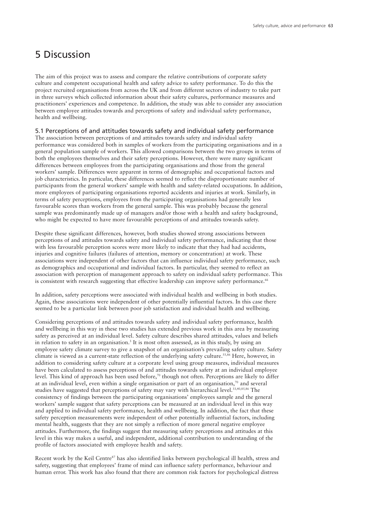# 5 Discussion

The aim of this project was to assess and compare the relative contributions of corporate safety culture and competent occupational health and safety advice to safety performance. To do this the project recruited organisations from across the UK and from different sectors of industry to take part in three surveys which collected information about their safety cultures, performance measures and practitioners' experiences and competence. In addition, the study was able to consider any association between employee attitudes towards and perceptions of safety and individual safety performance, health and wellbeing.

# 5.1 Perceptions of and attitudes towards safety and individual safety performance

The association between perceptions of and attitudes towards safety and individual safety performance was considered both in samples of workers from the participating organisations and in a general population sample of workers. This allowed comparisons between the two groups in terms of both the employees themselves and their safety perceptions. However, there were many significant differences between employees from the participating organisations and those from the general workers' sample. Differences were apparent in terms of demographic and occupational factors and job characteristics. In particular, these differences seemed to reflect the disproportionate number of participants from the general workers' sample with health and safety-related occupations. In addition, more employees of participating organisations reported accidents and injuries at work. Similarly, in terms of safety perceptions, employees from the participating organisations had generally less favourable scores than workers from the general sample. This was probably because the general sample was predominantly made up of managers and/or those with a health and safety background, who might be expected to have more favourable perceptions of and attitudes towards safety.

Despite these significant differences, however, both studies showed strong associations between perceptions of and attitudes towards safety and individual safety performance, indicating that those with less favourable perception scores were more likely to indicate that they had had accidents, injuries and cognitive failures (failures of attention, memory or concentration) at work. These associations were independent of other factors that can influence individual safety performance, such as demographics and occupational and individual factors. In particular, they seemed to reflect an association with perception of management approach to safety on individual safety performance. This is consistent with research suggesting that effective leadership can improve safety performance.<sup>66</sup>

In addition, safety perceptions were associated with individual health and wellbeing in both studies. Again, these associations were independent of other potentially influential factors. In this case there seemed to be a particular link between poor job satisfaction and individual health and wellbeing.

Considering perceptions of and attitudes towards safety and individual safety performance, health and wellbeing in this way in these two studies has extended previous work in this area by measuring safety as perceived at an individual level. Safety culture describes shared attitudes, values and beliefs in relation to safety in an organisation. <sup>3</sup> It is most often assessed, as in this study, by using an employee safety climate survey to give a snapshot of an organisation's prevailing safety culture. Safety climate is viewed as a current-state reflection of the underlying safety culture. 55,86 Here, however, in addition to considering safety culture at a corporate level using group measures, individual measures have been calculated to assess perceptions of and attitudes towards safety at an individual employee level. This kind of approach has been used before, <sup>70</sup> though not often. Perceptions are likely to differ at an individual level, even within a single organisation or part of an organisation, <sup>70</sup> and several studies have suggested that perceptions of safety may vary with hierarchical level.<sup>33,40,85,86</sup> The consistency of findings between the participating organisations' employees sample and the general workers' sample suggest that safety perceptions can be measured at an individual level in this way and applied to individual safety performance, health and wellbeing. In addition, the fact that these safety perception measurements were independent of other potentially influential factors, including mental health, suggests that they are not simply a reflection of more general negative employee attitudes. Furthermore, the findings suggest that measuring safety perceptions and attitudes at this level in this way makes a useful, and independent, additional contribution to understanding of the profile of factors associated with employee health and safety.

Recent work by the Keil Centre<sup>87</sup> has also identified links between psychological ill health, stress and safety, suggesting that employees' frame of mind can influence safety performance, behaviour and human error. This work has also found that there are common risk factors for psychological distress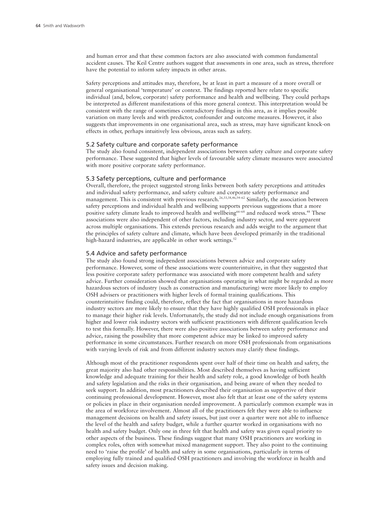and human error and that these common factors are also associated with common fundamental accident causes. The Keil Centre authors suggest that assessments in one area, such as stress, therefore have the potential to inform safety impacts in other areas.

Safety perceptions and attitudes may, therefore, be at least in part a measure of a more overall or general organisational 'temperature' or context. The findings reported here relate to specific individual (and, below, corporate) safety performance and health and wellbeing. They could perhaps be interpreted as different manifestations of this more general context. This interpretation would be consistent with the range of sometimes contradictory findings in this area, as it implies possible variation on many levels and with predictor, confounder and outcome measures. However, it also suggests that improvements in one organisational area, such as stress, may have significant knock-on effects in other, perhaps intuitively less obvious, areas such as safety.

#### 5.2 Safety culture and corporate safety performance

The study also found consistent, independent associations between safety culture and corporate safety performance. These suggested that higher levels of favourable safety climate measures were associated with more positive corporate safety performance.

#### 5.3 Safety perceptions, culture and performance

Overall, therefore, the project suggested strong links between both safety perceptions and attitudes and individual safety performance, and safety culture and corporate safety performance and management. This is consistent with previous research.<sup>26,33,38,46,54–62</sup> Similarly, the association between safety perceptions and individual health and wellbeing supports previous suggestions that a more positive safety climate leads to improved health and wellbeing<sup>66-68</sup> and reduced work stress.<sup>48</sup> These associations were also independent of other factors, including industry sector, and were apparent across multiple organisations. This extends previous research and adds weight to the argument that the principles of safety culture and climate, which have been developed primarily in the traditional high-hazard industries, are applicable in other work settings.<sup>52</sup>

#### 5.4 Advice and safety performance

The study also found strong independent associations between advice and corporate safety performance. However, some of these associations were counterintuitive, in that they suggested that less positive corporate safety performance was associated with more competent health and safety advice. Further consideration showed that organisations operating in what might be regarded as more hazardous sectors of industry (such as construction and manufacturing) were more likely to employ OSH advisers or practitioners with higher levels of formal training qualifications. This counterintuitive finding could, therefore, reflect the fact that organisations in more hazardous industry sectors are more likely to ensure that they have highly qualified OSH professionals in place to manage their higher risk levels. Unfortunately, the study did not include enough organisations from higher and lower risk industry sectors with sufficient practitioners with different qualification levels to test this formally. However, there were also positive associations between safety performance and advice, raising the possibility that more competent advice may be linked to improved safety performance in some circumstances. Further research on more OSH professionals from organisations with varying levels of risk and from different industry sectors may clarify these findings.

Although most of the practitioner respondents spent over half of their time on health and safety, the great majority also had other responsibilities. Most described themselves as having sufficient knowledge and adequate training for their health and safety role, a good knowledge of both health and safety legislation and the risks in their organisation, and being aware of when they needed to seek support. In addition, most practitioners described their organisation as supportive of their continuing professional development. However, most also felt that at least one of the safety systems or policies in place in their organisation needed improvement. A particularly common example was in the area of workforce involvement. Almost all of the practitioners felt they were able to influence management decisions on health and safety issues, but just over a quarter were not able to influence the level of the health and safety budget, while a further quarter worked in organisations with no health and safety budget. Only one in three felt that health and safety was given equal priority to other aspects of the business. These findings suggest that many OSH practitioners are working in complex roles, often with somewhat mixed management support. They also point to the continuing need to 'raise the profile' of health and safety in some organisations, particularly in terms of employing fully trained and qualified OSH practitioners and involving the workforce in health and safety issues and decision making.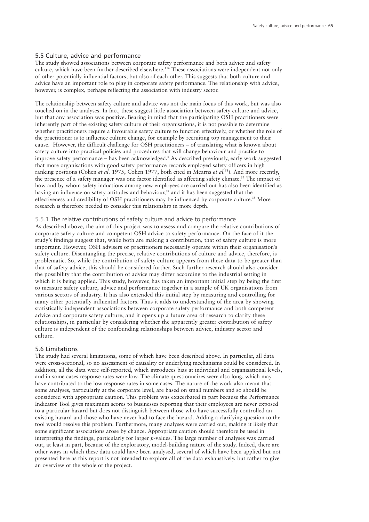#### 5.5 Culture, advice and performance

The study showed associations between corporate safety performance and both advice and safety culture, which have been further described elsewhere. <sup>116</sup> These associations were independent not only of other potentially influential factors, but also of each other. This suggests that both culture and advice have an important role to play in corporate safety performance. The relationship with advice, however, is complex, perhaps reflecting the association with industry sector.

The relationship between safety culture and advice was not the main focus of this work, but was also touched on in the analyses. In fact, these suggest little association between safety culture and advice, but that any association was positive. Bearing in mind that the participating OSH practitioners were inherently part of the existing safety culture of their organisations, it is not possible to determine whether practitioners require a favourable safety culture to function effectively, or whether the role of the practitioner is to influence culture change, for example by recruiting top management to their cause. However, the difficult challenge for OSH practitioners – of translating what is known about safety culture into practical policies and procedures that will change behaviour and practice to improve safety performance – has been acknowledged. <sup>8</sup> As described previously, early work suggested that more organisations with good safety performance records employed safety officers in high ranking positions (Cohen *et al.* 1975, Cohen 1977, both cited in Mearns *et al.* 55 ). And more recently, the presence of a safety manager was one factor identified as affecting safety climate. <sup>57</sup> The impact of how and by whom safety inductions among new employees are carried out has also been identified as having an influence on safety attitudes and behaviour, <sup>58</sup> and it has been suggested that the effectiveness and credibility of OSH practitioners may be influenced by corporate culture.<sup>35</sup> More research is therefore needed to consider this relationship in more depth.

### 5.5.1 The relative contributions of safety culture and advice to performance

As described above, the aim of this project was to assess and compare the relative contributions of corporate safety culture and competent OSH advice to safety performance. On the face of it the study's findings suggest that, while both are making a contribution, that of safety culture is more important. However, OSH advisers or practitioners necessarily operate within their organisation's safety culture. Disentangling the precise, relative contributions of culture and advice, therefore, is problematic. So, while the contribution of safety culture appears from these data to be greater than that of safety advice, this should be considered further. Such further research should also consider the possibility that the contribution of advice may differ according to the industrial setting in which it is being applied. This study, however, has taken an important initial step by being the first to measure safety culture, advice and performance together in a sample of UK organisations from various sectors of industry. It has also extended this initial step by measuring and controlling for many other potentially influential factors. Thus it adds to understanding of the area by showing statistically independent associations between corporate safety performance and both competent advice and corporate safety culture; and it opens up a future area of research to clarify these relationships, in particular by considering whether the apparently greater contribution of safety culture is independent of the confounding relationships between advice, industry sector and culture.

#### 5.6 Limitations

The study had several limitations, some of which have been described above. In particular, all data were cross-sectional, so no assessment of causality or underlying mechanisms could be considered. In addition, all the data were self-reported, which introduces bias at individual and organisational levels, and in some cases response rates were low. The climate questionnaires were also long, which may have contributed to the low response rates in some cases. The nature of the work also meant that some analyses, particularly at the corporate level, are based on small numbers and so should be considered with appropriate caution. This problem was exacerbated in part because the Performance Indicator Tool gives maximum scores to businesses reporting that their employees are never exposed to a particular hazard but does not distinguish between those who have successfully controlled an existing hazard and those who have never had to face the hazard. Adding a clarifying question to the tool would resolve this problem. Furthermore, many analyses were carried out, making it likely that some significant associations arose by chance. Appropriate caution should therefore be used in interpreting the findings, particularly for larger *p*-values. The large number of analyses was carried out, at least in part, because of the exploratory, model-building nature of the study. Indeed, there are other ways in which these data could have been analysed, several of which have been applied but not presented here as this report is not intended to explore all of the data exhaustively, but rather to give an overview of the whole of the project.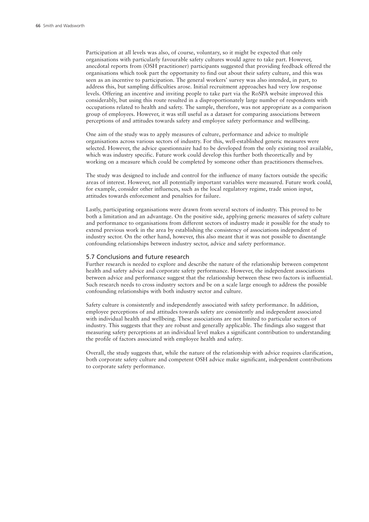Participation at all levels was also, of course, voluntary, so it might be expected that only organisations with particularly favourable safety cultures would agree to take part. However, anecdotal reports from (OSH practitioner) participants suggested that providing feedback offered the organisations which took part the opportunity to find out about their safety culture, and this was seen as an incentive to participation. The general workers' survey was also intended, in part, to address this, but sampling difficulties arose. Initial recruitment approaches had very low response levels. Offering an incentive and inviting people to take part via the RoSPA website improved this considerably, but using this route resulted in a disproportionately large number of respondents with occupations related to health and safety. The sample, therefore, was not appropriate as a comparison group of employees. However, it was still useful as a dataset for comparing associations between perceptions of and attitudes towards safety and employee safety performance and wellbeing.

One aim of the study was to apply measures of culture, performance and advice to multiple organisations across various sectors of industry. For this, well-established generic measures were selected. However, the advice questionnaire had to be developed from the only existing tool available, which was industry specific. Future work could develop this further both theoretically and by working on a measure which could be completed by someone other than practitioners themselves.

The study was designed to include and control for the influence of many factors outside the specific areas of interest. However, not all potentially important variables were measured. Future work could, for example, consider other influences, such as the local regulatory regime, trade union input, attitudes towards enforcement and penalties for failure.

Lastly, participating organisations were drawn from several sectors of industry. This proved to be both a limitation and an advantage. On the positive side, applying generic measures of safety culture and performance to organisations from different sectors of industry made it possible for the study to extend previous work in the area by establishing the consistency of associations independent of industry sector. On the other hand, however, this also meant that it was not possible to disentangle confounding relationships between industry sector, advice and safety performance.

#### 5.7 Conclusions and future research

Further research is needed to explore and describe the nature of the relationship between competent health and safety advice and corporate safety performance. However, the independent associations between advice and performance suggest that the relationship between these two factors is influential. Such research needs to cross industry sectors and be on a scale large enough to address the possible confounding relationships with both industry sector and culture.

Safety culture is consistently and independently associated with safety performance. In addition, employee perceptions of and attitudes towards safety are consistently and independent associated with individual health and wellbeing. These associations are not limited to particular sectors of industry. This suggests that they are robust and generally applicable. The findings also suggest that measuring safety perceptions at an individual level makes a significant contribution to understanding the profile of factors associated with employee health and safety.

Overall, the study suggests that, while the nature of the relationship with advice requires clarification, both corporate safety culture and competent OSH advice make significant, independent contributions to corporate safety performance.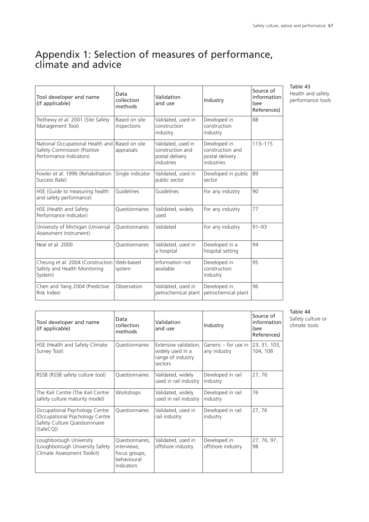# Appendix 1: Selection of measures of performance, climate and advice

| Tool developer and name<br>(if applicable)                                                 | Data<br>collection<br>methods | Validation<br>and use                                                   | Industry                                                          | Source of<br>information<br>(see<br>References) |
|--------------------------------------------------------------------------------------------|-------------------------------|-------------------------------------------------------------------------|-------------------------------------------------------------------|-------------------------------------------------|
| Trethewy et al. 2001 (Site Safety<br>Management Tool)                                      | Based on site<br>inspections  | Validated, used in<br>construction<br>industry                          | Developed in<br>construction<br>industry                          | 88                                              |
| National Occupational Health and<br>Safety Commission (Positive<br>Performance Indicators) | Based on site<br>appraisals   | Validated, used in<br>construction and<br>postal delivery<br>industries | Developed in<br>construction and<br>postal delivery<br>industries | $113 - 115$                                     |
| Fowler et al. 1996 (Rehabilitation<br>Success Rate)                                        | Single indicator              | Validated, used in<br>public sector                                     | Developed in public<br>sector                                     | 89                                              |
| HSE (Guide to measuring health<br>and safety performance)                                  | Guidelines                    | Guidelines                                                              | For any industry                                                  | 90                                              |
| HSE (Health and Safety<br>Performance Indicator)                                           | Questionnaires                | Validated, widely<br>used                                               | For any industry                                                  | 77                                              |
| University of Michigan (Universal<br>Assessment Instrument)                                | Ouestionnaires                | Validated                                                               | For any industry                                                  | $91 - 93$                                       |
| Neal et al. 2000                                                                           | <b>Ouestionnaires</b>         | Validated, used in<br>a hospital                                        | Developed in a<br>hospital setting                                | 94                                              |
| Cheung et al. 2004 (Construction)<br>Safety and Health Monitoring<br>System)               | Web-based<br>system           | Information not<br>available                                            | Developed in<br>construction<br>industry                          | 95                                              |
| Chen and Yang 2004 (Predictive<br>Risk Index)                                              | Observation                   | Validated, used in<br>petrochemical plant                               | Developed in<br>petrochemical plant                               | 96                                              |

Table 43 Health and safety performance tools

| Tool developer and name<br>(if applicable)                                                                     | Data<br>collection<br>methods                                                | Validation<br>and use                                                     | Industry                             | Source of<br>information<br>(see<br>References) |
|----------------------------------------------------------------------------------------------------------------|------------------------------------------------------------------------------|---------------------------------------------------------------------------|--------------------------------------|-------------------------------------------------|
| HSE (Health and Safety Climate<br>Survey Tool)                                                                 | Questionnaires                                                               | Extensive validation,<br>widely used in a<br>range of industry<br>sectors | Generic – for use in<br>any industry | 23, 31, 103,<br>104, 106                        |
| RSSB (RSSB safety culture tool)                                                                                | Questionnaires                                                               | Validated, widely<br>used in rail industry                                | Developed in rail<br>industry        | 27,76                                           |
| The Keil Centre (The Keil Centre<br>safety culture maturity model)                                             | Workshops                                                                    | Validated, widely<br>used in rail industry                                | Developed in rail<br>industry        | 76                                              |
| Occupational Psychology Centre<br>(Occupational Psychology Centre<br>Safety Culture Questionnnaire<br>(SafeCQ) | Questionnaires                                                               | Validated, used in<br>rail industry                                       | Developed in rail<br>industry        | 27,76                                           |
| Loughborough University<br>(Loughborough University Safety<br>Climate Assessment Toolkit)                      | Questionnaires,<br>interviews,<br>focus groups,<br>behavioural<br>indicators | Validated, used in<br>offshore industry                                   | Developed in<br>offshore industry    | 27, 76, 97,<br>98                               |

Table 44 Safety culture or climate tools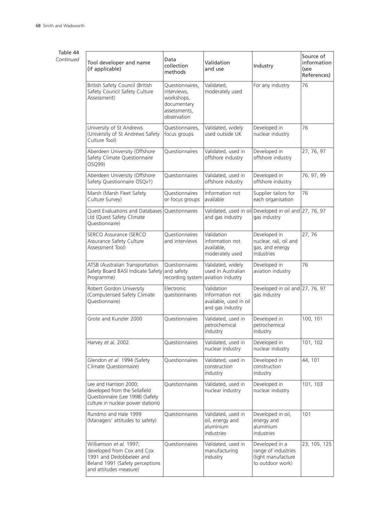# Table 44 *Continued*

| Tool developer and name<br>(if applicable)                                                                                                     | Data<br>collection<br>methods                                                              | Validation<br>and use                                                         | Industry                                                                        | Source of<br>information<br>(see<br>References) |
|------------------------------------------------------------------------------------------------------------------------------------------------|--------------------------------------------------------------------------------------------|-------------------------------------------------------------------------------|---------------------------------------------------------------------------------|-------------------------------------------------|
| British Safety Council (British<br>Safety Council Safety Culture<br>Assessment)                                                                | Questionnaires,<br>interviews,<br>workshops,<br>documentary<br>assessments,<br>observation | Validated,<br>moderately used                                                 | For any industry                                                                | 76                                              |
| University of St Andrews<br>(University of St Andrews Safety<br>Culture Tool)                                                                  | Questionnaires,<br>focus groups                                                            | Validated, widely<br>used outside UK                                          | Developed in<br>nuclear industry                                                | 76                                              |
| Aberdeen University (Offshore<br>Safety Climate Questionnaire<br>OSQ99)                                                                        | Questionnaires                                                                             | Validated, used in<br>offshore industry                                       | Developed in<br>offshore industry                                               | 27, 76, 97                                      |
| Aberdeen University (Offshore<br>Safety Questionnaire OSQv1)                                                                                   | Questionnaires                                                                             | Validated, used in<br>offshore industry                                       | Developed in<br>offshore industry                                               | 76, 97, 99                                      |
| Marsh (Marsh Fleet Safety<br>Culture Survey)                                                                                                   | Questionnaires<br>or focus groups                                                          | Information not<br>available                                                  | Supplier tailors for<br>each organisation                                       | 76                                              |
| Quest Evaluations and Databases<br>Ltd (Quest Safety Climate<br>Questionnaire)                                                                 | Questionnaires                                                                             | Validated, used in oil<br>and gas industry                                    | Developed in oil and $27, 76, 97$<br>gas industry                               |                                                 |
| SERCO Assurance (SERCO<br>Assurance Safety Culture<br>Assessment Tool)                                                                         | Questionnaires<br>and interviews                                                           | Validation<br>information not<br>available,<br>moderately used                | Developed in<br>nuclear, rail, oil and<br>gas, and energy<br>industries         | 27,76                                           |
| ATSB (Australian Transportation<br>Safety Board BASI Indicate Safety<br>Programme)                                                             | Questionnaires<br>and safety                                                               | Validated, widely<br>used in Australian<br>recording system aviation industry | Developed in<br>aviation industry                                               | 76                                              |
| Robert Gordon University<br>(Computerised Safety Climate<br>Questionnaire)                                                                     | Electronic<br>questionnaires                                                               | Validation<br>information not<br>available, used in oil<br>and gas industry   | Developed in oil and $27, 76, 97$<br>gas industry                               |                                                 |
| Grote and Kunzler 2000                                                                                                                         | Questionnaires                                                                             | Validated, used in<br>petrochemical<br>industry                               | Developed in<br>petrochemical<br>industry                                       | 100, 101                                        |
| Harvey et al. 2002                                                                                                                             | Questionnaires                                                                             | Validated, used in<br>nuclear industry                                        | Developed in<br>nuclear industry                                                | 101, 102                                        |
| Glendon et al. 1994 (Safety<br>Climate Questionnaire)                                                                                          | Questionnaires                                                                             | Validated, used in<br>construction<br>industry                                | Developed in<br>construction<br>industry                                        | 44, 101                                         |
| Lee and Harrison 2000;<br>developed from the Sellafield<br>Questionnaire (Lee 1998) (Safety<br>culture in nuclear power stations)              | Questionnaires                                                                             | Validated, used in<br>nuclear industry                                        | Developed in<br>nuclear industry                                                | 101, 103                                        |
| Rundmo and Hale 1999<br>(Managers' attitudes to safety)                                                                                        | Questionnaires                                                                             | Validated, used in<br>oil, energy and<br>aluminium<br>industries              | Developed in oil,<br>energy and<br>aluminium<br>industries                      | 101                                             |
| Williamson et al. 1997;<br>developed from Cox and Cox<br>1991 and Dedobbeleer and<br>Beland 1991 (Safety perceptions<br>and attitudes measure) | Questionnaires                                                                             | Validated, used in<br>manufacturing<br>industry                               | Developed in a<br>range of industries<br>(light manufacture<br>to outdoor work) | 23, 105, 125                                    |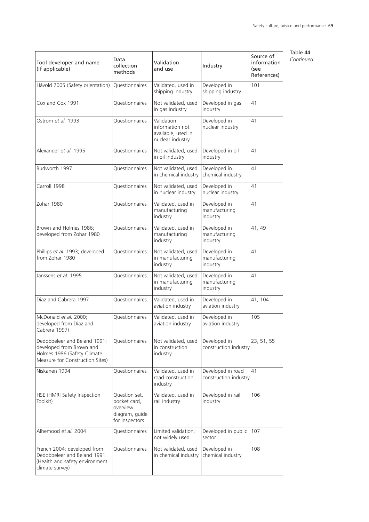| Tool developer and name<br>(if applicable)                                                                                 | Data<br>collection<br>methods                                                 | Validation<br>and use                                                   | Industry                                   | Source of<br>information<br>(see<br>References) |
|----------------------------------------------------------------------------------------------------------------------------|-------------------------------------------------------------------------------|-------------------------------------------------------------------------|--------------------------------------------|-------------------------------------------------|
| Håvold 2005 (Safety orientation)                                                                                           | Questionnaires                                                                | Validated, used in<br>shipping industry                                 | Developed in<br>shipping industry          | 101                                             |
| Cox and Cox 1991                                                                                                           | Questionnaires                                                                | Not validated, used<br>in gas industry                                  | Developed in gas<br>industry               | 41                                              |
| Ostrom et al. 1993                                                                                                         | Questionnaires                                                                | Validation<br>information not<br>available, used in<br>nuclear industry | Developed in<br>nuclear industry           | 41                                              |
| Alexander et al. 1995                                                                                                      | Questionnaires                                                                | Not validated, used<br>in oil industry                                  | Developed in oil<br>industry               | 41                                              |
| Budworth 1997                                                                                                              | Questionnaires                                                                | Not validated, used<br>in chemical industry                             | Developed in<br>chemical industry          | 41                                              |
| Carroll 1998                                                                                                               | Questionnaires                                                                | Not validated, used<br>in nuclear industry                              | Developed in<br>nuclear industry           | 41                                              |
| Zohar 1980                                                                                                                 | Questionnaires                                                                | Validated, used in<br>manufacturing<br>industry                         | Developed in<br>manufacturing<br>industry  | 41                                              |
| Brown and Holmes 1986;<br>developed from Zohar 1980                                                                        | Questionnaires                                                                | Validated, used in<br>manufacturing<br>industry                         | Developed in<br>manufacturing<br>industry  | 41, 49                                          |
| Phillips et al. 1993; developed<br>from Zohar 1980                                                                         | Questionnaires                                                                | Not validated, used<br>in manufacturing<br>industry                     | Developed in<br>manufacturing<br>industry  | 41                                              |
| Janssens <i>et al.</i> 1995                                                                                                | Questionnaires                                                                | Not validated, used<br>in manufacturing<br>industry                     | Developed in<br>manufacturing<br>industry  | 41                                              |
| Diaz and Cabrera 1997                                                                                                      | Questionnaires                                                                | Validated, used in<br>aviation industry                                 | Developed in<br>aviation industry          | 41, 104                                         |
| McDonald et al. 2000;<br>developed from Diaz and<br>Cabrera 1997)                                                          | Questionnaires                                                                | Validated, used in<br>aviation industry                                 | Developed in<br>aviation industry          | 105                                             |
| Dedobbeleer and Beland 1991;<br>developed from Brown and<br>Holmes 1986 (Safety Climate<br>Measure for Construction Sites) | Questionnaires                                                                | Not validated, used<br>in construction<br>industry                      | Developed in<br>construction industry      | 23, 51, 55                                      |
| Niskanen 1994                                                                                                              | Questionnaires                                                                | Validated, used in<br>road construction<br>industry                     | Developed in road<br>construction industry | 41                                              |
| HSE (HMRI Safety Inspection<br>Toolkit)                                                                                    | Question set,<br>pocket card,<br>overview<br>diagram, guide<br>for inspectors | Validated, used in<br>rail industry                                     | Developed in rail<br>industry              | 106                                             |
| Alhemood et al. 2004                                                                                                       | Questionnaires                                                                | Limited validation,<br>not widely used                                  | Developed in public<br>sector              | 107                                             |
| French 2004; developed from<br>Dedobbeleer and Beland 1991<br>(Health and safety environment<br>climate survey)            | Questionnaires                                                                | Not validated, used<br>in chemical industry                             | Developed in<br>chemical industry          | 108                                             |

Table 44 *Continued*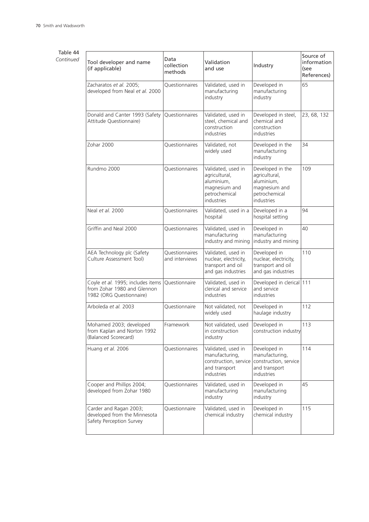# Table 44 *Continued*

J.

| Tool developer and name<br>(if applicable)                                                   | Data<br>collection<br>methods    | Validation<br>and use                                                                             | Industry                                                                                        | Source of<br>information<br>(see<br>References) |
|----------------------------------------------------------------------------------------------|----------------------------------|---------------------------------------------------------------------------------------------------|-------------------------------------------------------------------------------------------------|-------------------------------------------------|
| Zacharatos et al. 2005;<br>developed from Neal et al. 2000                                   | Questionnaires                   | Validated, used in<br>manufacturing<br>industry                                                   | Developed in<br>manufacturing<br>industry                                                       | 65                                              |
| Donald and Canter 1993 (Safety<br>Attitude Questionnaire)                                    | Questionnaires                   | Validated, used in<br>steel, chemical and<br>construction<br>industries                           | Developed in steel,<br>chemical and<br>construction<br>industries                               | 23, 68, 132                                     |
| Zohar 2000                                                                                   | Questionnaires                   | Validated, not<br>widely used                                                                     | Developed in the<br>manufacturing<br>industry                                                   | 34                                              |
| Rundmo 2000                                                                                  | Questionnaires                   | Validated, used in<br>agricultural,<br>aluminium,<br>magnesium and<br>petrochemical<br>industries | Developed in the<br>agricultural,<br>aluminium,<br>magnesium and<br>petrochemical<br>industries | 109                                             |
| Neal et al. 2000                                                                             | Questionnaires                   | Validated, used in a<br>hospital                                                                  | Developed in a<br>hospital setting                                                              | 94                                              |
| Griffin and Neal 2000                                                                        | Questionnaires                   | Validated, used in<br>manufacturing<br>industry and mining                                        | Developed in<br>manufacturing<br>industry and mining                                            | 40                                              |
| AEA Technology plc (Safety<br>Culture Assessment Tool)                                       | Questionnaires<br>and interviews | Validated, used in<br>nuclear, electricity,<br>transport and oil<br>and gas industries            | Developed in<br>nuclear, electricity,<br>transport and oil<br>and gas industries                | 110                                             |
| Coyle et al. 1995; includes items<br>from Zohar 1980 and Glennon<br>1982 (ORG Questionnaire) | Questionnaire                    | Validated, used in<br>clerical and service<br>industries                                          | Developed in clerical 111<br>and service<br>industries                                          |                                                 |
| Arboleda et al. 2003                                                                         | Questionnaire                    | Not validated, not<br>widely used                                                                 | Developed in<br>haulage industry                                                                | 112                                             |
| Mohamed 2003; developed<br>from Kaplan and Norton 1992<br>(Balanced Scorecard)               | Framework                        | Not validated, used<br>in construction<br>industry                                                | Developed in<br>construction industry                                                           | 113                                             |
| Huang et al. 2006                                                                            | Questionnaires                   | Validated, used in<br>manufacturing,<br>construction, service<br>and transport<br>industries      | Developed in<br>manufacturing,<br>construction, service<br>and transport<br>industries          | 114                                             |
| Cooper and Phillips 2004;<br>developed from Zohar 1980                                       | Questionnaires                   | Validated, used in<br>manufacturing<br>industry                                                   | Developed in<br>manufacturing<br>industry                                                       | 45                                              |
| Carder and Ragan 2003;<br>developed from the Minnesota<br>Safety Perception Survey           | Questionnaire                    | Validated, used in<br>chemical industry                                                           | Developed in<br>chemical industry                                                               | 115                                             |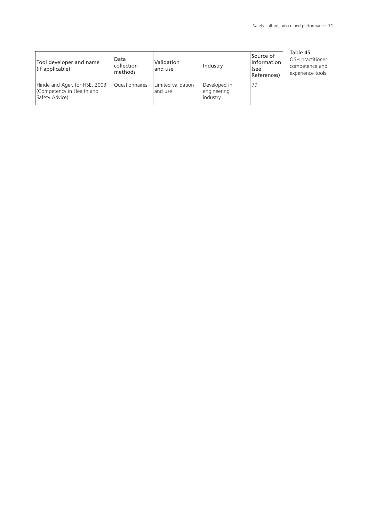| Tool developer and name<br>(if applicable)                                  | Data<br>collection<br>methods | Validation<br>and use         | Industry                                | Source of<br>information<br>(see<br>References) |  |
|-----------------------------------------------------------------------------|-------------------------------|-------------------------------|-----------------------------------------|-------------------------------------------------|--|
| Hinde and Ager, for HSE, 2003<br>Competency in Health and<br>Safety Advice) | Questionnaires                | Limited validation<br>and use | Developed in<br>engineering<br>industry | 79                                              |  |

#### Table 45

OSH practitioner competence and experience tools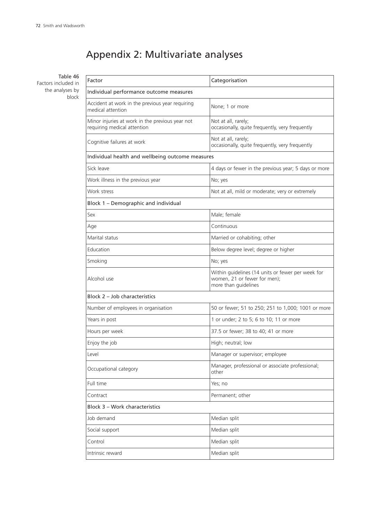## Appendix 2: Multivariate analyses

Table 46 Factors included in the analyses by block

| Factor                                                                         | Categorisation                                                                                            |  |  |  |
|--------------------------------------------------------------------------------|-----------------------------------------------------------------------------------------------------------|--|--|--|
| Individual performance outcome measures                                        |                                                                                                           |  |  |  |
| Accident at work in the previous year requiring<br>medical attention           | None; 1 or more                                                                                           |  |  |  |
| Minor injuries at work in the previous year not<br>requiring medical attention | Not at all, rarely;<br>occasionally, quite frequently, very frequently                                    |  |  |  |
| Cognitive failures at work                                                     | Not at all, rarely;<br>occasionally, quite frequently, very frequently                                    |  |  |  |
| Individual health and wellbeing outcome measures                               |                                                                                                           |  |  |  |
| Sick leave                                                                     | 4 days or fewer in the previous year; 5 days or more                                                      |  |  |  |
| Work illness in the previous year                                              | No; yes                                                                                                   |  |  |  |
| Work stress                                                                    | Not at all, mild or moderate; very or extremely                                                           |  |  |  |
| Block 1 - Demographic and individual                                           |                                                                                                           |  |  |  |
| Sex                                                                            | Male; female                                                                                              |  |  |  |
| Age                                                                            | Continuous                                                                                                |  |  |  |
| Marital status                                                                 | Married or cohabiting; other                                                                              |  |  |  |
| Education                                                                      | Below degree level; degree or higher                                                                      |  |  |  |
| Smoking                                                                        | No; yes                                                                                                   |  |  |  |
| Alcohol use                                                                    | Within guidelines (14 units or fewer per week for<br>women, 21 or fewer for men);<br>more than guidelines |  |  |  |
| Block 2 - Job characteristics                                                  |                                                                                                           |  |  |  |
| Number of employees in organisation                                            | 50 or fewer; 51 to 250; 251 to 1,000; 1001 or more                                                        |  |  |  |
| Years in post                                                                  | 1 or under; 2 to 5; 6 to 10; 11 or more                                                                   |  |  |  |
| Hours per week                                                                 | 37.5 or fewer; 38 to 40; 41 or more                                                                       |  |  |  |
| Enjoy the job                                                                  | High; neutral; low                                                                                        |  |  |  |
| Level                                                                          | Manager or supervisor; employee                                                                           |  |  |  |
| Occupational category                                                          | Manager, professional or associate professional;<br>other                                                 |  |  |  |
| Full time                                                                      | Yes; no                                                                                                   |  |  |  |
| Contract                                                                       | Permanent; other                                                                                          |  |  |  |
| <b>Block 3 - Work characteristics</b>                                          |                                                                                                           |  |  |  |
| Job demand                                                                     | Median split                                                                                              |  |  |  |
| Social support                                                                 | Median split                                                                                              |  |  |  |
| Control                                                                        | Median split                                                                                              |  |  |  |
| Intrinsic reward                                                               | Median split                                                                                              |  |  |  |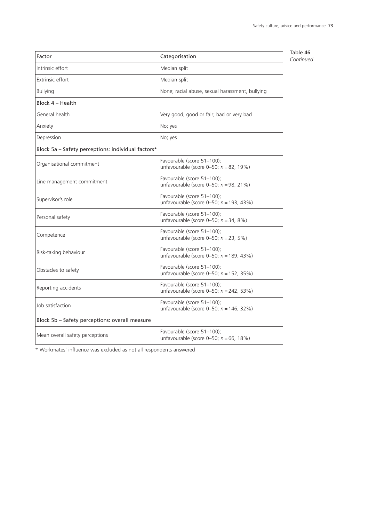| Factor                                             | Categorisation                                                           | Table 46<br>Continued |
|----------------------------------------------------|--------------------------------------------------------------------------|-----------------------|
| Intrinsic effort                                   | Median split                                                             |                       |
| Extrinsic effort                                   | Median split                                                             |                       |
| <b>Bullying</b>                                    | None; racial abuse, sexual harassment, bullying                          |                       |
| Block 4 - Health                                   |                                                                          |                       |
| General health                                     | Very good, good or fair; bad or very bad                                 |                       |
| Anxiety                                            | No; yes                                                                  |                       |
| Depression                                         | No; yes                                                                  |                       |
| Block 5a - Safety perceptions: individual factors* |                                                                          |                       |
| Organisational commitment                          | Favourable (score 51-100);<br>unfavourable (score 0-50; $n = 82$ , 19%)  |                       |
| Line management commitment                         | Favourable (score 51-100);<br>unfavourable (score 0-50; $n = 98$ , 21%)  |                       |
| Supervisor's role                                  | Favourable (score 51-100);<br>unfavourable (score 0-50; $n = 193, 43\%)$ |                       |
| Personal safety                                    | Favourable (score 51-100);<br>unfavourable (score 0-50; $n = 34$ , 8%)   |                       |
| Competence                                         | Favourable (score 51-100);<br>unfavourable (score 0-50; $n = 23$ , 5%)   |                       |
| Risk-taking behaviour                              | Favourable (score 51-100);<br>unfavourable (score 0-50; $n = 189, 43\%)$ |                       |
| Obstacles to safety                                | Favourable (score 51-100);<br>unfavourable (score 0-50; $n = 152$ , 35%) |                       |
| Reporting accidents                                | Favourable (score 51-100);<br>unfavourable (score 0-50; $n = 242$ , 53%) |                       |
| Job satisfaction                                   | Favourable (score 51-100);<br>unfavourable (score 0-50; $n = 146, 32\%)$ |                       |
| Block 5b - Safety perceptions: overall measure     |                                                                          |                       |
| Mean overall safety perceptions                    | Favourable (score 51-100);<br>unfavourable (score 0-50; $n = 66$ , 18%)  |                       |

\* Workmates' influence was excluded as not all respondents answered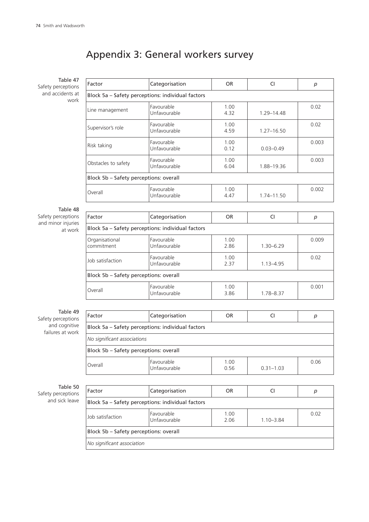# Appendix 3: General workers survey

| Table 47<br>Safety perceptions           | Factor                                            | Categorisation                                    | OR.          | <b>CI</b>      | p     |  |
|------------------------------------------|---------------------------------------------------|---------------------------------------------------|--------------|----------------|-------|--|
| and accidents at<br>work                 | Block 5a - Safety perceptions: individual factors |                                                   |              |                |       |  |
|                                          | Line management                                   | Favourable<br>Unfavourable                        | 1.00<br>4.32 | 1.29-14.48     | 0.02  |  |
|                                          | Supervisor's role                                 | Favourable<br>Unfavourable                        | 1.00<br>4.59 | $1.27 - 16.50$ | 0.02  |  |
|                                          | Risk taking                                       | Favourable<br>Unfavourable                        | 1.00<br>0.12 | $0.03 - 0.49$  | 0.003 |  |
|                                          | Obstacles to safety                               | Favourable<br>Unfavourable                        | 1.00<br>6.04 | 1.88-19.36     | 0.003 |  |
|                                          | Block 5b - Safety perceptions: overall            |                                                   |              |                |       |  |
|                                          | Overall                                           | Favourable<br>Unfavourable                        | 1.00<br>4.47 | 1.74-11.50     | 0.002 |  |
| Table 48                                 |                                                   |                                                   |              |                |       |  |
| Safety perceptions<br>and minor injuries | Factor                                            | Categorisation                                    | <b>OR</b>    | <b>CI</b>      | p     |  |
| at work                                  |                                                   | Block 5a - Safety perceptions: individual factors |              |                |       |  |
|                                          | Organisational<br>commitment                      | Favourable<br>Unfavourable                        | 1.00<br>2.86 | $1.30 - 6.29$  | 0.009 |  |
|                                          | Job satisfaction                                  | Favourable<br>Unfavourable                        | 1.00<br>2.37 | $1.13 - 4.95$  | 0.02  |  |
|                                          | Block 5b - Safety perceptions: overall            |                                                   |              |                |       |  |
|                                          | Overall                                           | Favourable<br>Unfavourable                        | 1.00<br>3.86 | 1.78-8.37      | 0.001 |  |
|                                          |                                                   |                                                   |              |                |       |  |
| Table 49<br>Safety perceptions           | Factor                                            | Categorisation                                    | <b>OR</b>    | CI             | p     |  |
| and cognitive<br>failures at work        | Block 5a - Safety perceptions: individual factors |                                                   |              |                |       |  |
|                                          | No significant associations                       |                                                   |              |                |       |  |
|                                          | Block 5b - Safety perceptions: overall            |                                                   |              |                |       |  |
|                                          | Overall                                           | Favourable<br>Unfavourable                        | 1.00<br>0.56 | $0.31 - 1.03$  | 0.06  |  |
|                                          |                                                   |                                                   |              |                |       |  |
| Table 50<br>Safety perceptions           | Factor                                            | Categorisation                                    | <b>OR</b>    | CI             | p     |  |
| and sick leave                           | Block 5a - Safety perceptions: individual factors |                                                   |              |                |       |  |
|                                          | Job satisfaction                                  | Favourable<br>Unfavourable                        | 1.00<br>2.06 | $1.10 - 3.84$  | 0.02  |  |
|                                          | Block 5b - Safety perceptions: overall            |                                                   |              |                |       |  |
|                                          | No significant association                        |                                                   |              |                |       |  |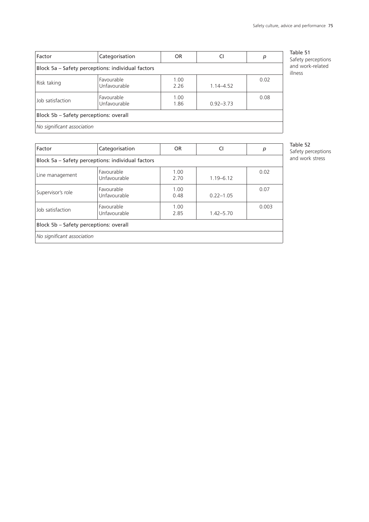| Factor                                            | Categorisation             | OR.          | CI            | р    |  |
|---------------------------------------------------|----------------------------|--------------|---------------|------|--|
| Block 5a – Safety perceptions: individual factors |                            |              |               |      |  |
| Risk taking                                       | Favourable<br>Unfavourable | 1.00<br>2.26 | $1.14 - 4.52$ | 0.02 |  |
| Job satisfaction                                  | Favourable<br>Unfavourable | 1.00<br>1.86 | $0.92 - 3.73$ | 0.08 |  |
| Block 5b – Safety perceptions: overall            |                            |              |               |      |  |
| No significant association                        |                            |              |               |      |  |

Table 51 Safety perceptions and work-related illness

Table 52

Safety perceptions and work stress

| Factor                                            | Categorisation             | <b>OR</b>    | CI            | p     |  |
|---------------------------------------------------|----------------------------|--------------|---------------|-------|--|
| Block 5a - Safety perceptions: individual factors |                            |              |               |       |  |
| Line management                                   | Favourable<br>Unfavourable | 1.00<br>2.70 | $1.19 - 6.12$ | 0.02  |  |
| Supervisor's role                                 | Favourable<br>Unfavourable | 1.00<br>0.48 | $0.22 - 1.05$ | 0.07  |  |
| Job satisfaction                                  | Favourable<br>Unfavourable | 1.00<br>2.85 | $1.42 - 5.70$ | 0.003 |  |
| Block 5b – Safety perceptions: overall            |                            |              |               |       |  |
| No significant association                        |                            |              |               |       |  |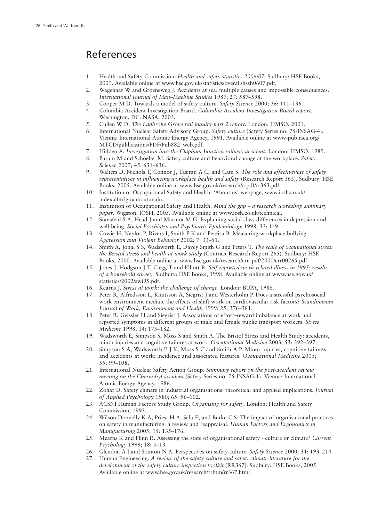### References

- 1. Health and Safety Commission. *Health and safety statistics 2006/07*. Sudbury: HSE Books, 2007. Available online at www.hse.gov.uk/statistics/overall/hssh0607.pdf.
- 2. Wagenaar W and Groeneweg J. Accidents at sea: multiple causes and impossible consequences. *International Journal of Man–Machine Studies* 1987; 27: 587–598.
- 3. Cooper M D. Towards a model of safety culture. *Safety Science* 2000; 36: 111–136.
- 4. Columbia Accident Investigation Board. *Columbia Accident Investigation Board report*. Washington, DC: NASA, 2003.
- 5. Cullen W D. *The Ladbroke Grove rail inquiry part 2 report*. London: HMSO, 2001.
- 6. International Nuclear Safety Advisory Group. *Safety culture* (Safety Series no. 75-INSAG-4). Vienna: International Atomic Energy Agency, 1991. Available online at www-pub.iaea.org/ MTCD/publications/PDF/Pub882\_web.pdf.
- 7. Hidden A. *Investigation into the Clapham Junction railway accident*. London: HMSO, 1989.
- 8. Baram M and Schoebel M. Safety culture and behavioral change at the workplace. *Safety Science* 2007; 45: 631–636.
- 9. Walters D, Nichols T, Connor J, Tasiran A C, and Cam S. *The role and effectiveness of safety representatives in influencing workplace health and safety* (Research Report 363). Sudbury: HSE Books, 2005. Available online at www.hse.gov.uk/research/rrpdf/rr363.pdf.
- 10. Institution of Occupational Safety and Health. 'About us' webpage, www.iosh.co.uk/ index.cfm?go=about.main.
- 11. Institution of Occupational Safety and Health. *Mind the gap – a research workshop summary paper*. Wigston: IOSH, 2005. Available online at www.iosh.co.uk/technical.
- 12. Stansfeld S A, Head J and Marmot M G. Explaining social class differences in depression and well-being. *Social Psychiatry and Psychiatric Epidemiology* 1998; 33: 1–9.
- 13. Cowie H, Naylor P, Rivers I, Smith P K and Pereira B. Measuring workplace bullying. *Aggression and Violent Behavior* 2002; 7: 33–51.
- 14. Smith A, Johal S S, Wadsworth E, Davey Smith G and Peters T. *The scale of occupational stress: the Bristol stress and health at work study* (Contract Research Report 265). Sudbury: HSE Books, 2000. Available online at www.hse.gov.uk/research/crr\_pdf/2000/crr00265.pdf.
- 15. Jones J, Hodgson J T, Clegg T and Elliott R. *Self-reported work-related illness in 1995: results of a household survey*. Sudbury: HSE Books, 1998. Available online at www.hse.gov.uk/ statistics/2002/swi95.pdf.
- 16. Kearns J. *Stress at work: the challenge of change*. London: BUPA, 1986.
- 17. Peter R, Alfredsson L, Knutsson A, Siegrist J and Westerholm P. Does a stressful psychosocial work environment mediate the effects of shift work on cardiovascular risk factors? *Scandinavian Journal of Work, Environment and Health* 1999; 25: 376–381.
- 18. Peter R, Geissler H and Siegrist J. Associations of effort–reward imbalance at work and reported symptoms in different groups of male and female public transport workers. *Stress Medicine* 1998; 14: 175–182.
- 19. Wadsworth E, Simpson S, Moss S and Smith A. The Bristol Stress and Health Study: accidents, minor injuries and cognitive failures at work. *Occupational Medicine* 2003; 53: 392–397.
- 20. Simpson S A, Wadsworth E J K, Moss S C and Smith A P. Minor injuries, cognitive failures and accidents at work: incidence and associated features. *Occupational Medicine* 2005; 55: 99–108.
- 21. International Nuclear Safety Action Group. *Summary report on the post-accident review meeting on the Chernobyl accident* (Safety Series no. 75-INSAG-1). Vienna: International Atomic Energy Agency, 1986.
- 22. Zohar D. Safety climate in industrial organisations: theoretical and applied implications. *Journal of Applied Psychology* 1980; 65: 96–102.
- 23. ACSNI Human Factors Study Group. *Organising for safety*. London: Health and Safety Commission, 1993.
- 24. Wilson-Donnelly K A, Priest H A, Sala E, and Burke C S. The impact of organisational practices on safety in manufacturing: a review and reappraisal. *Human Factors and Ergonomics in Manufacturing* 2005; 15: 135–176.
- 25. Mearns K and Flinn R. Assessing the state of organisational safety culture or climate? *Current Psychology* 1999; 18: 5–13.
- 26. Glendon A I and Stanton N A. Perspectives on safety culture. *Safety Science* 2000; 34: 193–214.
- 27. Human Engineering. *A review of the safety culture and safety climate literature for the development of the safety culture inspection toolkit* (RR367). Sudbury: HSE Books, 2005. Available online at www.hse.gov.uk/research/rrhtm/rr367.htm.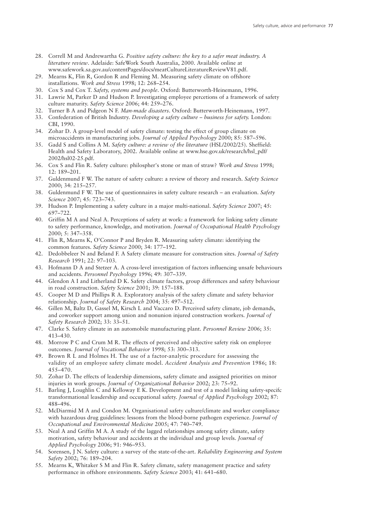- 28. Correll M and Andrewartha G. *Positive safety culture: the key to a safer meat industry. A literature review*. Adelaide: SafeWork South Australia, 2000. Available online at www.safework.sa.gov.au/contentPages/docs/meatCultureLiteratureReviewV81.pdf.
- 29. Mearns K, Flin R, Gordon R and Fleming M. Measuring safety climate on offshore installations. *Work and Stress* 1998; 12: 268–254.
- 30. Cox S and Cox T. *Safety, systems and people*. Oxford: Butterworth-Heinemann, 1996.
- 31. Lawrie M, Parker D and Hudson P. Investigating employee percetions of a framework of safety culture maturity. *Safety Science* 2006; 44: 259–276.
- 32. Turner B A and Pidgeon N F. *Man-made disasters*. Oxford: Butterworth-Heinemann, 1997.
- 33. Confederation of British Industry. *Developing a safety culture – business for safety.* London: CBI, 1990.
- 34. Zohar D. A group-level model of safety climate: testing the effect of group climate on microaccidents in manufacturing jobs. *Journal of Applied Psychology* 2000; 85: 587–596.
- 35. Gadd S and Collins A M. *Safety culture: a review of the literature* (HSL/2002/25). Sheffield: Health and Safety Laboratory, 2002. Available online at www.hse.gov.uk/research/hsl\_pdf/ 2002/hsl02-25.pdf.
- 36. Cox S and Flin R. Safety culture: philospher's stone or man of straw? *Work and Stress* 1998; 12: 189–201.
- 37. Guldenmund F W. The nature of safety culture: a review of theory and research. *Safety Science* 2000; 34: 215–257.
- 38. Guldenmund F W. The use of questionnaires in safety culture research an evaluation. *Safety Science* 2007; 45: 723–743.
- 39. Hudson P. Implementing a safety culture in a major multi-national. *Safety Science* 2007; 45: 697–722.
- 40. Griffin M A and Neal A. Perceptions of safety at work: a framework for linking safety climate to safety performance, knowledge, and motivation. *Journal of Occupational Health Psychology* 2000; 5: 347–358.
- 41. Flin R, Mearns K, O'Connor P and Bryden R. Measuring safety climate: identifying the common features. *Safety Science* 2000; 34: 177–192.
- 42. Dedobbeleer N and Beland F. A Safety climate measure for construction sites. *Journal of Safety Research* 1991; 22: 97–103.
- 43. Hofmann D A and Stetzer A. A cross-level investigation of factors influencing unsafe behaviours and accidents. *Personnel Psychology* 1996; 49: 307–339.
- 44. Glendon A I and Litherland D K. Safety climate factors, group differences and safety behaviour in road construction. *Safety Science* 2001; 39: 157–188.
- 45. Cooper M D and Phillips R A. Exploratory analysis of the safety climate and safety behavior relationship. *Journal of Safety Research* 2004; 35: 497–512.
- 46. Gillen M, Baltz D, Gassel M, Kirsch L and Vaccaro D. Perceived safety climate, job demands, and coworker support among union and nonunion injured construction workers. *Journal of Safety Research* 2002; 33: 33–51.
- 47. Clarke S. Safety climate in an automobile manufacturing plant. *Personnel Review* 2006; 35: 413–430.
- 48. Morrow P C and Crum M R. The effects of perceived and objective safety risk on employee outcomes. *Journal of Vocational Behavior* 1998; 53: 300–313.
- 49. Brown R L and Holmes H. The use of a factor-analytic procedure for assessing the validity of an employee safety climate model. *Accident Analysis and Prevention* 1986; 18: 455–470.
- 50. Zohar D. The effects of leadership dimensions, safety climate and assigned priorities on minor injuries in work groups. *Journal of Organizational Behavior* 2002; 23: 75–92.
- 51. Barling J, Loughlin C and Kelloway E K. Development and test of a model linking safety-specifc transformational leasdership and occupational safety. *Journal of Applied Psychology* 2002; 87: 488–496.
- 52. McDiarmid M A and Condon M. Organisational safety culture/climate and worker compliance with hazardous drug guidelines: lessons from the blood-borne pathogen experience. *Journal of Occupational and Environmental Medicine* 2005; 47: 740–749.
- 53. Neal A and Griffin M A. A study of the lagged relationships among safety climate, safety motivation, safety behaviour and accidents at the individual and group levels. *Journal of Applied Psychology* 2006; 91: 946–953.
- 54. Sorensen, J N. Safety culture: a survey of the state-of-the-art. *Reliability Engineering and System Safety* 2002; 76: 189–204.
- 55. Mearns K, Whitaker S M and Flin R. Safety climate, safety management practice and safety performance in offshore environments. *Safety Science* 2003; 41: 641–680.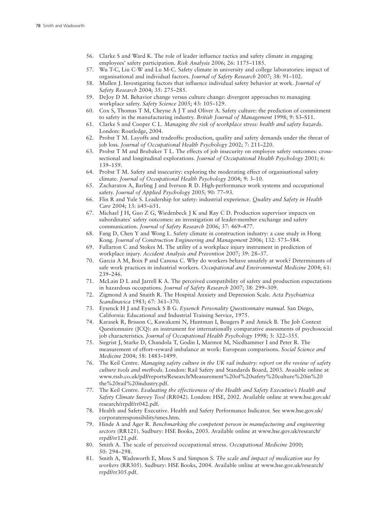- 56. Clarke S and Ward K. The role of leader influence tactics and safety climate in engaging employees' safety participation. *Risk Analysis* 2006; 26: 1175–1185.
- 57. Wu T-C, Liu C-W and Lu M-C. Safety climate in university and college laboratories: impact of organisational and individual factors. *Journal of Safety Research* 2007; 38: 91–102.
- 58. Mullen J. Investigating factors that influence individual safety behavior at work. *Journal of Safety Research* 2004; 35: 275–285.
- 59. DeJoy D M. Behavior change versus culture change: divergent approaches to managing workplace safety. *Safety Science* 2005; 43: 105–129.
- 60. Cox S, Thomas T M, Cheyne A J T and Oliver A. Safety culture: the prediction of commitment to safety in the manufacturing industry. *British Journal of Management* 1998; 9: S3–S11.
- 61. Clarke S and Cooper C L. *Managing the risk of workplace stress: health and safety hazards*. London: Routledge, 2004.
- 62. Probst T M. Layoffs and tradeoffs: production, quality and safety demands under the threat of job loss. *Journal of Occupational Health Psychology* 2002; 7: 211–220.
- 63. Probst T M and Brubaker T L. The effects of job insecurity on employee safety outcomes: crosssectional and longitudinal explorations. *Journal of Occupational Health Psychology* 2001; 6: 139–159.
- 64. Probst T M. Safety and insecurity: exploring the moderating effect of organisational safety climate. *Journal of Occupational Health Psychology* 2004; 9: 3–10.
- 65. Zacharatos A, Barling J and Iverson R D. High-performance work systems and occupational safety. *Journal of Applied Psychology* 2005; 90: 77–93.
- 66. Flin R and Yule S. Leadership for safety: industrial experience. *Quality and Safety in Health Care* 2004; 13: ii45–ii51.
- 67. Michael J H, Guo Z G, Wiedenbeck J K and Ray C D. Production supervisor impacts on subordinates' safety outcomes: an investigation of leader-member exchange and safety communication. *Journal of Safety Research* 2006; 37: 469–477.
- 68. Fang D, Chen Y and Wong L. Safety climate in construction industry: a case study in Hong Kong. *Journal of Construction Engineering and Management* 2006; 132: 573–584.
- 69. Fullarton C and Stokes M. The utility of a workplace injury instrument in prediction of workplace injury. *Accident Analysis and Prevention* 2007; 39: 28–37.
- 70. Garcia A M, Boix P and Canosa C. Why do workers behave unsafely at work? Determinants of safe work practices in industrial workers. *Occupational and Environmental Medicine* 2004; 61: 239–246.
- 71. McLain D L and Jarrell K A. The perceived compatibility of safety and production expectations in hazardous occupations. *Journal of Safety Research* 2007; 38: 299–309.
- 72. Zigmond A and Snaith R. The Hospital Anxiety and Depression Scale. *Acta Psychiatrica Scandinavica* 1983; 67: 361–370.
- 73. Eysenck H J and Eysenck S B G. *Eysenck Personality Questionnaire manual.* San Diego, California: Educational and Industrial Training Service, 1975.
- 74. Karasek R, Brisson C, Kawakami N, Huntman I, Bougers P and Amick B. The Job Context Questionnaire (JCQ): an instrument for internationally comparative assessments of psychosocial job characteristics. *Journal of Occupational Health Psychology* 1998; 3: 322–355.
- 75. Siegrist J, Starke D, Chandola T, Godin I, Marmot M, Niedhammer I and Peter R. The measurement of effort–reward imbalance at work: European comparisons. *Social Science and Medicine* 2004; 58: 1483–1499.
- 76. The Keil Centre. *Managing safety culture in the UK rail industry: report on the review of safety culture tools and methods.* London: Rail Safety and Standards Board, 2003. Avaiable online at www.rssb.co.uk/pdf/reports/Research/Measurement%20of%20safety%20culture%20in%20 the%20rail%20industry.pdf.
- 77. The Keil Centre. *Evaluating the effectiveness of the Health and Safety Executive's Health and Safety Climate Survey Tool* (RR042). London: HSE, 2002. Available online at www.hse.gov.uk/ research/rrpdf/rr042.pdf.
- 78. Health and Safety Executive. Health and Safety Performance Indicator. See www.hse.gov.uk/ corporateresponsibility/smes.htm.
- 79. Hinde A and Ager R. *Benchmarking the competent person in manufacturing and engineering sectors* (RR121). Sudbury: HSE Books, 2003. Available online at www.hse.gov.uk/research/ rrpdf/rr121.pdf.
- 80. Smith A. The scale of perceived occupational stress. *Occupational Medicine* 2000; 50: 294–298.
- 81. Smith A, Wadsworth E, Moss S and Simpson S. *The scale and impact of medication use by workers* (RR305). Sudbury: HSE Books, 2004. Available online at www.hse.gov.uk/research/ rrpdf/rr305.pdf.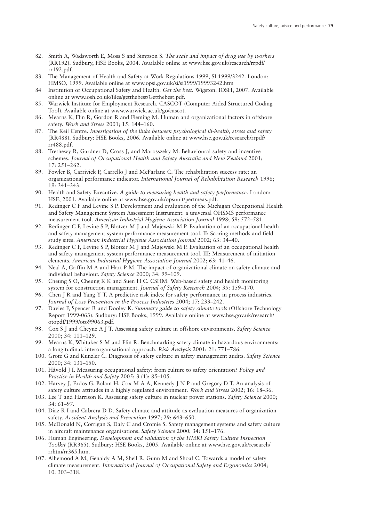- 82. Smith A, Wadsworth E, Moss S and Simpson S. *The scale and impact of drug use by workers* (RR192). Sudbury, HSE Books, 2004. Available online at www.hse.gov.uk/research/rrpdf/ rr192.pdf.
- 83. The Management of Health and Safety at Work Regulations 1999, SI 1999/3242. London: HMSO, 1999. Available online at www.opsi.gov.uk/si/si1999/19993242.htm
- 84 Institution of Occupational Safety and Health. *Get the best.* Wigston: IOSH, 2007. Available online at www.iosh.co.uk/files/getthebest/Getthebest.pdf.
- 85. Warwick Institute for Employment Research. CASCOT (Computer Aided Structured Coding Tool). Available online at www.warwick.ac.uk/go/cascot.
- 86. Mearns K, Flin R, Gordon R and Fleming M. Human and organizational factors in offshore safety. *Work and Stress* 2001; 15: 144–160.
- 87. The Keil Centre. *Investigation of the links between psychological ill-health, stress and safety* (RR488). Sudbury: HSE Books, 2006. Available online at www.hse.gov.uk/research/rrpdf/ rr488.pdf.
- 88. Trethewy R, Gardner D, Cross J, and Marosszeky M. Behavioural safety and incentive schemes. *Journal of Occupational Health and Safety Australia and New Zealand* 2001; 17: 251–262.
- 89. Fowler B, Carrivick P, Carrello J and McFarlane C. The rehabilitation success rate: an organizational performance indicator. *International Journal of Rehabilitation Research* 1996; 19: 341–343.
- 90. Health and Safety Executive. *A guide to measuring health and safety performance.* London: HSE, 2001. Available online at www.hse.gov.uk/opsunit/perfmeas.pdf.
- 91. Redinger C F and Levine S P. Development and evaluation of the Michigan Occupational Health and Safety Management System Assessment Instrument: a universal OHSMS performance measurement tool. *American Industrial Hygiene Association Journal* 1998; 59: 572–581.
- 92. Redinger C F, Levine S P, Blotzer M J and Majewski M P. Evaluation of an occupational health and safety management system performance measurement tool. II: Scoring methods and field study sites. *American Industrial Hygiene Association Journal* 2002; 63: 34–40.
- 93. Redinger C F, Levine S P, Blotzer M J and Majewski M P. Evaluation of an occupational health and safety management system performance measurement tool. III: Measurement of initiation elements. *American Industrial Hygiene Association Journal* 2002; 63: 41–46.
- 94. Neal A, Griffin M A and Hart P M. The impact of organizational climate on safety climate and individual behaviour. *Safety Science* 2000; 34: 99–109.
- 95. Cheung S O, Cheung K K and Suen H C. CSHM: Web-based safety and health monitoring system for construction management. *Journal of Safety Research* 2004; 35: 159–170.
- 96. Chen J R and Yang Y T. A predictive risk index for safety performance in process industries. *Journal of Loss Prevention in the Process Industries* 2004; 17: 233–242.
- 97. Davies F, Spencer R and Dooley K. *Summary guide to safety climate tools* (Offshore Technology Report 1999-063). Sudbury: HSE Books, 1999. Available online at www.hse.gov.uk/research/ otopdf/1999/oto99063.pdf.
- 98. Cox S J and Cheyne A J T. Assessing safety culture in offshore environments. *Safety Science* 2000; 34: 111–129.
- 99. Mearns K, Whitaker S M and Flin R. Benchmarking safety climate in hazardous environments: a longitudinal, interorganisational approach. *Risk Analysis* 2001; 21: 771–786.
- 100. Grote G and Kunzler C. Diagnosis of safety culture in safety management audits. *Safety Science* 2000; 34: 131–150.
- 101. Håvold J I. Measuring occupational safety: from culture to safety orientation? *Policy and Practice in Health and Safety* 2005; 3 (1): 85–105.
- 102. Harvey J, Erdos G, Bolam H, Cox M A A, Kennedy J N P and Gregory D T. An analysis of safety culture attitudes in a highly regulated environment. *Work and Stress* 2002; 16: 18–36.
- 103. Lee T and Harrison K. Assessing safety culture in nuclear power stations. *Safety Science* 2000; 34: 61–97.
- 104. Diaz R I and Cabrera D D. Safety climate and attitude as evaluation measures of organization safety. *Accident Analysis and Prevention* 1997; 29: 643–650.
- 105. McDonald N, Corrigan S, Daly C and Cromie S. Safety management systems and safety culture in aircraft maintenance organisations. *Safety Science* 2000; 34: 151–176.
- 106. Human Engineering. *Development and validation of the HMRI Safety Culture Inspection Toolkit* (RR365). Sudbury: HSE Books, 2005. Available online at www.hse.gov.uk/research/ rrhtm/rr365.htm.
- 107. Alhemood A M, Genaidy A M, Shell R, Gunn M and Shoaf C. Towards a model of safety climate measurement. *International Journal of Occupational Safety and Ergonomics* 2004; 10: 303–318.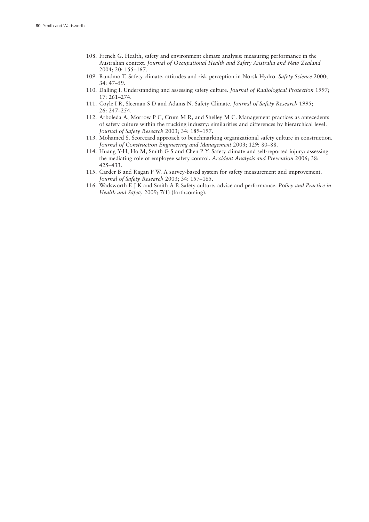- 108. French G. Health, safety and environment climate analysis: measuring performance in the Australian context. *Journal of Occupational Health and Safety Australia and New Zealand* 2004; 20: 155–167.
- 109. Rundmo T. Safety climate, attitudes and risk perception in Norsk Hydro. *Safety Science* 2000; 34: 47–59.
- 110. Dalling I. Understanding and assessing safety culture. *Journal of Radiological Protection* 1997; 17: 261–274.
- 111. Coyle I R, Sleeman S D and Adams N. Safety Climate. *Journal of Safety Research* 1995; 26: 247–254.
- 112. Arboleda A, Morrow P C, Crum M R, and Shelley M C. Management practices as antecedents of safety culture within the trucking industry: similarities and differences by hierarchical level. *Journal of Safety Research* 2003; 34: 189–197.
- 113. Mohamed S. Scorecard approach to benchmarking organizational safety culture in construction. *Journal of Construction Engineering and Management* 2003; 129: 80–88.
- 114. Huang Y-H, Ho M, Smith G S and Chen P Y. Safety climate and self-reported injury: assessing the mediating role of employee safety control. *Accident Analysis and Prevention* 2006; 38: 425–433.
- 115. Carder B and Ragan P W. A survey-based system for safety measurement and improvement. *Journal of Safety Research* 2003; 34: 157–165.
- 116. Wadsworth E J K and Smith A P. Safety culture, advice and performance. *Policy and Practice in Health and Safety* 2009; 7(1) (forthcoming).